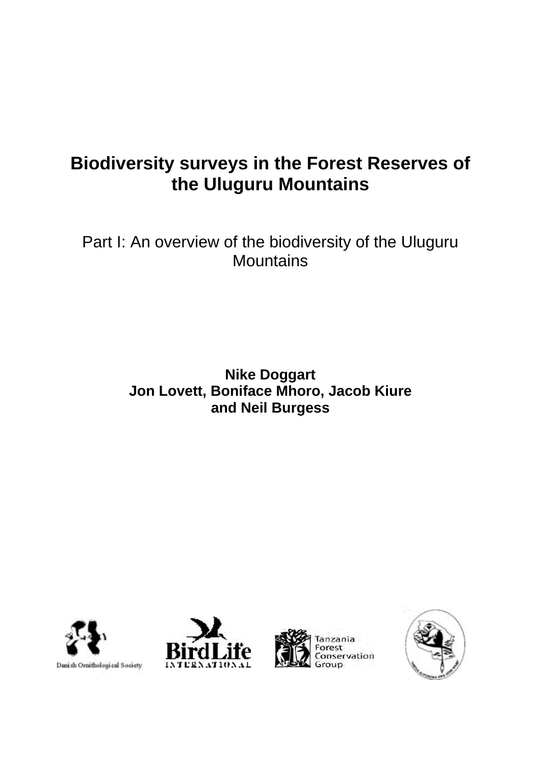# **Biodiversity surveys in the Forest Reserves of the Uluguru Mountains**

Part I: An overview of the biodiversity of the Uluguru **Mountains** 

## **Nike Doggart Jon Lovett, Boniface Mhoro, Jacob Kiure and Neil Burgess**







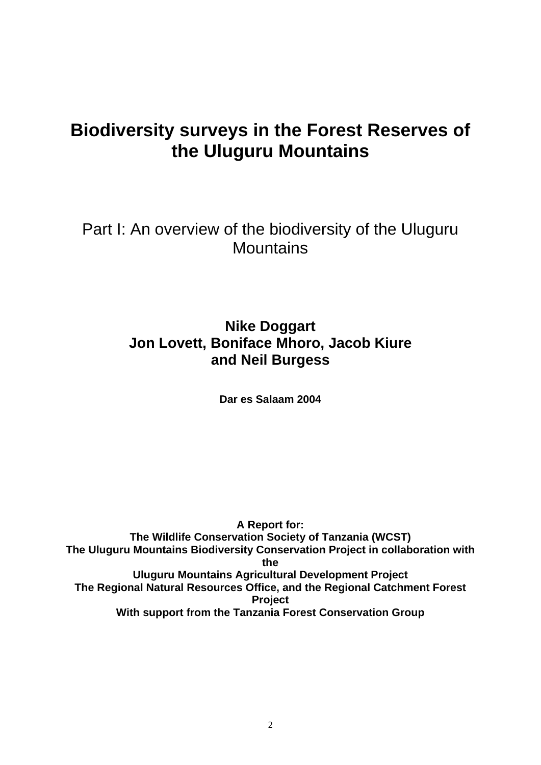# **Biodiversity surveys in the Forest Reserves of the Uluguru Mountains**

Part I: An overview of the biodiversity of the Uluguru **Mountains** 

## **Nike Doggart Jon Lovett, Boniface Mhoro, Jacob Kiure and Neil Burgess**

**Dar es Salaam 2004** 

**A Report for: The Wildlife Conservation Society of Tanzania (WCST) The Uluguru Mountains Biodiversity Conservation Project in collaboration with the Uluguru Mountains Agricultural Development Project The Regional Natural Resources Office, and the Regional Catchment Forest Project With support from the Tanzania Forest Conservation Group**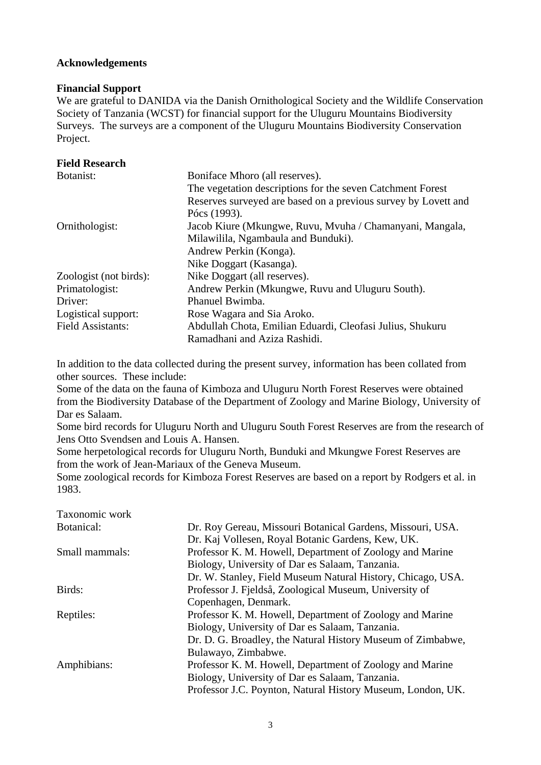#### **Acknowledgements**

#### **Financial Support**

We are grateful to DANIDA via the Danish Ornithological Society and the Wildlife Conservation Society of Tanzania (WCST) for financial support for the Uluguru Mountains Biodiversity Surveys. The surveys are a component of the Uluguru Mountains Biodiversity Conservation Project.

#### **Field Research**

| Botanist:                | Boniface Mhoro (all reserves).                                 |
|--------------------------|----------------------------------------------------------------|
|                          | The vegetation descriptions for the seven Catchment Forest     |
|                          | Reserves surveyed are based on a previous survey by Lovett and |
|                          | Pócs (1993).                                                   |
| Ornithologist:           | Jacob Kiure (Mkungwe, Ruvu, Mvuha / Chamanyani, Mangala,       |
|                          | Milawilila, Ngambaula and Bunduki).                            |
|                          | Andrew Perkin (Konga).                                         |
|                          | Nike Doggart (Kasanga).                                        |
| Zoologist (not birds):   | Nike Doggart (all reserves).                                   |
| Primatologist:           | Andrew Perkin (Mkungwe, Ruvu and Uluguru South).               |
| Driver:                  | Phanuel Bwimba.                                                |
| Logistical support:      | Rose Wagara and Sia Aroko.                                     |
| <b>Field Assistants:</b> | Abdullah Chota, Emilian Eduardi, Cleofasi Julius, Shukuru      |
|                          | Ramadhani and Aziza Rashidi.                                   |

In addition to the data collected during the present survey, information has been collated from other sources. These include:

Some of the data on the fauna of Kimboza and Uluguru North Forest Reserves were obtained from the Biodiversity Database of the Department of Zoology and Marine Biology, University of Dar es Salaam.

Some bird records for Uluguru North and Uluguru South Forest Reserves are from the research of Jens Otto Svendsen and Louis A. Hansen.

Some herpetological records for Uluguru North, Bunduki and Mkungwe Forest Reserves are from the work of Jean-Mariaux of the Geneva Museum.

Some zoological records for Kimboza Forest Reserves are based on a report by Rodgers et al. in 1983.

| Taxonomic work |                                                             |
|----------------|-------------------------------------------------------------|
| Botanical:     | Dr. Roy Gereau, Missouri Botanical Gardens, Missouri, USA.  |
|                | Dr. Kaj Vollesen, Royal Botanic Gardens, Kew, UK.           |
| Small mammals: | Professor K. M. Howell, Department of Zoology and Marine    |
|                | Biology, University of Dar es Salaam, Tanzania.             |
|                | Dr. W. Stanley, Field Museum Natural History, Chicago, USA. |
| Birds:         | Professor J. Fjeldså, Zoological Museum, University of      |
|                | Copenhagen, Denmark.                                        |
| Reptiles:      | Professor K. M. Howell, Department of Zoology and Marine    |
|                | Biology, University of Dar es Salaam, Tanzania.             |
|                | Dr. D. G. Broadley, the Natural History Museum of Zimbabwe, |
|                | Bulawayo, Zimbabwe.                                         |
| Amphibians:    | Professor K. M. Howell, Department of Zoology and Marine    |
|                | Biology, University of Dar es Salaam, Tanzania.             |
|                | Professor J.C. Poynton, Natural History Museum, London, UK. |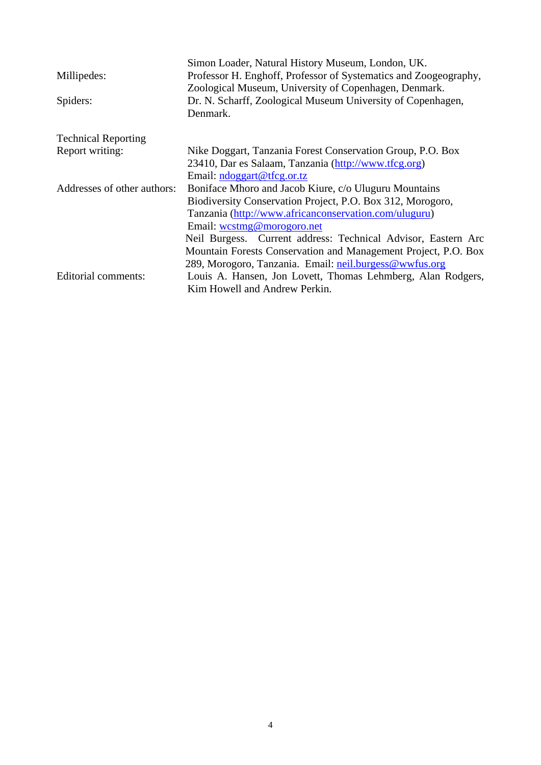|                             | Simon Loader, Natural History Museum, London, UK.                |
|-----------------------------|------------------------------------------------------------------|
| Millipedes:                 | Professor H. Enghoff, Professor of Systematics and Zoogeography, |
|                             | Zoological Museum, University of Copenhagen, Denmark.            |
| Spiders:                    | Dr. N. Scharff, Zoological Museum University of Copenhagen,      |
|                             | Denmark.                                                         |
| <b>Technical Reporting</b>  |                                                                  |
| Report writing:             | Nike Doggart, Tanzania Forest Conservation Group, P.O. Box       |
|                             | 23410, Dar es Salaam, Tanzania (http://www.tfcg.org)             |
|                             | Email: ndoggart@tfcg.or.tz                                       |
| Addresses of other authors: | Boniface Mhoro and Jacob Kiure, c/o Uluguru Mountains            |
|                             | Biodiversity Conservation Project, P.O. Box 312, Morogoro,       |
|                             | Tanzania (http://www.africanconservation.com/uluguru)            |
|                             | Email: westmg@morogoro.net                                       |
|                             | Neil Burgess. Current address: Technical Advisor, Eastern Arc    |
|                             | Mountain Forests Conservation and Management Project, P.O. Box   |
|                             | 289, Morogoro, Tanzania. Email: neil.burgess@wwfus.org           |
| Editorial comments:         | Louis A. Hansen, Jon Lovett, Thomas Lehmberg, Alan Rodgers,      |
|                             | Kim Howell and Andrew Perkin.                                    |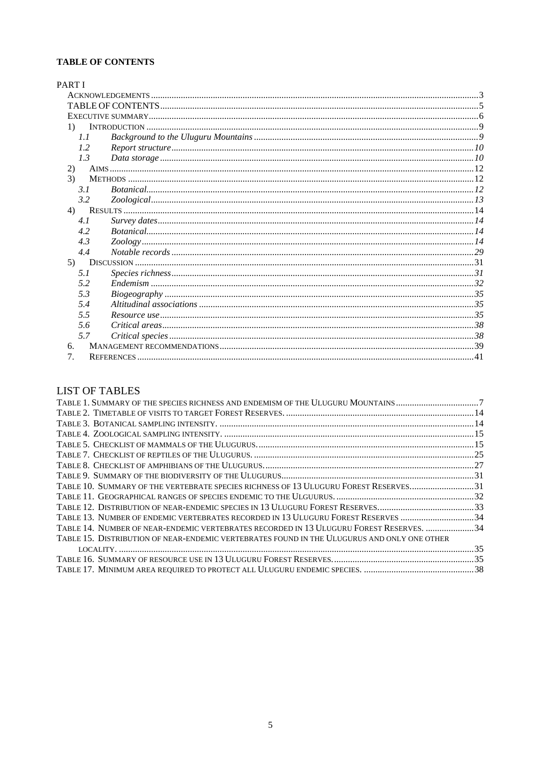#### **TABLE OF CONTENTS**

| <b>PART I</b>    |     |  |
|------------------|-----|--|
|                  |     |  |
|                  |     |  |
|                  |     |  |
| $\left(1\right)$ |     |  |
| 1.1              |     |  |
| 1.2              |     |  |
| 1.3              |     |  |
| 2)               |     |  |
| 3)               |     |  |
| 3.1              |     |  |
| 3.2              |     |  |
| 4)               |     |  |
| 4.1              |     |  |
| 4.2              |     |  |
| 4.3              |     |  |
| 4.4              |     |  |
| 5)               |     |  |
| 5.1              |     |  |
| 5.2              |     |  |
| 5.3              |     |  |
| 5.4              |     |  |
| 5.5              |     |  |
| 5.6              |     |  |
|                  | 5.7 |  |
| б.               |     |  |
| 7.               |     |  |

## **LIST OF TABLES**

| TABLE 1. SUMMARY OF THE SPECIES RICHNESS AND ENDEMISM OF THE ULUGURU MOUNTAINS 7            |  |
|---------------------------------------------------------------------------------------------|--|
|                                                                                             |  |
|                                                                                             |  |
|                                                                                             |  |
|                                                                                             |  |
|                                                                                             |  |
|                                                                                             |  |
|                                                                                             |  |
| TABLE 10. SUMMARY OF THE VERTEBRATE SPECIES RICHNESS OF 13 ULUGURU FOREST RESERVES31        |  |
|                                                                                             |  |
|                                                                                             |  |
| TABLE 13. NUMBER OF ENDEMIC VERTEBRATES RECORDED IN 13 ULUGURU FOREST RESERVES  34          |  |
| TABLE 14. NUMBER OF NEAR-ENDEMIC VERTEBRATES RECORDED IN 13 ULUGURU FOREST RESERVES.  34    |  |
| TABLE 15. DISTRIBUTION OF NEAR-ENDEMIC VERTEBRATES FOUND IN THE ULUGURUS AND ONLY ONE OTHER |  |
|                                                                                             |  |
|                                                                                             |  |
|                                                                                             |  |
|                                                                                             |  |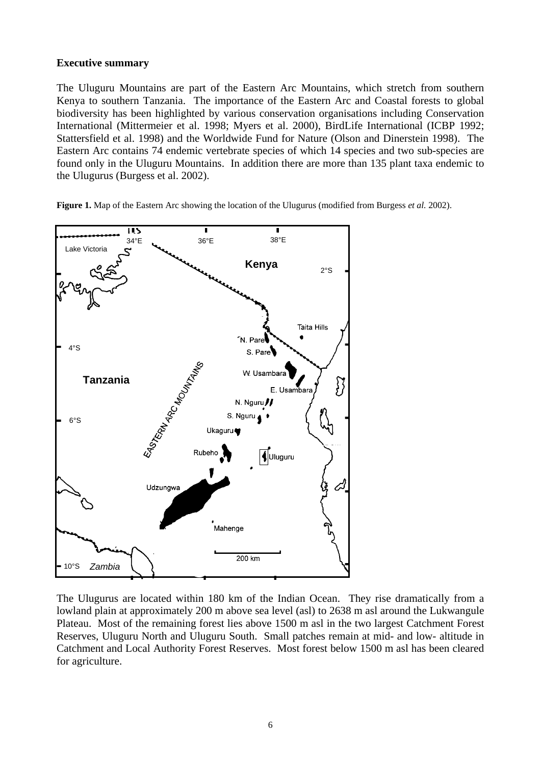#### **Executive summary**

The Uluguru Mountains are part of the Eastern Arc Mountains, which stretch from southern Kenya to southern Tanzania. The importance of the Eastern Arc and Coastal forests to global biodiversity has been highlighted by various conservation organisations including Conservation International (Mittermeier et al. 1998; Myers et al. 2000), BirdLife International (ICBP 1992; Stattersfield et al. 1998) and the Worldwide Fund for Nature (Olson and Dinerstein 1998). The Eastern Arc contains 74 endemic vertebrate species of which 14 species and two sub-species are found only in the Uluguru Mountains. In addition there are more than 135 plant taxa endemic to the Ulugurus (Burgess et al. 2002).

**Figure 1.** Map of the Eastern Arc showing the location of the Ulugurus (modified from Burgess *et al.* 2002).



The Ulugurus are located within 180 km of the Indian Ocean. They rise dramatically from a lowland plain at approximately 200 m above sea level (asl) to 2638 m asl around the Lukwangule Plateau. Most of the remaining forest lies above 1500 m asl in the two largest Catchment Forest Reserves, Uluguru North and Uluguru South. Small patches remain at mid- and low- altitude in Catchment and Local Authority Forest Reserves. Most forest below 1500 m asl has been cleared for agriculture.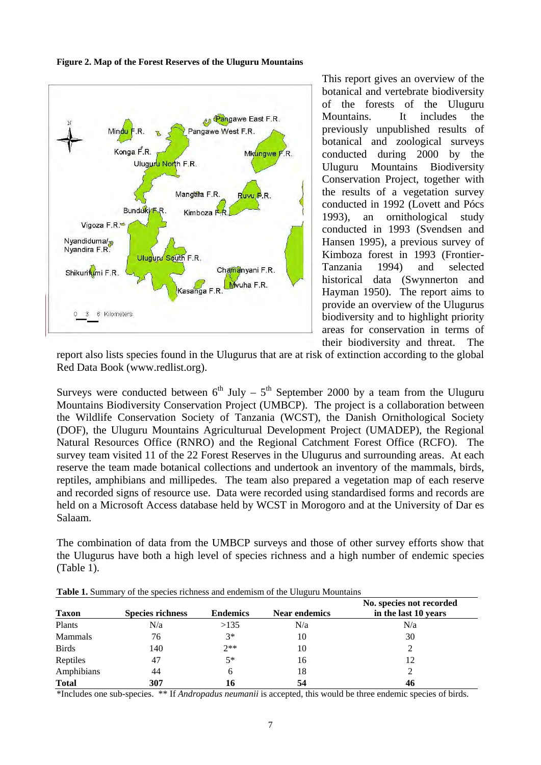

**Figure 2. Map of the Forest Reserves of the Uluguru Mountains** 

This report gives an overview of the botanical and vertebrate biodiversity of the forests of the Uluguru Mountains. It includes the previously unpublished results of botanical and zoological surveys conducted during 2000 by the Uluguru Mountains Biodiversity Conservation Project, together with the results of a vegetation survey conducted in 1992 (Lovett and Pócs 1993), an ornithological study conducted in 1993 (Svendsen and Hansen 1995), a previous survey of Kimboza forest in 1993 (Frontier-Tanzania 1994) and selected historical data (Swynnerton and Hayman 1950). The report aims to provide an overview of the Ulugurus biodiversity and to highlight priority areas for conservation in terms of their biodiversity and threat. The

report also lists species found in the Ulugurus that are at risk of extinction according to the global Red Data Book (www.redlist.org).

Surveys were conducted between  $6<sup>th</sup>$  July –  $5<sup>th</sup>$  September 2000 by a team from the Uluguru Mountains Biodiversity Conservation Project (UMBCP). The project is a collaboration between the Wildlife Conservation Society of Tanzania (WCST), the Danish Ornithological Society (DOF), the Uluguru Mountains Agriculturual Development Project (UMADEP), the Regional Natural Resources Office (RNRO) and the Regional Catchment Forest Office (RCFO). The survey team visited 11 of the 22 Forest Reserves in the Ulugurus and surrounding areas. At each reserve the team made botanical collections and undertook an inventory of the mammals, birds, reptiles, amphibians and millipedes. The team also prepared a vegetation map of each reserve and recorded signs of resource use. Data were recorded using standardised forms and records are held on a Microsoft Access database held by WCST in Morogoro and at the University of Dar es Salaam.

The combination of data from the UMBCP surveys and those of other survey efforts show that the Ulugurus have both a high level of species richness and a high number of endemic species (Table 1).

| <b>Taxon</b> | <b>Species richness</b> | <b>Endemics</b> | <b>Near endemics</b> | No. species not recorded<br>in the last 10 years |
|--------------|-------------------------|-----------------|----------------------|--------------------------------------------------|
| Plants       | N/a                     | >135            | N/a                  | N/a                                              |
| Mammals      | 76                      | $3*$            | 10                   | 30                                               |
| <b>Birds</b> | 140                     | $2**$           | 10                   | ◠                                                |
| Reptiles     | 47                      | $5*$            | 16                   | 12                                               |
| Amphibians   | 44                      | h               | 18                   | ∍                                                |
| <b>Total</b> | 307                     | 16              | 54                   | 46                                               |

**Table 1.** Summary of the species richness and endemism of the Uluguru Mountains

\*Includes one sub-species. \*\* If *Andropadus neumanii* is accepted, this would be three endemic species of birds.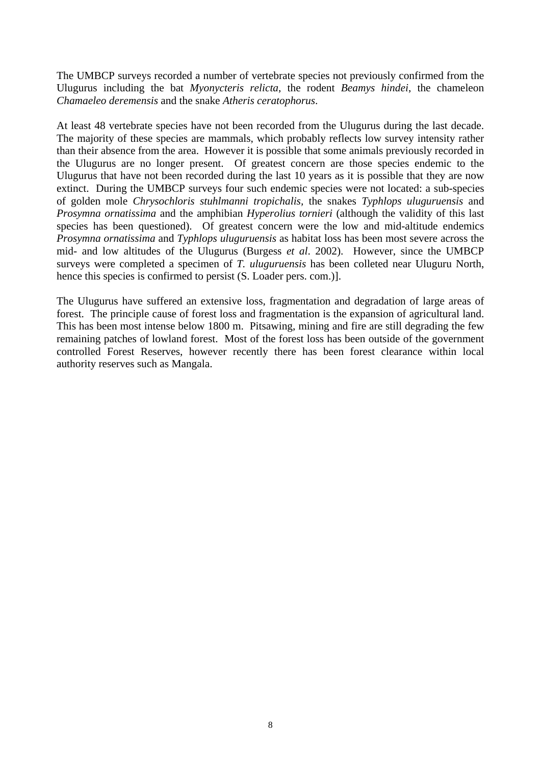The UMBCP surveys recorded a number of vertebrate species not previously confirmed from the Ulugurus including the bat *Myonycteris relicta*, the rodent *Beamys hindei*, the chameleon *Chamaeleo deremensis* and the snake *Atheris ceratophorus*.

At least 48 vertebrate species have not been recorded from the Ulugurus during the last decade. The majority of these species are mammals, which probably reflects low survey intensity rather than their absence from the area. However it is possible that some animals previously recorded in the Ulugurus are no longer present. Of greatest concern are those species endemic to the Ulugurus that have not been recorded during the last 10 years as it is possible that they are now extinct. During the UMBCP surveys four such endemic species were not located: a sub-species of golden mole *Chrysochloris stuhlmanni tropichalis,* the snakes *Typhlops uluguruensis* and *Prosymna ornatissima* and the amphibian *Hyperolius tornieri* (although the validity of this last species has been questioned). Of greatest concern were the low and mid-altitude endemics *Prosymna ornatissima* and *Typhlops uluguruensis* as habitat loss has been most severe across the mid- and low altitudes of the Ulugurus (Burgess *et al*. 2002). However, since the UMBCP surveys were completed a specimen of *T. uluguruensis* has been colleted near Uluguru North, hence this species is confirmed to persist (S. Loader pers. com.)].

The Ulugurus have suffered an extensive loss, fragmentation and degradation of large areas of forest. The principle cause of forest loss and fragmentation is the expansion of agricultural land. This has been most intense below 1800 m. Pitsawing, mining and fire are still degrading the few remaining patches of lowland forest. Most of the forest loss has been outside of the government controlled Forest Reserves, however recently there has been forest clearance within local authority reserves such as Mangala.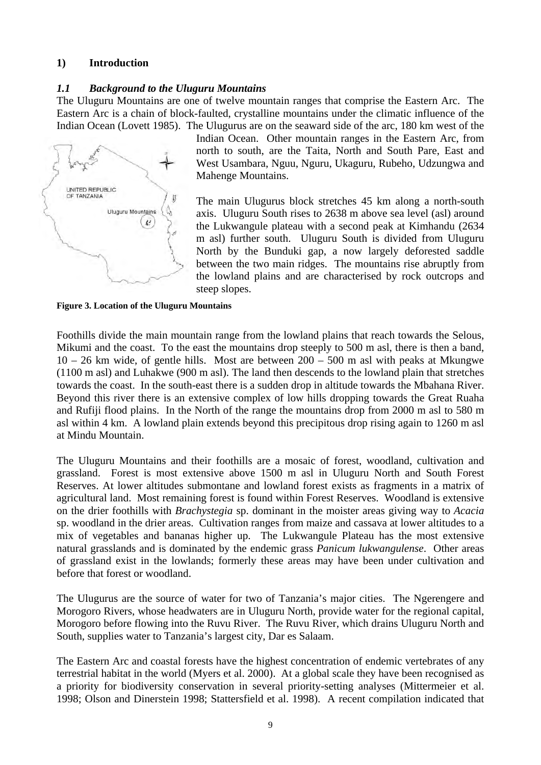## **1) Introduction**

## *1.1 Background to the Uluguru Mountains*

The Uluguru Mountains are one of twelve mountain ranges that comprise the Eastern Arc. The Eastern Arc is a chain of block-faulted, crystalline mountains under the climatic influence of the Indian Ocean (Lovett 1985). The Ulugurus are on the seaward side of the arc, 180 km west of the



Indian Ocean. Other mountain ranges in the Eastern Arc, from north to south, are the Taita, North and South Pare, East and West Usambara, Nguu, Nguru, Ukaguru, Rubeho, Udzungwa and Mahenge Mountains.

The main Ulugurus block stretches 45 km along a north-south axis. Uluguru South rises to 2638 m above sea level (asl) around the Lukwangule plateau with a second peak at Kimhandu (2634 m asl) further south. Uluguru South is divided from Uluguru North by the Bunduki gap, a now largely deforested saddle between the two main ridges. The mountains rise abruptly from the lowland plains and are characterised by rock outcrops and steep slopes.

**Figure 3. Location of the Uluguru Mountains** 

Foothills divide the main mountain range from the lowland plains that reach towards the Selous, Mikumi and the coast. To the east the mountains drop steeply to 500 m asl, there is then a band,  $10 - 26$  km wide, of gentle hills. Most are between  $200 - 500$  m asl with peaks at Mkungwe (1100 m asl) and Luhakwe (900 m asl). The land then descends to the lowland plain that stretches towards the coast. In the south-east there is a sudden drop in altitude towards the Mbahana River. Beyond this river there is an extensive complex of low hills dropping towards the Great Ruaha and Rufiji flood plains. In the North of the range the mountains drop from 2000 m asl to 580 m asl within 4 km. A lowland plain extends beyond this precipitous drop rising again to 1260 m asl at Mindu Mountain.

The Uluguru Mountains and their foothills are a mosaic of forest, woodland, cultivation and grassland. Forest is most extensive above 1500 m asl in Uluguru North and South Forest Reserves. At lower altitudes submontane and lowland forest exists as fragments in a matrix of agricultural land. Most remaining forest is found within Forest Reserves. Woodland is extensive on the drier foothills with *Brachystegia* sp. dominant in the moister areas giving way to *Acacia* sp. woodland in the drier areas. Cultivation ranges from maize and cassava at lower altitudes to a mix of vegetables and bananas higher up. The Lukwangule Plateau has the most extensive natural grasslands and is dominated by the endemic grass *Panicum lukwangulense*. Other areas of grassland exist in the lowlands; formerly these areas may have been under cultivation and before that forest or woodland.

The Ulugurus are the source of water for two of Tanzania's major cities. The Ngerengere and Morogoro Rivers, whose headwaters are in Uluguru North, provide water for the regional capital, Morogoro before flowing into the Ruvu River. The Ruvu River, which drains Uluguru North and South, supplies water to Tanzania's largest city, Dar es Salaam.

The Eastern Arc and coastal forests have the highest concentration of endemic vertebrates of any terrestrial habitat in the world (Myers et al. 2000). At a global scale they have been recognised as a priority for biodiversity conservation in several priority-setting analyses (Mittermeier et al. 1998; Olson and Dinerstein 1998; Stattersfield et al. 1998). A recent compilation indicated that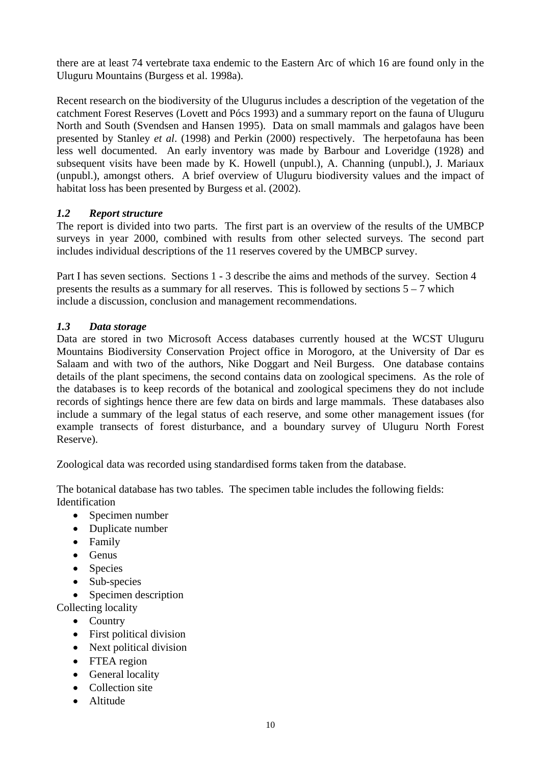there are at least 74 vertebrate taxa endemic to the Eastern Arc of which 16 are found only in the Uluguru Mountains (Burgess et al. 1998a).

Recent research on the biodiversity of the Ulugurus includes a description of the vegetation of the catchment Forest Reserves (Lovett and Pócs 1993) and a summary report on the fauna of Uluguru North and South (Svendsen and Hansen 1995). Data on small mammals and galagos have been presented by Stanley *et al*. (1998) and Perkin (2000) respectively. The herpetofauna has been less well documented. An early inventory was made by Barbour and Loveridge (1928) and subsequent visits have been made by K. Howell (unpubl.), A. Channing (unpubl.), J. Mariaux (unpubl.), amongst others. A brief overview of Uluguru biodiversity values and the impact of habitat loss has been presented by Burgess et al. (2002).

## *1.2 Report structure*

The report is divided into two parts. The first part is an overview of the results of the UMBCP surveys in year 2000, combined with results from other selected surveys. The second part includes individual descriptions of the 11 reserves covered by the UMBCP survey.

Part I has seven sections. Sections 1 - 3 describe the aims and methods of the survey. Section 4 presents the results as a summary for all reserves. This is followed by sections  $5 - 7$  which include a discussion, conclusion and management recommendations.

## *1.3 Data storage*

Data are stored in two Microsoft Access databases currently housed at the WCST Uluguru Mountains Biodiversity Conservation Project office in Morogoro, at the University of Dar es Salaam and with two of the authors, Nike Doggart and Neil Burgess. One database contains details of the plant specimens, the second contains data on zoological specimens. As the role of the databases is to keep records of the botanical and zoological specimens they do not include records of sightings hence there are few data on birds and large mammals. These databases also include a summary of the legal status of each reserve, and some other management issues (for example transects of forest disturbance, and a boundary survey of Uluguru North Forest Reserve).

Zoological data was recorded using standardised forms taken from the database.

The botanical database has two tables. The specimen table includes the following fields: Identification

- Specimen number
- Duplicate number
- Family
- $\bullet$  Genus
- Species
- Sub-species
- Specimen description
- Collecting locality
	- Country
	- First political division
	- Next political division
	- FTEA region
	- General locality
	- Collection site
	- Altitude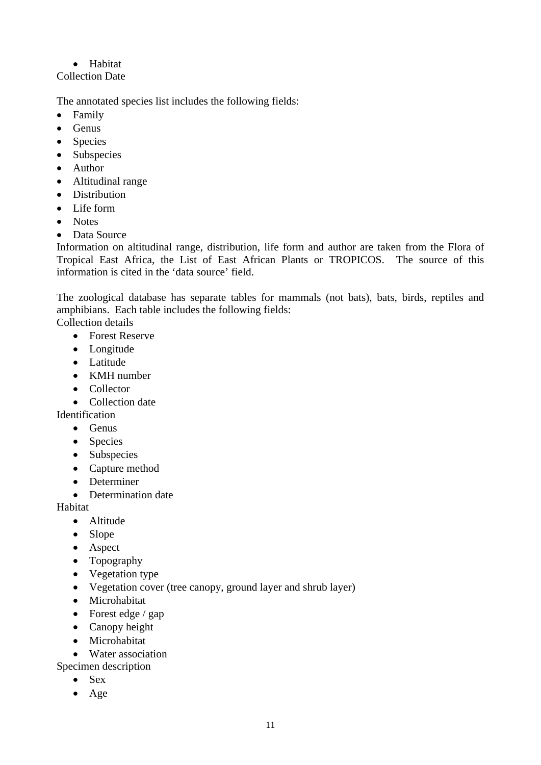## • Habitat

## Collection Date

The annotated species list includes the following fields:

- Family
- $\bullet$  Genus
- Species
- Subspecies
- Author
- Altitudinal range
- Distribution
- Life form
- Notes
- Data Source

Information on altitudinal range, distribution, life form and author are taken from the Flora of Tropical East Africa, the List of East African Plants or TROPICOS. The source of this information is cited in the 'data source' field.

The zoological database has separate tables for mammals (not bats), bats, birds, reptiles and amphibians. Each table includes the following fields:

Collection details

- Forest Reserve
- Longitude
- Latitude
- KMH number
- Collector
- Collection date

Identification

- Genus
- Species
- Subspecies
- Capture method
- Determiner
- Determination date

Habitat

- Altitude
- Slope
- Aspect
- Topography
- Vegetation type
- Vegetation cover (tree canopy, ground layer and shrub layer)
- Microhabitat
- Forest edge  $/$  gap
- Canopy height
- Microhabitat

• Water association

- Specimen description
	- Sex
	- Age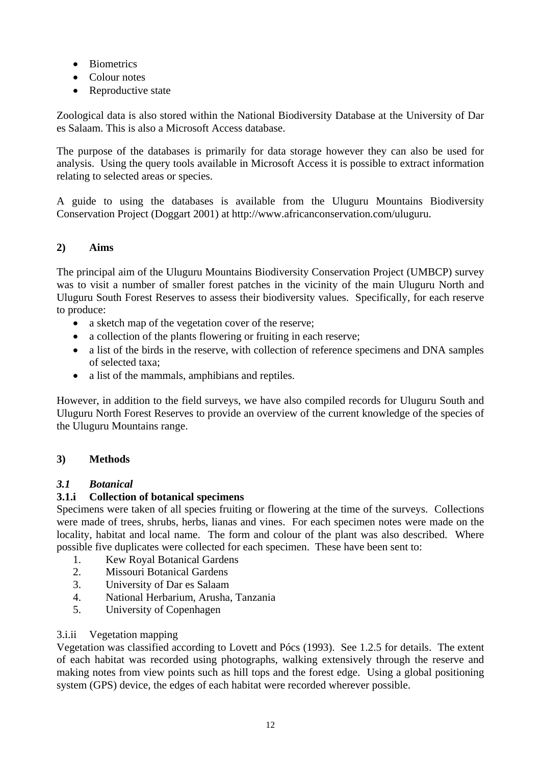- **Biometrics**
- Colour notes
- Reproductive state

Zoological data is also stored within the National Biodiversity Database at the University of Dar es Salaam. This is also a Microsoft Access database.

The purpose of the databases is primarily for data storage however they can also be used for analysis. Using the query tools available in Microsoft Access it is possible to extract information relating to selected areas or species.

A guide to using the databases is available from the Uluguru Mountains Biodiversity Conservation Project (Doggart 2001) at http://www.africanconservation.com/uluguru.

## **2) Aims**

The principal aim of the Uluguru Mountains Biodiversity Conservation Project (UMBCP) survey was to visit a number of smaller forest patches in the vicinity of the main Uluguru North and Uluguru South Forest Reserves to assess their biodiversity values. Specifically, for each reserve to produce:

- a sketch map of the vegetation cover of the reserve;
- a collection of the plants flowering or fruiting in each reserve;
- a list of the birds in the reserve, with collection of reference specimens and DNA samples of selected taxa;
- a list of the mammals, amphibians and reptiles.

However, in addition to the field surveys, we have also compiled records for Uluguru South and Uluguru North Forest Reserves to provide an overview of the current knowledge of the species of the Uluguru Mountains range.

#### **3) Methods**

#### *3.1 Botanical*

## **3.1.i Collection of botanical specimens**

Specimens were taken of all species fruiting or flowering at the time of the surveys. Collections were made of trees, shrubs, herbs, lianas and vines. For each specimen notes were made on the locality, habitat and local name. The form and colour of the plant was also described. Where possible five duplicates were collected for each specimen. These have been sent to:

- 1. Kew Royal Botanical Gardens
- 2. Missouri Botanical Gardens
- 3. University of Dar es Salaam
- 4. National Herbarium, Arusha, Tanzania
- 5. University of Copenhagen

#### 3.i.ii Vegetation mapping

Vegetation was classified according to Lovett and Pócs (1993). See 1.2.5 for details. The extent of each habitat was recorded using photographs, walking extensively through the reserve and making notes from view points such as hill tops and the forest edge. Using a global positioning system (GPS) device, the edges of each habitat were recorded wherever possible.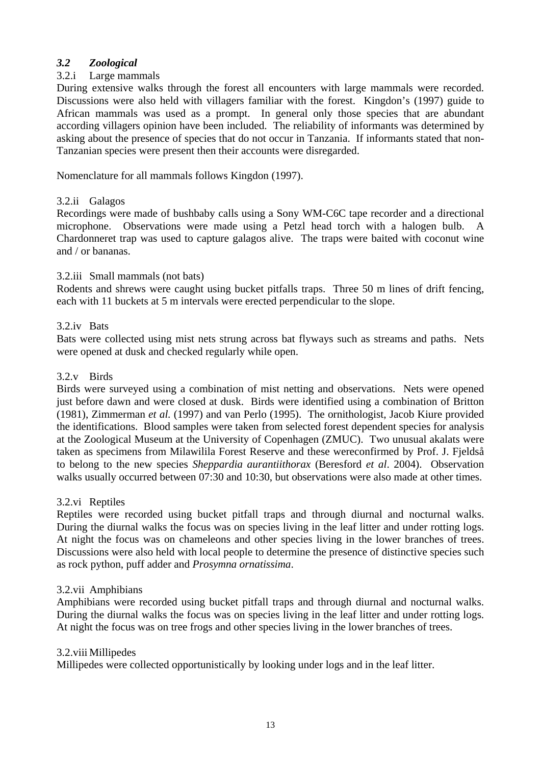## *3.2 Zoological*

## 3.2.i Large mammals

During extensive walks through the forest all encounters with large mammals were recorded. Discussions were also held with villagers familiar with the forest. Kingdon's (1997) guide to African mammals was used as a prompt. In general only those species that are abundant according villagers opinion have been included. The reliability of informants was determined by asking about the presence of species that do not occur in Tanzania. If informants stated that non-Tanzanian species were present then their accounts were disregarded.

Nomenclature for all mammals follows Kingdon (1997).

## 3.2.ii Galagos

Recordings were made of bushbaby calls using a Sony WM-C6C tape recorder and a directional microphone. Observations were made using a Petzl head torch with a halogen bulb. A Chardonneret trap was used to capture galagos alive. The traps were baited with coconut wine and / or bananas.

#### 3.2.iii Small mammals (not bats)

Rodents and shrews were caught using bucket pitfalls traps. Three 50 m lines of drift fencing, each with 11 buckets at 5 m intervals were erected perpendicular to the slope.

#### 3.2.iv Bats

Bats were collected using mist nets strung across bat flyways such as streams and paths. Nets were opened at dusk and checked regularly while open.

## 3.2.v Birds

Birds were surveyed using a combination of mist netting and observations. Nets were opened just before dawn and were closed at dusk. Birds were identified using a combination of Britton (1981), Zimmerman *et al.* (1997) and van Perlo (1995). The ornithologist, Jacob Kiure provided the identifications. Blood samples were taken from selected forest dependent species for analysis at the Zoological Museum at the University of Copenhagen (ZMUC). Two unusual akalats were taken as specimens from Milawilila Forest Reserve and these wereconfirmed by Prof. J. Fjeldså to belong to the new species *Sheppardia aurantiithorax* (Beresford *et al*. 2004). Observation walks usually occurred between 07:30 and 10:30, but observations were also made at other times.

#### 3.2.vi Reptiles

Reptiles were recorded using bucket pitfall traps and through diurnal and nocturnal walks. During the diurnal walks the focus was on species living in the leaf litter and under rotting logs. At night the focus was on chameleons and other species living in the lower branches of trees. Discussions were also held with local people to determine the presence of distinctive species such as rock python, puff adder and *Prosymna ornatissima*.

#### 3.2.vii Amphibians

Amphibians were recorded using bucket pitfall traps and through diurnal and nocturnal walks. During the diurnal walks the focus was on species living in the leaf litter and under rotting logs. At night the focus was on tree frogs and other species living in the lower branches of trees.

#### 3.2.viii Millipedes

Millipedes were collected opportunistically by looking under logs and in the leaf litter.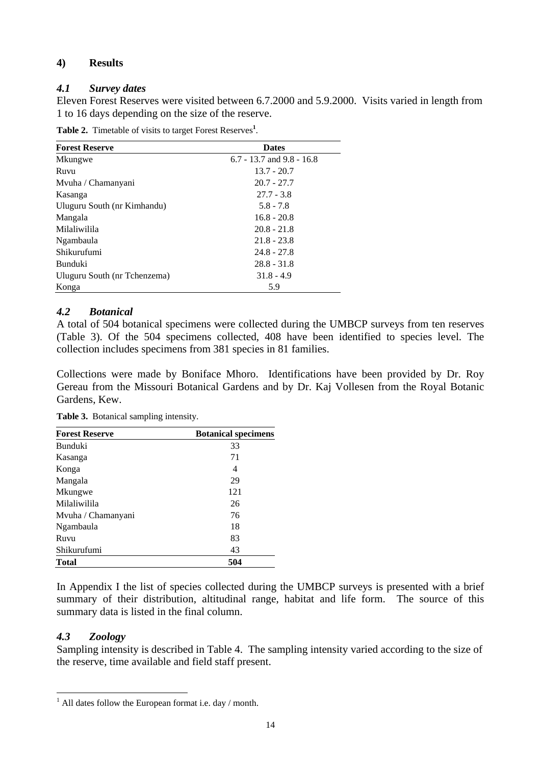## **4) Results**

## *4.1 Survey dates*

Eleven Forest Reserves were visited between 6.7.2000 and 5.9.2000. Visits varied in length from 1 to 16 days depending on the size of the reserve.

**Table 2.** Timetable of visits to target Forest Reserves**<sup>1</sup>** .

| <b>Forest Reserve</b>        | <b>Dates</b>                  |
|------------------------------|-------------------------------|
| Mkungwe                      | $6.7 - 13.7$ and $9.8 - 16.8$ |
| Ruvu                         | $13.7 - 20.7$                 |
| Mvuha / Chamanyani           | $20.7 - 27.7$                 |
| Kasanga                      | $27.7 - 3.8$                  |
| Uluguru South (nr Kimhandu)  | $5.8 - 7.8$                   |
| Mangala                      | $16.8 - 20.8$                 |
| Milaliwilila                 | $20.8 - 21.8$                 |
| Ngambaula                    | $21.8 - 23.8$                 |
| Shikurufumi                  | $24.8 - 27.8$                 |
| <b>Bunduki</b>               | $28.8 - 31.8$                 |
| Uluguru South (nr Tchenzema) | $31.8 - 4.9$                  |
| Konga                        | 5.9                           |

## *4.2 Botanical*

A total of 504 botanical specimens were collected during the UMBCP surveys from ten reserves (Table 3). Of the 504 specimens collected, 408 have been identified to species level. The collection includes specimens from 381 species in 81 families.

Collections were made by Boniface Mhoro. Identifications have been provided by Dr. Roy Gereau from the Missouri Botanical Gardens and by Dr. Kaj Vollesen from the Royal Botanic Gardens, Kew.

| <b>Forest Reserve</b> | <b>Botanical specimens</b> |
|-----------------------|----------------------------|
| Bunduki               | 33                         |
| Kasanga               | 71                         |
| Konga                 | 4                          |
| Mangala               | 29                         |
| Mkungwe               | 121                        |
| Milaliwilila          | 26                         |
| Mvuha / Chamanyani    | 76                         |
| Ngambaula             | 18                         |
| Ruvu                  | 83                         |
| Shikurufumi           | 43                         |
| <b>Total</b>          | 504                        |

**Table 3.** Botanical sampling intensity.

In Appendix I the list of species collected during the UMBCP surveys is presented with a brief summary of their distribution, altitudinal range, habitat and life form. The source of this summary data is listed in the final column.

## *4.3 Zoology*

 $\overline{a}$ 

Sampling intensity is described in Table 4. The sampling intensity varied according to the size of the reserve, time available and field staff present.

 $<sup>1</sup>$  All dates follow the European format i.e. day / month.</sup>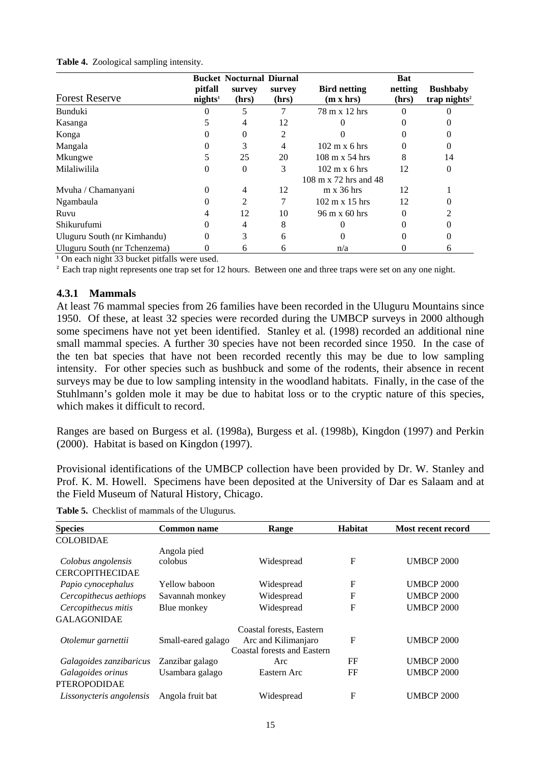|                              |                                | <b>Bucket Nocturnal Diurnal</b> |                 |                                                               | <b>Bat</b>       |                                             |
|------------------------------|--------------------------------|---------------------------------|-----------------|---------------------------------------------------------------|------------------|---------------------------------------------|
| <b>Forest Reserve</b>        | pitfall<br>nights <sup>1</sup> | survey<br>(hrs)                 | survey<br>(hrs) | <b>Bird netting</b><br>$(m \times hrs)$                       | netting<br>(hrs) | <b>Bushbaby</b><br>trap nights <sup>2</sup> |
| Bunduki                      |                                | 5                               |                 | 78 m x 12 hrs                                                 | 0                |                                             |
| Kasanga                      |                                | 4                               | 12              |                                                               |                  |                                             |
| Konga                        | 0                              | 0                               | 2               |                                                               |                  |                                             |
| Mangala                      |                                | 3                               | 4               | $102 \text{ m} \times 6 \text{ hrs}$                          | 0                | 0                                           |
| Mkungwe                      |                                | 25                              | 20              | $108 \text{ m} \times 54 \text{ hrs}$                         | 8                | 14                                          |
| Milaliwilila                 |                                | $\Omega$                        | 3               | $102 \text{ m} \times 6 \text{ hrs}$<br>108 m x 72 hrs and 48 | 12               | 0                                           |
| Mvuha / Chamanyani           | 0                              | 4                               | 12              | $m \times 36$ hrs                                             | 12               |                                             |
| Ngambaula                    |                                | 2                               |                 | $102 \text{ m} \times 15 \text{ hrs}$                         | 12               |                                             |
| Ruvu                         |                                | 12                              | 10              | 96 m x 60 hrs                                                 | 0                |                                             |
| Shikurufumi                  |                                | 4                               | 8               |                                                               |                  |                                             |
| Uluguru South (nr Kimhandu)  | 0                              | 3                               | 6               |                                                               |                  |                                             |
| Uluguru South (nr Tchenzema) |                                | 6                               | 6               | n/a                                                           |                  | O                                           |

#### **Table 4.** Zoological sampling intensity.

**1** On each night 33 bucket pitfalls were used.

<sup>2</sup> Each trap night represents one trap set for 12 hours. Between one and three traps were set on any one night.

#### **4.3.1 Mammals**

At least 76 mammal species from 26 families have been recorded in the Uluguru Mountains since 1950. Of these, at least 32 species were recorded during the UMBCP surveys in 2000 although some specimens have not yet been identified. Stanley et al*.* (1998) recorded an additional nine small mammal species. A further 30 species have not been recorded since 1950. In the case of the ten bat species that have not been recorded recently this may be due to low sampling intensity. For other species such as bushbuck and some of the rodents, their absence in recent surveys may be due to low sampling intensity in the woodland habitats. Finally, in the case of the Stuhlmann's golden mole it may be due to habitat loss or to the cryptic nature of this species, which makes it difficult to record.

Ranges are based on Burgess et al. (1998a), Burgess et al. (1998b), Kingdon (1997) and Perkin (2000). Habitat is based on Kingdon (1997).

Provisional identifications of the UMBCP collection have been provided by Dr. W. Stanley and Prof. K. M. Howell. Specimens have been deposited at the University of Dar es Salaam and at the Field Museum of Natural History, Chicago.

|  |  | Table 5. Checklist of mammals of the Ulugurus. |  |  |
|--|--|------------------------------------------------|--|--|
|--|--|------------------------------------------------|--|--|

| <b>Species</b>           | <b>Common name</b> | Range                              | <b>Habitat</b> | Most recent record |
|--------------------------|--------------------|------------------------------------|----------------|--------------------|
| <b>COLOBIDAE</b>         |                    |                                    |                |                    |
|                          | Angola pied        |                                    |                |                    |
| Colobus angolensis       | colobus            | Widespread                         | F              | <b>UMBCP 2000</b>  |
| <b>CERCOPITHECIDAE</b>   |                    |                                    |                |                    |
| Papio cynocephalus       | Yellow baboon      | Widespread                         | F              | <b>UMBCP 2000</b>  |
| Cercopithecus aethiops   | Savannah monkey    | Widespread                         | F              | <b>UMBCP 2000</b>  |
| Cercopithecus mitis      | Blue monkey        | Widespread                         | F              | <b>UMBCP 2000</b>  |
| <b>GALAGONIDAE</b>       |                    |                                    |                |                    |
|                          |                    | Coastal forests, Eastern           |                |                    |
| Otolemur garnettii       | Small-eared galago | Arc and Kilimanjaro                | F              | <b>UMBCP 2000</b>  |
|                          |                    | <b>Coastal forests and Eastern</b> |                |                    |
| Galagoides zanzibaricus  | Zanzibar galago    | Arc                                | FF             | <b>UMBCP 2000</b>  |
| Galagoides orinus        | Usambara galago    | Eastern Arc                        | FF             | <b>UMBCP 2000</b>  |
| <b>PTEROPODIDAE</b>      |                    |                                    |                |                    |
| Lissonycteris angolensis | Angola fruit bat   | Widespread                         | F              | <b>UMBCP 2000</b>  |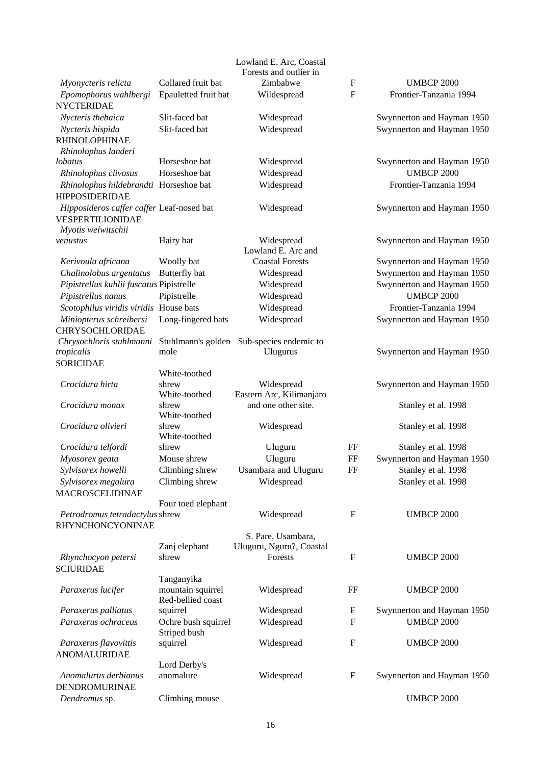| Collared fruit bat<br>Zimbabwe<br>F<br><b>UMBCP 2000</b><br>Myonycteris relicta<br>${\bf F}$<br>Epomophorus wahlbergi<br>Epauletted fruit bat<br>Frontier-Tanzania 1994<br>Wildespread<br><b>NYCTERIDAE</b><br>Slit-faced bat<br>Nycteris thebaica<br>Widespread<br>Swynnerton and Hayman 1950<br>Slit-faced bat<br>Swynnerton and Hayman 1950<br>Nycteris hispida<br>Widespread<br><b>RHINOLOPHINAE</b><br>Rhinolophus landeri<br>Horseshoe bat<br>Swynnerton and Hayman 1950<br>Widespread<br>lobatus<br><b>UMBCP 2000</b><br>Horseshoe bat<br>Widespread<br>Rhinolophus clivosus<br>Widespread<br>Frontier-Tanzania 1994<br>Rhinolophus hildebrandti Horseshoe bat<br><b>HIPPOSIDERIDAE</b><br>Hipposideros caffer caffer Leaf-nosed bat<br>Widespread<br>Swynnerton and Hayman 1950<br>VESPERTILIONIDAE<br>Myotis welwitschii<br>Widespread<br>Hairy bat<br>Swynnerton and Hayman 1950<br>venustus<br>Lowland E. Arc and<br><b>Coastal Forests</b><br>Kerivoula africana<br>Woolly bat<br>Swynnerton and Hayman 1950<br>Swynnerton and Hayman 1950<br>Butterfly bat<br>Chalinolobus argentatus<br>Widespread<br>Pipistrellus kuhlii fuscatus Pipistrelle<br>Swynnerton and Hayman 1950<br>Widespread<br>Pipistrelle<br><b>UMBCP 2000</b><br>Pipistrellus nanus<br>Widespread<br>Scotophilus viridis viridis House bats<br>Widespread<br>Frontier-Tanzania 1994<br>Widespread<br>Miniopterus schreibersi<br>Long-fingered bats<br>Swynnerton and Hayman 1950<br><b>CHRYSOCHLORIDAE</b><br>Chrysochloris stuhlmanni<br>Stuhlmann's golden Sub-species endemic to<br>Swynnerton and Hayman 1950<br>tropicalis<br>mole<br>Ulugurus |  | Lowland E. Arc, Coastal<br>Forests and outlier in |  |
|------------------------------------------------------------------------------------------------------------------------------------------------------------------------------------------------------------------------------------------------------------------------------------------------------------------------------------------------------------------------------------------------------------------------------------------------------------------------------------------------------------------------------------------------------------------------------------------------------------------------------------------------------------------------------------------------------------------------------------------------------------------------------------------------------------------------------------------------------------------------------------------------------------------------------------------------------------------------------------------------------------------------------------------------------------------------------------------------------------------------------------------------------------------------------------------------------------------------------------------------------------------------------------------------------------------------------------------------------------------------------------------------------------------------------------------------------------------------------------------------------------------------------------------------------------------------------------------------------------------------------------|--|---------------------------------------------------|--|
|                                                                                                                                                                                                                                                                                                                                                                                                                                                                                                                                                                                                                                                                                                                                                                                                                                                                                                                                                                                                                                                                                                                                                                                                                                                                                                                                                                                                                                                                                                                                                                                                                                    |  |                                                   |  |
|                                                                                                                                                                                                                                                                                                                                                                                                                                                                                                                                                                                                                                                                                                                                                                                                                                                                                                                                                                                                                                                                                                                                                                                                                                                                                                                                                                                                                                                                                                                                                                                                                                    |  |                                                   |  |
|                                                                                                                                                                                                                                                                                                                                                                                                                                                                                                                                                                                                                                                                                                                                                                                                                                                                                                                                                                                                                                                                                                                                                                                                                                                                                                                                                                                                                                                                                                                                                                                                                                    |  |                                                   |  |
|                                                                                                                                                                                                                                                                                                                                                                                                                                                                                                                                                                                                                                                                                                                                                                                                                                                                                                                                                                                                                                                                                                                                                                                                                                                                                                                                                                                                                                                                                                                                                                                                                                    |  |                                                   |  |
|                                                                                                                                                                                                                                                                                                                                                                                                                                                                                                                                                                                                                                                                                                                                                                                                                                                                                                                                                                                                                                                                                                                                                                                                                                                                                                                                                                                                                                                                                                                                                                                                                                    |  |                                                   |  |
|                                                                                                                                                                                                                                                                                                                                                                                                                                                                                                                                                                                                                                                                                                                                                                                                                                                                                                                                                                                                                                                                                                                                                                                                                                                                                                                                                                                                                                                                                                                                                                                                                                    |  |                                                   |  |
|                                                                                                                                                                                                                                                                                                                                                                                                                                                                                                                                                                                                                                                                                                                                                                                                                                                                                                                                                                                                                                                                                                                                                                                                                                                                                                                                                                                                                                                                                                                                                                                                                                    |  |                                                   |  |
|                                                                                                                                                                                                                                                                                                                                                                                                                                                                                                                                                                                                                                                                                                                                                                                                                                                                                                                                                                                                                                                                                                                                                                                                                                                                                                                                                                                                                                                                                                                                                                                                                                    |  |                                                   |  |
|                                                                                                                                                                                                                                                                                                                                                                                                                                                                                                                                                                                                                                                                                                                                                                                                                                                                                                                                                                                                                                                                                                                                                                                                                                                                                                                                                                                                                                                                                                                                                                                                                                    |  |                                                   |  |
|                                                                                                                                                                                                                                                                                                                                                                                                                                                                                                                                                                                                                                                                                                                                                                                                                                                                                                                                                                                                                                                                                                                                                                                                                                                                                                                                                                                                                                                                                                                                                                                                                                    |  |                                                   |  |
|                                                                                                                                                                                                                                                                                                                                                                                                                                                                                                                                                                                                                                                                                                                                                                                                                                                                                                                                                                                                                                                                                                                                                                                                                                                                                                                                                                                                                                                                                                                                                                                                                                    |  |                                                   |  |
|                                                                                                                                                                                                                                                                                                                                                                                                                                                                                                                                                                                                                                                                                                                                                                                                                                                                                                                                                                                                                                                                                                                                                                                                                                                                                                                                                                                                                                                                                                                                                                                                                                    |  |                                                   |  |
|                                                                                                                                                                                                                                                                                                                                                                                                                                                                                                                                                                                                                                                                                                                                                                                                                                                                                                                                                                                                                                                                                                                                                                                                                                                                                                                                                                                                                                                                                                                                                                                                                                    |  |                                                   |  |
|                                                                                                                                                                                                                                                                                                                                                                                                                                                                                                                                                                                                                                                                                                                                                                                                                                                                                                                                                                                                                                                                                                                                                                                                                                                                                                                                                                                                                                                                                                                                                                                                                                    |  |                                                   |  |
|                                                                                                                                                                                                                                                                                                                                                                                                                                                                                                                                                                                                                                                                                                                                                                                                                                                                                                                                                                                                                                                                                                                                                                                                                                                                                                                                                                                                                                                                                                                                                                                                                                    |  |                                                   |  |
|                                                                                                                                                                                                                                                                                                                                                                                                                                                                                                                                                                                                                                                                                                                                                                                                                                                                                                                                                                                                                                                                                                                                                                                                                                                                                                                                                                                                                                                                                                                                                                                                                                    |  |                                                   |  |
|                                                                                                                                                                                                                                                                                                                                                                                                                                                                                                                                                                                                                                                                                                                                                                                                                                                                                                                                                                                                                                                                                                                                                                                                                                                                                                                                                                                                                                                                                                                                                                                                                                    |  |                                                   |  |
|                                                                                                                                                                                                                                                                                                                                                                                                                                                                                                                                                                                                                                                                                                                                                                                                                                                                                                                                                                                                                                                                                                                                                                                                                                                                                                                                                                                                                                                                                                                                                                                                                                    |  |                                                   |  |
|                                                                                                                                                                                                                                                                                                                                                                                                                                                                                                                                                                                                                                                                                                                                                                                                                                                                                                                                                                                                                                                                                                                                                                                                                                                                                                                                                                                                                                                                                                                                                                                                                                    |  |                                                   |  |
|                                                                                                                                                                                                                                                                                                                                                                                                                                                                                                                                                                                                                                                                                                                                                                                                                                                                                                                                                                                                                                                                                                                                                                                                                                                                                                                                                                                                                                                                                                                                                                                                                                    |  |                                                   |  |
|                                                                                                                                                                                                                                                                                                                                                                                                                                                                                                                                                                                                                                                                                                                                                                                                                                                                                                                                                                                                                                                                                                                                                                                                                                                                                                                                                                                                                                                                                                                                                                                                                                    |  |                                                   |  |
| <b>SORICIDAE</b><br>White-toothed                                                                                                                                                                                                                                                                                                                                                                                                                                                                                                                                                                                                                                                                                                                                                                                                                                                                                                                                                                                                                                                                                                                                                                                                                                                                                                                                                                                                                                                                                                                                                                                                  |  |                                                   |  |
| Crocidura hirta<br>Widespread<br>shrew<br>Swynnerton and Hayman 1950                                                                                                                                                                                                                                                                                                                                                                                                                                                                                                                                                                                                                                                                                                                                                                                                                                                                                                                                                                                                                                                                                                                                                                                                                                                                                                                                                                                                                                                                                                                                                               |  |                                                   |  |
| Eastern Arc, Kilimanjaro<br>White-toothed                                                                                                                                                                                                                                                                                                                                                                                                                                                                                                                                                                                                                                                                                                                                                                                                                                                                                                                                                                                                                                                                                                                                                                                                                                                                                                                                                                                                                                                                                                                                                                                          |  |                                                   |  |
| and one other site.<br>Crocidura monax<br>Stanley et al. 1998<br>shrew                                                                                                                                                                                                                                                                                                                                                                                                                                                                                                                                                                                                                                                                                                                                                                                                                                                                                                                                                                                                                                                                                                                                                                                                                                                                                                                                                                                                                                                                                                                                                             |  |                                                   |  |
| White-toothed                                                                                                                                                                                                                                                                                                                                                                                                                                                                                                                                                                                                                                                                                                                                                                                                                                                                                                                                                                                                                                                                                                                                                                                                                                                                                                                                                                                                                                                                                                                                                                                                                      |  |                                                   |  |
| Crocidura olivieri<br>shrew<br>Widespread<br>Stanley et al. 1998                                                                                                                                                                                                                                                                                                                                                                                                                                                                                                                                                                                                                                                                                                                                                                                                                                                                                                                                                                                                                                                                                                                                                                                                                                                                                                                                                                                                                                                                                                                                                                   |  |                                                   |  |
| White-toothed                                                                                                                                                                                                                                                                                                                                                                                                                                                                                                                                                                                                                                                                                                                                                                                                                                                                                                                                                                                                                                                                                                                                                                                                                                                                                                                                                                                                                                                                                                                                                                                                                      |  |                                                   |  |
| Stanley et al. 1998<br>Crocidura telfordi<br>Uluguru<br>$_{\rm FF}$<br>shrew                                                                                                                                                                                                                                                                                                                                                                                                                                                                                                                                                                                                                                                                                                                                                                                                                                                                                                                                                                                                                                                                                                                                                                                                                                                                                                                                                                                                                                                                                                                                                       |  |                                                   |  |
| FF<br>Swynnerton and Hayman 1950<br>Mouse shrew<br>Uluguru<br>Myosorex geata                                                                                                                                                                                                                                                                                                                                                                                                                                                                                                                                                                                                                                                                                                                                                                                                                                                                                                                                                                                                                                                                                                                                                                                                                                                                                                                                                                                                                                                                                                                                                       |  |                                                   |  |
| Usambara and Uluguru<br>Sylvisorex howelli<br>Climbing shrew<br>FF<br>Stanley et al. 1998                                                                                                                                                                                                                                                                                                                                                                                                                                                                                                                                                                                                                                                                                                                                                                                                                                                                                                                                                                                                                                                                                                                                                                                                                                                                                                                                                                                                                                                                                                                                          |  |                                                   |  |
| Sylvisorex megalura<br>Climbing shrew<br>Widespread<br>Stanley et al. 1998                                                                                                                                                                                                                                                                                                                                                                                                                                                                                                                                                                                                                                                                                                                                                                                                                                                                                                                                                                                                                                                                                                                                                                                                                                                                                                                                                                                                                                                                                                                                                         |  |                                                   |  |
| MACROSCELIDINAE                                                                                                                                                                                                                                                                                                                                                                                                                                                                                                                                                                                                                                                                                                                                                                                                                                                                                                                                                                                                                                                                                                                                                                                                                                                                                                                                                                                                                                                                                                                                                                                                                    |  |                                                   |  |
| Four toed elephant<br><b>UMBCP 2000</b><br>Widespread<br>F                                                                                                                                                                                                                                                                                                                                                                                                                                                                                                                                                                                                                                                                                                                                                                                                                                                                                                                                                                                                                                                                                                                                                                                                                                                                                                                                                                                                                                                                                                                                                                         |  |                                                   |  |
| Petrodromus tetradactylus shrew<br>RHYNCHONCYONINAE                                                                                                                                                                                                                                                                                                                                                                                                                                                                                                                                                                                                                                                                                                                                                                                                                                                                                                                                                                                                                                                                                                                                                                                                                                                                                                                                                                                                                                                                                                                                                                                |  |                                                   |  |
| S. Pare, Usambara,                                                                                                                                                                                                                                                                                                                                                                                                                                                                                                                                                                                                                                                                                                                                                                                                                                                                                                                                                                                                                                                                                                                                                                                                                                                                                                                                                                                                                                                                                                                                                                                                                 |  |                                                   |  |
| Uluguru, Nguru?, Coastal<br>Zanj elephant                                                                                                                                                                                                                                                                                                                                                                                                                                                                                                                                                                                                                                                                                                                                                                                                                                                                                                                                                                                                                                                                                                                                                                                                                                                                                                                                                                                                                                                                                                                                                                                          |  |                                                   |  |
| Rhynchocyon petersi<br>Forests<br>F<br><b>UMBCP 2000</b><br>shrew<br><b>SCIURIDAE</b>                                                                                                                                                                                                                                                                                                                                                                                                                                                                                                                                                                                                                                                                                                                                                                                                                                                                                                                                                                                                                                                                                                                                                                                                                                                                                                                                                                                                                                                                                                                                              |  |                                                   |  |
| Tanganyika                                                                                                                                                                                                                                                                                                                                                                                                                                                                                                                                                                                                                                                                                                                                                                                                                                                                                                                                                                                                                                                                                                                                                                                                                                                                                                                                                                                                                                                                                                                                                                                                                         |  |                                                   |  |
| Paraxerus lucifer<br>mountain squirrel<br>Widespread<br>FF<br><b>UMBCP 2000</b><br>Red-bellied coast                                                                                                                                                                                                                                                                                                                                                                                                                                                                                                                                                                                                                                                                                                                                                                                                                                                                                                                                                                                                                                                                                                                                                                                                                                                                                                                                                                                                                                                                                                                               |  |                                                   |  |
| Paraxerus palliatus<br>Widespread<br>squirrel<br>F<br>Swynnerton and Hayman 1950                                                                                                                                                                                                                                                                                                                                                                                                                                                                                                                                                                                                                                                                                                                                                                                                                                                                                                                                                                                                                                                                                                                                                                                                                                                                                                                                                                                                                                                                                                                                                   |  |                                                   |  |
| Paraxerus ochraceus<br><b>UMBCP 2000</b><br>Widespread<br>$\mathbf F$<br>Ochre bush squirrel                                                                                                                                                                                                                                                                                                                                                                                                                                                                                                                                                                                                                                                                                                                                                                                                                                                                                                                                                                                                                                                                                                                                                                                                                                                                                                                                                                                                                                                                                                                                       |  |                                                   |  |
| Striped bush                                                                                                                                                                                                                                                                                                                                                                                                                                                                                                                                                                                                                                                                                                                                                                                                                                                                                                                                                                                                                                                                                                                                                                                                                                                                                                                                                                                                                                                                                                                                                                                                                       |  |                                                   |  |
| Paraxerus flavovittis<br>squirrel<br>Widespread<br>$\mathbf F$<br><b>UMBCP 2000</b>                                                                                                                                                                                                                                                                                                                                                                                                                                                                                                                                                                                                                                                                                                                                                                                                                                                                                                                                                                                                                                                                                                                                                                                                                                                                                                                                                                                                                                                                                                                                                |  |                                                   |  |
| ANOMALURIDAE                                                                                                                                                                                                                                                                                                                                                                                                                                                                                                                                                                                                                                                                                                                                                                                                                                                                                                                                                                                                                                                                                                                                                                                                                                                                                                                                                                                                                                                                                                                                                                                                                       |  |                                                   |  |
| Lord Derby's<br>anomalure<br>Widespread<br>F                                                                                                                                                                                                                                                                                                                                                                                                                                                                                                                                                                                                                                                                                                                                                                                                                                                                                                                                                                                                                                                                                                                                                                                                                                                                                                                                                                                                                                                                                                                                                                                       |  |                                                   |  |
| Anomalurus derbianus<br>Swynnerton and Hayman 1950<br>DENDROMURINAE                                                                                                                                                                                                                                                                                                                                                                                                                                                                                                                                                                                                                                                                                                                                                                                                                                                                                                                                                                                                                                                                                                                                                                                                                                                                                                                                                                                                                                                                                                                                                                |  |                                                   |  |
| <b>UMBCP 2000</b><br>Dendromus sp.<br>Climbing mouse                                                                                                                                                                                                                                                                                                                                                                                                                                                                                                                                                                                                                                                                                                                                                                                                                                                                                                                                                                                                                                                                                                                                                                                                                                                                                                                                                                                                                                                                                                                                                                               |  |                                                   |  |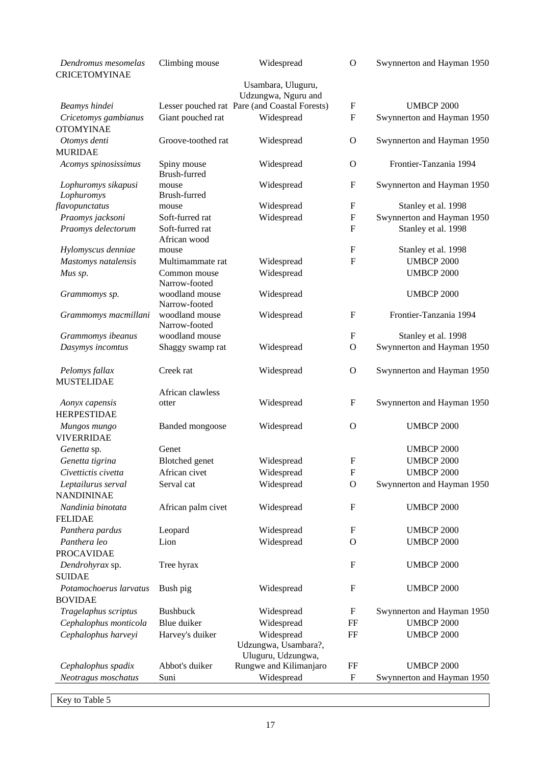| Dendromus mesomelas<br><b>CRICETOMYINAE</b> | Climbing mouse                  | Widespread                                    | $\overline{O}$            | Swynnerton and Hayman 1950 |
|---------------------------------------------|---------------------------------|-----------------------------------------------|---------------------------|----------------------------|
|                                             |                                 | Usambara, Uluguru,                            |                           |                            |
|                                             |                                 | Udzungwa, Nguru and                           |                           |                            |
| Beamys hindei                               |                                 | Lesser pouched rat Pare (and Coastal Forests) | F                         | <b>UMBCP 2000</b>          |
| Cricetomys gambianus<br><b>OTOMYINAE</b>    | Giant pouched rat               | Widespread                                    | $\boldsymbol{\mathrm{F}}$ | Swynnerton and Hayman 1950 |
| Otomys denti<br><b>MURIDAE</b>              | Groove-toothed rat              | Widespread                                    | O                         | Swynnerton and Hayman 1950 |
| Acomys spinosissimus                        | Spiny mouse<br>Brush-furred     | Widespread                                    | O                         | Frontier-Tanzania 1994     |
| Lophuromys sikapusi                         | mouse<br>Brush-furred           | Widespread                                    | $\boldsymbol{\mathrm{F}}$ | Swynnerton and Hayman 1950 |
| Lophuromys<br>flavopunctatus                | mouse                           | Widespread                                    | ${\bf F}$                 | Stanley et al. 1998        |
| Praomys jacksoni                            | Soft-furred rat                 | Widespread                                    | $\boldsymbol{\mathrm{F}}$ | Swynnerton and Hayman 1950 |
| Praomys delectorum                          | Soft-furred rat                 |                                               | $\mathbf{F}$              | Stanley et al. 1998        |
|                                             | African wood                    |                                               |                           |                            |
| Hylomyscus denniae                          | mouse                           |                                               | $\mathbf F$               | Stanley et al. 1998        |
| Mastomys natalensis                         | Multimammate rat                | Widespread                                    | $\mathbf F$               | <b>UMBCP 2000</b>          |
| Mus sp.                                     | Common mouse                    | Widespread                                    |                           | <b>UMBCP 2000</b>          |
|                                             | Narrow-footed                   |                                               |                           |                            |
| Grammomys sp.                               | woodland mouse<br>Narrow-footed | Widespread                                    |                           | <b>UMBCP 2000</b>          |
| Grammomys macmillani                        | woodland mouse<br>Narrow-footed | Widespread                                    | $\mathbf F$               | Frontier-Tanzania 1994     |
| Grammomys ibeanus                           | woodland mouse                  |                                               | F                         | Stanley et al. 1998        |
| Dasymys incomtus                            | Shaggy swamp rat                | Widespread                                    | $\mathbf O$               | Swynnerton and Hayman 1950 |
|                                             |                                 |                                               |                           |                            |
| Pelomys fallax                              | Creek rat                       | Widespread                                    | $\mathbf{O}$              | Swynnerton and Hayman 1950 |
| <b>MUSTELIDAE</b>                           |                                 |                                               |                           |                            |
|                                             | African clawless                |                                               |                           |                            |
| Aonyx capensis                              | otter                           | Widespread                                    | $\mathbf F$               | Swynnerton and Hayman 1950 |
| <b>HERPESTIDAE</b>                          |                                 |                                               |                           |                            |
| Mungos mungo<br><b>VIVERRIDAE</b>           | <b>Banded</b> mongoose          | Widespread                                    | $\mathbf O$               | <b>UMBCP 2000</b>          |
| Genetta sp.                                 | Genet                           |                                               |                           | <b>UMBCP 2000</b>          |
| Genetta tigrina                             | Blotched genet                  | Widespread                                    | $\boldsymbol{\mathrm{F}}$ | <b>UMBCP 2000</b>          |
| Civettictis civetta                         | African civet                   | Widespread                                    | $\boldsymbol{\mathrm{F}}$ | <b>UMBCP 2000</b>          |
| Leptailurus serval<br><b>NANDININAE</b>     | Serval cat                      | Widespread                                    | O                         | Swynnerton and Hayman 1950 |
| Nandinia binotata<br><b>FELIDAE</b>         | African palm civet              | Widespread                                    | $\boldsymbol{F}$          | <b>UMBCP 2000</b>          |
| Panthera pardus                             | Leopard                         | Widespread                                    | F                         | <b>UMBCP 2000</b>          |
| Panthera leo                                | Lion                            | Widespread                                    | O                         | <b>UMBCP 2000</b>          |
| <b>PROCAVIDAE</b>                           |                                 |                                               |                           |                            |
| Dendrohyrax sp.                             | Tree hyrax                      |                                               | $\boldsymbol{\mathrm{F}}$ | <b>UMBCP 2000</b>          |
| <b>SUIDAE</b>                               |                                 |                                               |                           |                            |
| Potamochoerus larvatus                      | Bush pig                        | Widespread                                    | F                         | <b>UMBCP 2000</b>          |
| <b>BOVIDAE</b>                              |                                 |                                               |                           |                            |
| Tragelaphus scriptus                        | <b>Bushbuck</b>                 | Widespread                                    | F                         | Swynnerton and Hayman 1950 |
| Cephalophus monticola                       | Blue duiker                     | Widespread                                    | FF                        | <b>UMBCP 2000</b>          |
| Cephalophus harveyi                         | Harvey's duiker                 | Widespread                                    | FF                        | <b>UMBCP 2000</b>          |
|                                             |                                 | Udzungwa, Usambara?,                          |                           |                            |
| Cephalophus spadix                          | Abbot's duiker                  | Uluguru, Udzungwa,<br>Rungwe and Kilimanjaro  | FF                        | <b>UMBCP 2000</b>          |
| Neotragus moschatus                         | Suni                            | Widespread                                    | $\boldsymbol{\mathrm{F}}$ | Swynnerton and Hayman 1950 |
|                                             |                                 |                                               |                           |                            |

Key to Table 5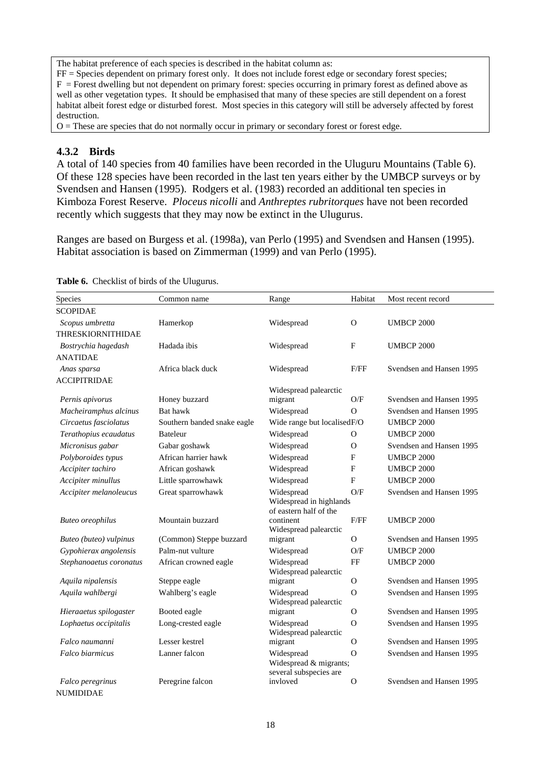The habitat preference of each species is described in the habitat column as:

FF = Species dependent on primary forest only. It does not include forest edge or secondary forest species;  $F =$  Forest dwelling but not dependent on primary forest: species occurring in primary forest as defined above as well as other vegetation types. It should be emphasised that many of these species are still dependent on a forest habitat albeit forest edge or disturbed forest. Most species in this category will still be adversely affected by forest destruction.

 $O =$ These are species that do not normally occur in primary or secondary forest or forest edge.

## **4.3.2 Birds**

A total of 140 species from 40 families have been recorded in the Uluguru Mountains (Table 6). Of these 128 species have been recorded in the last ten years either by the UMBCP surveys or by Svendsen and Hansen (1995). Rodgers et al. (1983) recorded an additional ten species in Kimboza Forest Reserve. *Ploceus nicolli* and *Anthreptes rubritorques* have not been recorded recently which suggests that they may now be extinct in the Ulugurus.

Ranges are based on Burgess et al. (1998a), van Perlo (1995) and Svendsen and Hansen (1995). Habitat association is based on Zimmerman (1999) and van Perlo (1995).

| Species                       | Common name                 | Range                                                           | Habitat      | Most recent record       |
|-------------------------------|-----------------------------|-----------------------------------------------------------------|--------------|--------------------------|
| <b>SCOPIDAE</b>               |                             |                                                                 |              |                          |
| Scopus umbretta               | Hamerkop                    | Widespread                                                      | $\Omega$     | <b>UMBCP 2000</b>        |
| THRESKIORNITHIDAE             |                             |                                                                 |              |                          |
| Bostrychia hagedash           | Hadada ibis                 | Widespread                                                      | F            | <b>UMBCP 2000</b>        |
| <b>ANATIDAE</b>               |                             |                                                                 |              |                          |
| Anas sparsa                   | Africa black duck           | Widespread                                                      | F/FF         | Svendsen and Hansen 1995 |
| <b>ACCIPITRIDAE</b>           |                             |                                                                 |              |                          |
|                               |                             | Widespread palearctic                                           |              |                          |
| Pernis apivorus               | Honey buzzard               | migrant                                                         | O/F          | Svendsen and Hansen 1995 |
| Macheiramphus alcinus         | Bat hawk                    | Widespread                                                      | $\Omega$     | Svendsen and Hansen 1995 |
| Circaetus fasciolatus         | Southern banded snake eagle | Wide range but localisedF/O                                     |              | <b>UMBCP 2000</b>        |
| Terathopius ecaudatus         | <b>Bateleur</b>             | Widespread                                                      | $\Omega$     | <b>UMBCP 2000</b>        |
| Micronisus gabar              | Gabar goshawk               | Widespread                                                      | $\Omega$     | Svendsen and Hansen 1995 |
| Polyboroides typus            | African harrier hawk        | Widespread                                                      | F            | <b>UMBCP 2000</b>        |
| Accipiter tachiro             | African goshawk             | Widespread                                                      | F            | <b>UMBCP 2000</b>        |
| Accipiter minullus            | Little sparrowhawk          | Widespread                                                      | $\mathbf{F}$ | <b>UMBCP 2000</b>        |
| Accipiter melanoleucus        | Great sparrowhawk           | Widespread<br>Widespread in highlands<br>of eastern half of the | O/F          | Svendsen and Hansen 1995 |
| <b>Buteo</b> oreophilus       | Mountain buzzard            | continent<br>Widespread palearctic                              | F/FF         | <b>UMBCP 2000</b>        |
| Buteo (buteo) vulpinus        | (Common) Steppe buzzard     | migrant                                                         | $\Omega$     | Svendsen and Hansen 1995 |
| Gypohierax angolensis         | Palm-nut vulture            | Widespread                                                      | O/F          | <b>UMBCP 2000</b>        |
| Stephanoaetus coronatus       | African crowned eagle       | Widespread<br>Widespread palearctic                             | $\rm FF$     | <b>UMBCP 2000</b>        |
| Aquila nipalensis             | Steppe eagle                | migrant                                                         | $\Omega$     | Svendsen and Hansen 1995 |
| Aquila wahlbergi              | Wahlberg's eagle            | Widespread<br>Widespread palearctic                             | $\Omega$     | Svendsen and Hansen 1995 |
| Hieraaetus spilogaster        | Booted eagle                | migrant                                                         | O            | Svendsen and Hansen 1995 |
| Lophaetus occipitalis         | Long-crested eagle          | Widespread<br>Widespread palearctic                             | $\Omega$     | Svendsen and Hansen 1995 |
| Falco naumanni                | Lesser kestrel              | migrant                                                         | $\Omega$     | Svendsen and Hansen 1995 |
| <b>Falco</b> biarmicus        | Lanner falcon               | Widespread<br>Widespread & migrants;<br>several subspecies are  | $\Omega$     | Svendsen and Hansen 1995 |
| Falco peregrinus<br>NUMIDIDAE | Peregrine falcon            | invloved                                                        | $\Omega$     | Svendsen and Hansen 1995 |

**Table 6.** Checklist of birds of the Ulugurus.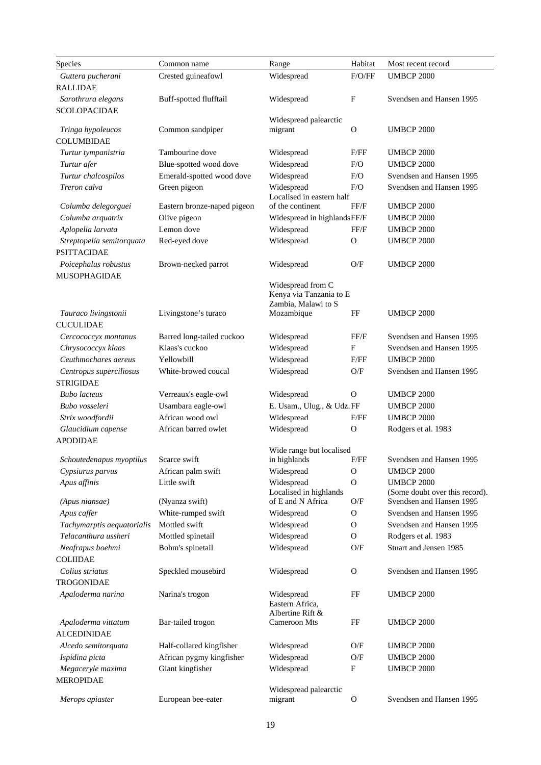| <b>Species</b>                        | Common name                               | Range                                          | Habitat       | Most recent record                     |
|---------------------------------------|-------------------------------------------|------------------------------------------------|---------------|----------------------------------------|
| Guttera pucherani                     | Crested guineafowl                        | Widespread                                     | F/O/FF        | <b>UMBCP 2000</b>                      |
| <b>RALLIDAE</b>                       |                                           |                                                |               |                                        |
| Sarothrura elegans                    | Buff-spotted flufftail                    | Widespread                                     | $\mathbf{F}$  | Svendsen and Hansen 1995               |
| <b>SCOLOPACIDAE</b>                   |                                           |                                                |               |                                        |
|                                       |                                           | Widespread palearctic                          |               |                                        |
| Tringa hypoleucos                     | Common sandpiper                          | migrant                                        | $\Omega$      | <b>UMBCP 2000</b>                      |
| <b>COLUMBIDAE</b>                     |                                           |                                                |               |                                        |
| Turtur tympanistria<br>Turtur afer    | Tambourine dove<br>Blue-spotted wood dove | Widespread<br>Widespread                       | F/FF<br>F/O   | <b>UMBCP 2000</b><br><b>UMBCP 2000</b> |
| Turtur chalcospilos                   | Emerald-spotted wood dove                 | Widespread                                     | F/O           | Svendsen and Hansen 1995               |
| Treron calva                          | Green pigeon                              | Widespread                                     | F/O           | Svendsen and Hansen 1995               |
|                                       |                                           | Localised in eastern half                      |               |                                        |
| Columba delegorguei                   | Eastern bronze-naped pigeon               | of the continent                               | FF/F          | <b>UMBCP 2000</b>                      |
| Columba arquatrix                     | Olive pigeon                              | Widespread in highlandsFF/F                    |               | <b>UMBCP 2000</b>                      |
| Aplopelia larvata                     | Lemon dove                                | Widespread                                     | FF/F          | <b>UMBCP 2000</b>                      |
| Streptopelia semitorquata             | Red-eyed dove                             | Widespread                                     | $\mathbf{O}$  | <b>UMBCP 2000</b>                      |
| <b>PSITTACIDAE</b>                    |                                           |                                                |               |                                        |
| Poicephalus robustus                  | Brown-necked parrot                       | Widespread                                     | O/F           | <b>UMBCP 2000</b>                      |
| MUSOPHAGIDAE                          |                                           |                                                |               |                                        |
|                                       |                                           | Widespread from C                              |               |                                        |
|                                       |                                           | Kenya via Tanzania to E<br>Zambia, Malawi to S |               |                                        |
| Tauraco livingstonii                  | Livingstone's turaco                      | Mozambique                                     | FF            | <b>UMBCP 2000</b>                      |
| <b>CUCULIDAE</b>                      |                                           |                                                |               |                                        |
| Cercococcyx montanus                  | Barred long-tailed cuckoo                 | Widespread                                     | FF/F          | Svendsen and Hansen 1995               |
| Chrysococcyx klaas                    | Klaas's cuckoo                            | Widespread                                     | F             | Svendsen and Hansen 1995               |
| Ceuthmochares aereus                  | Yellowbill                                | Widespread                                     | F/FF          | <b>UMBCP 2000</b>                      |
| Centropus superciliosus               | White-browed coucal                       | Widespread                                     | O/F           | Svendsen and Hansen 1995               |
| <b>STRIGIDAE</b>                      |                                           |                                                |               |                                        |
| <b>Bubo</b> lacteus                   | Verreaux's eagle-owl                      | Widespread                                     | $\Omega$      | <b>UMBCP 2000</b>                      |
| Bubo vosseleri                        | Usambara eagle-owl                        | E. Usam., Ulug., & Udz.FF                      |               | <b>UMBCP 2000</b>                      |
| Strix woodfordii                      | African wood owl                          | Widespread                                     | F/FF          | <b>UMBCP 2000</b>                      |
| Glaucidium capense                    | African barred owlet                      | Widespread                                     | $\mathbf{O}$  | Rodgers et al. 1983                    |
| <b>APODIDAE</b>                       |                                           |                                                |               |                                        |
|                                       |                                           | Wide range but localised                       | $\rm F/FF$    | Svendsen and Hansen 1995               |
| Schoutedenapus myoptilus Scarce swift |                                           | in highlands                                   | $\mathbf O$   | <b>UMBCP 2000</b>                      |
| Cypsiurus parvus<br>Apus affinis      | African palm swift<br>Little swift        | Widespread<br>Widespread                       | $\mathbf O$   | <b>UMBCP 2000</b>                      |
|                                       |                                           | Localised in highlands                         |               | (Some doubt over this record).         |
| (Apus niansae)                        | (Nyanza swift)                            | of E and N Africa                              | O/F           | Svendsen and Hansen 1995               |
| Apus caffer                           | White-rumped swift                        | Widespread                                     | 0             | Svendsen and Hansen 1995               |
| Tachymarptis aequatorialis            | Mottled swift                             | Widespread                                     | $\mathbf{O}$  | Svendsen and Hansen 1995               |
| Telacanthura ussheri                  | Mottled spinetail                         | Widespread                                     | $\mathcal{O}$ | Rodgers et al. 1983                    |
| Neafrapus boehmi                      | Bohm's spinetail                          | Widespread                                     | O/F           | Stuart and Jensen 1985                 |
| <b>COLIIDAE</b>                       |                                           |                                                |               |                                        |
| Colius striatus                       | Speckled mousebird                        | Widespread                                     | $\Omega$      | Svendsen and Hansen 1995               |
| <b>TROGONIDAE</b>                     |                                           |                                                |               |                                        |
| Apaloderma narina                     | Narina's trogon                           | Widespread                                     | FF            | <b>UMBCP 2000</b>                      |
|                                       |                                           | Eastern Africa.<br>Albertine Rift &            |               |                                        |
| Apaloderma vittatum                   | Bar-tailed trogon                         | <b>Cameroon Mts</b>                            | FF            | <b>UMBCP 2000</b>                      |
| <b>ALCEDINIDAE</b>                    |                                           |                                                |               |                                        |
| Alcedo semitorquata                   | Half-collared kingfisher                  | Widespread                                     | O/F           | <b>UMBCP 2000</b>                      |
| Ispidina picta                        | African pygmy kingfisher                  | Widespread                                     | O/F           | <b>UMBCP 2000</b>                      |
| Megaceryle maxima                     | Giant kingfisher                          | Widespread                                     | $_{\rm F}$    | <b>UMBCP 2000</b>                      |
| <b>MEROPIDAE</b>                      |                                           |                                                |               |                                        |
|                                       |                                           | Widespread palearctic                          |               |                                        |
| Merops apiaster                       | European bee-eater                        | migrant                                        | $\mathbf{O}$  | Svendsen and Hansen 1995               |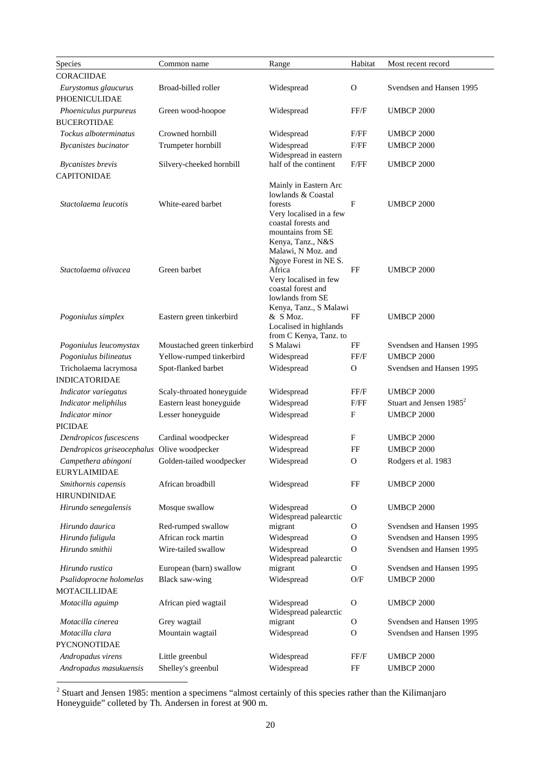| <b>Species</b>                                 | Common name                 | Range                                                                                                                                              | Habitat       | Most recent record                  |
|------------------------------------------------|-----------------------------|----------------------------------------------------------------------------------------------------------------------------------------------------|---------------|-------------------------------------|
| <b>CORACIIDAE</b>                              |                             |                                                                                                                                                    |               |                                     |
| Eurystomus glaucurus<br>PHOENICULIDAE          | Broad-billed roller         | Widespread                                                                                                                                         | $\mathbf{O}$  | Svendsen and Hansen 1995            |
| Phoeniculus purpureus<br><b>BUCEROTIDAE</b>    | Green wood-hoopoe           | Widespread                                                                                                                                         | FF/F          | <b>UMBCP 2000</b>                   |
| Tockus alboterminatus                          | Crowned hornbill            | Widespread                                                                                                                                         | F/FF          | <b>UMBCP 2000</b>                   |
| <b>Bycanistes bucinator</b>                    | Trumpeter hornbill          | Widespread<br>Widespread in eastern                                                                                                                | F/FF          | <b>UMBCP 2000</b>                   |
| <b>Bycanistes</b> brevis<br><b>CAPITONIDAE</b> | Silvery-cheeked hornbill    | half of the continent                                                                                                                              | F/FF          | <b>UMBCP 2000</b>                   |
| Stactolaema leucotis                           | White-eared barbet          | Mainly in Eastern Arc<br>lowlands & Coastal<br>forests<br>Very localised in a few<br>coastal forests and<br>mountains from SE<br>Kenya, Tanz., N&S | F             | <b>UMBCP 2000</b>                   |
| Stactolaema olivacea                           | Green barbet                | Malawi, N Moz. and<br>Ngoye Forest in NE S.<br>Africa<br>Very localised in few<br>coastal forest and<br>lowlands from SE                           | FF            | <b>UMBCP 2000</b>                   |
| Pogoniulus simplex                             | Eastern green tinkerbird    | Kenya, Tanz., S Malawi<br>& S Moz.<br>Localised in highlands<br>from C Kenya, Tanz. to                                                             | FF            | <b>UMBCP 2000</b>                   |
| Pogoniulus leucomystax                         | Moustached green tinkerbird | S Malawi                                                                                                                                           | FF            | Svendsen and Hansen 1995            |
| Pogoniulus bilineatus                          | Yellow-rumped tinkerbird    | Widespread                                                                                                                                         | FF/F          | <b>UMBCP 2000</b>                   |
| Tricholaema lacrymosa                          | Spot-flanked barbet         | Widespread                                                                                                                                         | $\Omega$      | Svendsen and Hansen 1995            |
| <b>INDICATORIDAE</b>                           |                             |                                                                                                                                                    |               |                                     |
| Indicator variegatus                           | Scaly-throated honeyguide   | Widespread                                                                                                                                         | FF/F          | <b>UMBCP 2000</b>                   |
| Indicator meliphilus                           | Eastern least honeyguide    | Widespread                                                                                                                                         | F/FF          | Stuart and Jensen 1985 <sup>2</sup> |
| Indicator minor<br><b>PICIDAE</b>              | Lesser honeyguide           | Widespread                                                                                                                                         | F             | <b>UMBCP 2000</b>                   |
| Dendropicos fuscescens                         | Cardinal woodpecker         | Widespread                                                                                                                                         | F             | <b>UMBCP 2000</b>                   |
| Dendropicos griseocephalus Olive woodpecker    |                             | Widespread                                                                                                                                         | FF            | <b>UMBCP 2000</b>                   |
| Campethera abingoni                            | Golden-tailed woodpecker    | Widespread                                                                                                                                         | $\mathcal{O}$ | Rodgers et al. 1983                 |
| <b>EURYLAIMIDAE</b>                            |                             |                                                                                                                                                    |               |                                     |
| Smithornis capensis<br><b>HIRUNDINIDAE</b>     | African broadbill           | Widespread                                                                                                                                         | FF            | <b>UMBCP 2000</b>                   |
| Hirundo senegalensis                           | Mosque swallow              | Widespread<br>Widespread palearctic                                                                                                                | 0             | <b>UMBCP 2000</b>                   |
| Hirundo daurica                                | Red-rumped swallow          | migrant                                                                                                                                            | 0             | Svendsen and Hansen 1995            |
| Hirundo fuligula                               | African rock martin         | Widespread                                                                                                                                         | $\mathbf{O}$  | Svendsen and Hansen 1995            |
| Hirundo smithii                                | Wire-tailed swallow         | Widespread<br>Widespread palearctic                                                                                                                | 0             | Svendsen and Hansen 1995            |
| Hirundo rustica                                | European (barn) swallow     | migrant                                                                                                                                            | $\mathbf{O}$  | Svendsen and Hansen 1995            |
| Psalidoprocne holomelas                        | <b>Black saw-wing</b>       | Widespread                                                                                                                                         | O/F           | <b>UMBCP 2000</b>                   |
| MOTACILLIDAE                                   |                             |                                                                                                                                                    |               |                                     |
| Motacilla aguimp                               | African pied wagtail        | Widespread<br>Widespread palearctic                                                                                                                | 0             | <b>UMBCP 2000</b>                   |
| Motacilla cinerea                              | Grey wagtail                | migrant                                                                                                                                            | 0             | Svendsen and Hansen 1995            |
| Motacilla clara<br>PYCNONOTIDAE                | Mountain wagtail            | Widespread                                                                                                                                         | $\mathbf{O}$  | Svendsen and Hansen 1995            |
| Andropadus virens                              | Little greenbul             | Widespread                                                                                                                                         | FF/F          | <b>UMBCP 2000</b>                   |
| Andropadus masukuensis                         | Shelley's greenbul          | Widespread                                                                                                                                         | $\rm FF$      | <b>UMBCP 2000</b>                   |

<sup>&</sup>lt;sup>2</sup> Stuart and Jensen 1985: mention a specimens "almost certainly of this species rather than the Kilimanjaro Honeyguide" colleted by Th. Andersen in forest at 900 m.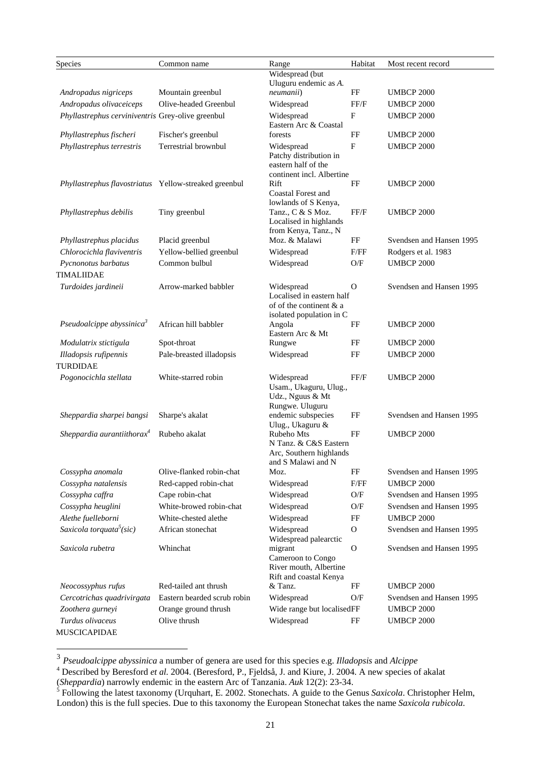| Species                                               | Common name                 | Range                                               | Habitat      | Most recent record       |
|-------------------------------------------------------|-----------------------------|-----------------------------------------------------|--------------|--------------------------|
|                                                       |                             | Widespread (but                                     |              |                          |
| Andropadus nigriceps                                  | Mountain greenbul           | Uluguru endemic as A.<br>neumanii)                  | FF           | <b>UMBCP 2000</b>        |
| Andropadus olivaceiceps                               | Olive-headed Greenbul       | Widespread                                          | FF/F         | <b>UMBCP 2000</b>        |
| Phyllastrephus cerviniventris Grey-olive greenbul     |                             | Widespread                                          | F            | <b>UMBCP 2000</b>        |
|                                                       |                             | Eastern Arc & Coastal                               |              |                          |
| Phyllastrephus fischeri                               | Fischer's greenbul          | forests                                             | FF           | <b>UMBCP 2000</b>        |
| Phyllastrephus terrestris                             | Terrestrial brownbul        | Widespread                                          | F            | <b>UMBCP 2000</b>        |
|                                                       |                             | Patchy distribution in<br>eastern half of the       |              |                          |
|                                                       |                             | continent incl. Albertine                           |              |                          |
| Phyllastrephus flavostriatus Yellow-streaked greenbul |                             | Rift                                                | FF           | <b>UMBCP 2000</b>        |
|                                                       |                             | Coastal Forest and                                  |              |                          |
|                                                       |                             | lowlands of S Kenya,                                | FF/F         |                          |
| Phyllastrephus debilis                                | Tiny greenbul               | Tanz., C & S Moz.<br>Localised in highlands         |              | <b>UMBCP 2000</b>        |
|                                                       |                             | from Kenya, Tanz., N                                |              |                          |
| Phyllastrephus placidus                               | Placid greenbul             | Moz. & Malawi                                       | FF           | Svendsen and Hansen 1995 |
| Chlorocichla flaviventris                             | Yellow-bellied greenbul     | Widespread                                          | F/FF         | Rodgers et al. 1983      |
| Pycnonotus barbatus                                   | Common bulbul               | Widespread                                          | O/F          | <b>UMBCP 2000</b>        |
| <b>TIMALIIDAE</b>                                     |                             |                                                     |              |                          |
| Turdoides jardineii                                   | Arrow-marked babbler        | Widespread                                          | 0            | Svendsen and Hansen 1995 |
|                                                       |                             | Localised in eastern half                           |              |                          |
|                                                       |                             | of of the continent & a<br>isolated population in C |              |                          |
| Pseudoalcippe abyssinica <sup>3</sup>                 | African hill babbler        | Angola                                              | FF           | <b>UMBCP 2000</b>        |
|                                                       |                             | Eastern Arc & Mt                                    |              |                          |
| Modulatrix stictigula                                 | Spot-throat                 | Rungwe                                              | FF           | <b>UMBCP 2000</b>        |
| Illadopsis rufipennis                                 | Pale-breasted illadopsis    | Widespread                                          | FF           | <b>UMBCP 2000</b>        |
| <b>TURDIDAE</b>                                       |                             |                                                     |              |                          |
| Pogonocichla stellata                                 | White-starred robin         | Widespread                                          | FF/F         | <b>UMBCP 2000</b>        |
|                                                       |                             | Usam., Ukaguru, Ulug.,<br>Udz., Nguus & Mt          |              |                          |
|                                                       |                             | Rungwe. Uluguru                                     |              |                          |
| Sheppardia sharpei bangsi                             | Sharpe's akalat             | endemic subspecies                                  | FF           | Svendsen and Hansen 1995 |
|                                                       |                             | Ulug., Ukaguru &                                    |              |                          |
| Sheppardia aurantiithora $x^4$                        | Rubeho akalat               | Rubeho Mts<br>N Tanz. & C&S Eastern                 | FF           | <b>UMBCP 2000</b>        |
|                                                       |                             | Arc, Southern highlands                             |              |                          |
|                                                       |                             | and S Malawi and N                                  |              |                          |
| Cossypha anomala                                      | Olive-flanked robin-chat    | Moz.                                                | FF           | Svendsen and Hansen 1995 |
| Cossypha natalensis                                   | Red-capped robin-chat       | Widespread                                          | F/FF         | <b>UMBCP 2000</b>        |
| Cossypha caffra                                       | Cape robin-chat             | Widespread                                          | O/F          | Svendsen and Hansen 1995 |
| Cossypha heuglini                                     | White-browed robin-chat     | Widespread                                          | O/F          | Svendsen and Hansen 1995 |
| Alethe fuelleborni                                    | White-chested alethe        | Widespread                                          | FF           | <b>UMBCP 2000</b>        |
| Saxicola torquata <sup>5</sup> (sic)                  | African stonechat           | Widespread                                          | $\mathbf{O}$ | Svendsen and Hansen 1995 |
| Saxicola rubetra                                      | Whinchat                    | Widespread palearctic<br>migrant                    | $\mathbf{O}$ | Svendsen and Hansen 1995 |
|                                                       |                             | Cameroon to Congo                                   |              |                          |
|                                                       |                             | River mouth, Albertine                              |              |                          |
|                                                       |                             | Rift and coastal Kenya                              |              |                          |
| Neocossyphus rufus                                    | Red-tailed ant thrush       | & Tanz.                                             | FF           | <b>UMBCP 2000</b>        |
| Cercotrichas quadrivirgata                            | Eastern bearded scrub robin | Widespread                                          | O/F          | Svendsen and Hansen 1995 |
| Zoothera gurneyi                                      | Orange ground thrush        | Wide range but localisedFF                          |              | <b>UMBCP 2000</b>        |
| Turdus olivaceus                                      | Olive thrush                | Widespread                                          | FF           | <b>UMBCP 2000</b>        |
| MUSCICAPIDAE                                          |                             |                                                     |              |                          |

 $\overline{a}$ 

 $^3$  *Pseudoalcippe abyssinica* a number of genera are used for this species e.g. Illadopsis and Alcippe<br><sup>4</sup> Described by Beresford *et al*. 2004. (Beresford, P., Fjeldså, J. and Kiure, J. 2004. A new species of akalat

<sup>(</sup>*Sheppardia*) narrowly endemic in the eastern Arc of Tanzania. *Auk* 12(2): 23-34.<br><sup>5</sup> Following the latest taxonomy (Urquhart, E. 2002. Stonechats. A guide to the Genus *Saxicola*. Christopher Helm, London) this is the full species. Due to this taxonomy the European Stonechat takes the name *Saxicola rubicola*.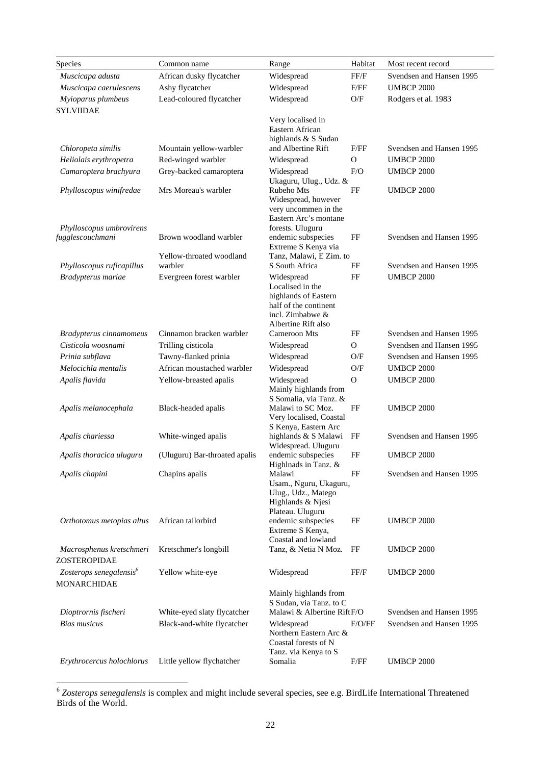| Species                                      | Common name                   | Range                                                              | Habitat        | Most recent record       |
|----------------------------------------------|-------------------------------|--------------------------------------------------------------------|----------------|--------------------------|
| Muscicapa adusta                             | African dusky flycatcher      | Widespread                                                         | FF/F           | Svendsen and Hansen 1995 |
| Muscicapa caerulescens                       | Ashy flycatcher               | Widespread                                                         | F/FF           | <b>UMBCP 2000</b>        |
| Myioparus plumbeus<br><b>SYLVIIDAE</b>       | Lead-coloured flycatcher      | Widespread                                                         | O/F            | Rodgers et al. 1983      |
|                                              |                               | Very localised in                                                  |                |                          |
|                                              |                               | Eastern African                                                    |                |                          |
|                                              |                               | highlands & S Sudan                                                |                |                          |
| Chloropeta similis                           | Mountain yellow-warbler       | and Albertine Rift                                                 | F/FF           | Svendsen and Hansen 1995 |
| Heliolais erythropetra                       | Red-winged warbler            | Widespread                                                         | $\mathcal{O}$  | <b>UMBCP 2000</b>        |
| Camaroptera brachyura                        | Grey-backed camaroptera       | Widespread<br>Ukaguru, Ulug., Udz. &                               | F/O            | <b>UMBCP 2000</b>        |
| Phylloscopus winifredae                      | Mrs Moreau's warbler          | Rubeho Mts<br>Widespread, however<br>very uncommen in the          | FF             | <b>UMBCP 2000</b>        |
|                                              |                               | Eastern Arc's montane                                              |                |                          |
| Phylloscopus umbrovirens<br>fugglescouchmani | Brown woodland warbler        | forests. Uluguru<br>endemic subspecies                             | FF             | Svendsen and Hansen 1995 |
|                                              |                               | Extreme S Kenya via                                                |                |                          |
|                                              | Yellow-throated woodland      | Tanz, Malawi, E Zim. to                                            |                |                          |
| Phylloscopus ruficapillus                    | warbler                       | S South Africa                                                     | FF             | Svendsen and Hansen 1995 |
| Bradypterus mariae                           | Evergreen forest warbler      | Widespread                                                         | FF             | <b>UMBCP 2000</b>        |
|                                              |                               | Localised in the                                                   |                |                          |
|                                              |                               | highlands of Eastern<br>half of the continent                      |                |                          |
|                                              |                               | incl. Zimbabwe &                                                   |                |                          |
|                                              |                               | Albertine Rift also                                                |                |                          |
| Bradypterus cinnamomeus                      | Cinnamon bracken warbler      | Cameroon Mts                                                       | FF             | Svendsen and Hansen 1995 |
| Cisticola woosnami                           | Trilling cisticola            | Widespread                                                         | $\mathbf{O}$   | Svendsen and Hansen 1995 |
| Prinia subflava                              | Tawny-flanked prinia          | Widespread                                                         | O/F            | Svendsen and Hansen 1995 |
| Melocichla mentalis                          | African moustached warbler    | Widespread                                                         | O/F            | <b>UMBCP 2000</b>        |
| Apalis flavida                               | Yellow-breasted apalis        | Widespread<br>Mainly highlands from<br>S Somalia, via Tanz. &      | $\overline{O}$ | <b>UMBCP 2000</b>        |
| Apalis melanocephala                         | Black-headed apalis           | Malawi to SC Moz.                                                  | FF             | <b>UMBCP 2000</b>        |
|                                              |                               | Very localised, Coastal                                            |                |                          |
|                                              | White-winged apalis           | S Kenya, Eastern Arc<br>highlands & S Malawi                       | FF             | Svendsen and Hansen 1995 |
| Apalis chariessa                             |                               | Widespread. Uluguru                                                |                |                          |
| Apalis thoracica uluguru                     | (Uluguru) Bar-throated apalis | endemic subspecies                                                 | FF             | <b>UMBCP 2000</b>        |
|                                              |                               | Highlnads in Tanz. $&$                                             |                |                          |
| Apalis chapini                               | Chapins apalis                | Malawi                                                             | FF             | Svendsen and Hansen 1995 |
|                                              |                               | Usam., Nguru, Ukaguru,<br>Ulug., Udz., Matego<br>Highlands & Njesi |                |                          |
|                                              |                               | Plateau. Uluguru                                                   |                |                          |
| Orthotomus metopias altus                    | African tailorbird            | endemic subspecies<br>Extreme S Kenya,                             | FF             | <b>UMBCP 2000</b>        |
| Macrosphenus kretschmeri                     | Kretschmer's longbill         | Coastal and lowland<br>Tanz, & Netia N Moz.                        | FF             | UMBCP 2000               |
| ZOSTEROPIDAE                                 |                               |                                                                    |                |                          |
| Zosterops senegalensis <sup>6</sup>          | Yellow white-eye              | Widespread                                                         | FF/F           | <b>UMBCP 2000</b>        |
| MONARCHIDAE                                  |                               | Mainly highlands from                                              |                |                          |
|                                              |                               | S Sudan, via Tanz. to C                                            |                |                          |
| Dioptrornis fischeri                         | White-eyed slaty flycatcher   | Malawi & Albertine RiftF/O                                         |                | Svendsen and Hansen 1995 |
| <b>Bias musicus</b>                          | Black-and-white flycatcher    | Widespread<br>Northern Eastern Arc &<br>Coastal forests of N       | F/O/FF         | Svendsen and Hansen 1995 |
|                                              |                               | Tanz. via Kenya to S                                               |                |                          |
| Erythrocercus holochlorus                    | Little yellow flychatcher     | Somalia                                                            | F/FF           | <b>UMBCP 2000</b>        |

<sup>6</sup> *Zosterops senegalensis* is complex and might include several species, see e.g. BirdLife International Threatened Birds of the World.

 $\overline{a}$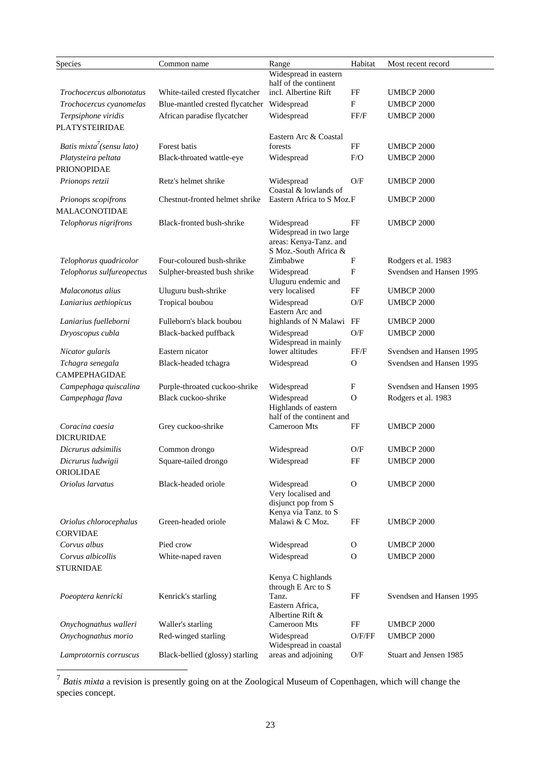| Species                                      | Common name                     | Range                                                                                    | Habitat                   | Most recent record       |
|----------------------------------------------|---------------------------------|------------------------------------------------------------------------------------------|---------------------------|--------------------------|
|                                              |                                 | Widespread in eastern<br>half of the continent                                           |                           |                          |
| Trochocercus albonotatus                     | White-tailed crested flycatcher | incl. Albertine Rift                                                                     | FF                        | <b>UMBCP 2000</b>        |
| Trochocercus cyanomelas                      | Blue-mantled crested flycatcher | Widespread                                                                               | $\mathbf F$               | <b>UMBCP 2000</b>        |
| Terpsiphone viridis<br><b>PLATYSTEIRIDAE</b> | African paradise flycatcher     | Widespread                                                                               | FF/F                      | <b>UMBCP 2000</b>        |
| Batis mixta <sup>7</sup> (sensu lato)        | Forest batis                    | Eastern Arc & Coastal<br>forests                                                         | FF                        | <b>UMBCP 2000</b>        |
| Platysteira peltata                          |                                 | Widespread                                                                               | F/O                       | <b>UMBCP 2000</b>        |
| <b>PRIONOPIDAE</b>                           | Black-throated wattle-eye       |                                                                                          |                           |                          |
| Prionops retzii                              | Retz's helmet shrike            | Widespread<br>Coastal & lowlands of                                                      | O/F                       | <b>UMBCP 2000</b>        |
| Prionops scopifrons<br><b>MALACONOTIDAE</b>  | Chestnut-fronted helmet shrike  | Eastern Africa to S Moz.F                                                                |                           | <b>UMBCP 2000</b>        |
| Telophorus nigrifrons                        | Black-fronted bush-shrike       | Widespread<br>Widespread in two large<br>areas: Kenya-Tanz. and<br>S Moz.-South Africa & | FF                        | <b>UMBCP 2000</b>        |
| Telophorus quadricolor                       | Four-coloured bush-shrike       | Zimbabwe                                                                                 | $\mathbf F$               | Rodgers et al. 1983      |
| Telophorus sulfureopectus                    | Sulpher-breasted bush shrike    | Widespread<br>Uluguru endemic and                                                        | $\boldsymbol{\mathrm{F}}$ | Svendsen and Hansen 1995 |
| Malaconotus alius                            | Uluguru bush-shrike             | very localised                                                                           | FF                        | <b>UMBCP 2000</b>        |
| Laniarius aethiopicus                        | Tropical boubou                 | Widespread<br>Eastern Arc and                                                            | O/F                       | <b>UMBCP 2000</b>        |
| Laniarius fuelleborni                        | Fulleborn's black boubou        | highlands of N Malawi FF                                                                 |                           | <b>UMBCP 2000</b>        |
| Dryoscopus cubla                             | Black-backed puffback           | Widespread<br>Widespread in mainly                                                       | $\mathrm{O/F}$            | <b>UMBCP 2000</b>        |
| Nicator gularis                              | Eastern nicator                 | lower altitudes                                                                          | FF/F                      | Svendsen and Hansen 1995 |
| Tchagra senegala<br>CAMPEPHAGIDAE            | Black-headed tchagra            | Widespread                                                                               | $\Omega$                  | Svendsen and Hansen 1995 |
| Campephaga quiscalina                        | Purple-throated cuckoo-shrike   | Widespread                                                                               | F                         | Svendsen and Hansen 1995 |
| Campephaga flava                             | Black cuckoo-shrike             | Widespread<br>Highlands of eastern                                                       | $\overline{O}$            | Rodgers et al. 1983      |
| Coracina caesia<br><b>DICRURIDAE</b>         | Grey cuckoo-shrike              | half of the continent and<br><b>Cameroon Mts</b>                                         | FF                        | <b>UMBCP 2000</b>        |
| Dicrurus adsimilis                           | Common drongo                   | Widespread                                                                               | O/F                       | <b>UMBCP 2000</b>        |
| Dicrurus ludwigii                            | Square-tailed drongo            | Widespread                                                                               | FF                        | <b>UMBCP 2000</b>        |
| ORIOLIDAE                                    |                                 |                                                                                          |                           |                          |
| Oriolus larvatus                             | Black-headed oriole             | Widespread<br>Very localised and<br>disjunct pop from S<br>Kenya via Tanz. to S          | $\Omega$                  | <b>UMBCP 2000</b>        |
| Oriolus chlorocephalus<br><b>CORVIDAE</b>    | Green-headed oriole             | Malawi & C Moz.                                                                          | FF                        | <b>UMBCP 2000</b>        |
| Corvus albus                                 | Pied crow                       | Widespread                                                                               | O                         | <b>UMBCP 2000</b>        |
| Corvus albicollis                            | White-naped raven               | Widespread                                                                               | $\mathbf{O}$              | <b>UMBCP 2000</b>        |
| <b>STURNIDAE</b>                             |                                 |                                                                                          |                           |                          |
|                                              |                                 | Kenya C highlands                                                                        |                           |                          |
| Poeoptera kenricki                           | Kenrick's starling              | through E Arc to S<br>Tanz.<br>Eastern Africa,<br>Albertine Rift &                       | FF                        | Svendsen and Hansen 1995 |
| Onychognathus walleri                        | Waller's starling               | Cameroon Mts                                                                             | FF                        | <b>UMBCP 2000</b>        |
| Onychognathus morio                          | Red-winged starling             | Widespread<br>Widespread in coastal                                                      | O/F/FF                    | <b>UMBCP 2000</b>        |
| Lamprotornis corruscus                       | Black-bellied (glossy) starling | areas and adjoining                                                                      | O/F                       | Stuart and Jensen 1985   |

<sup>7</sup> *Batis mixta* a revision is presently going on at the Zoological Museum of Copenhagen, which will change the species concept.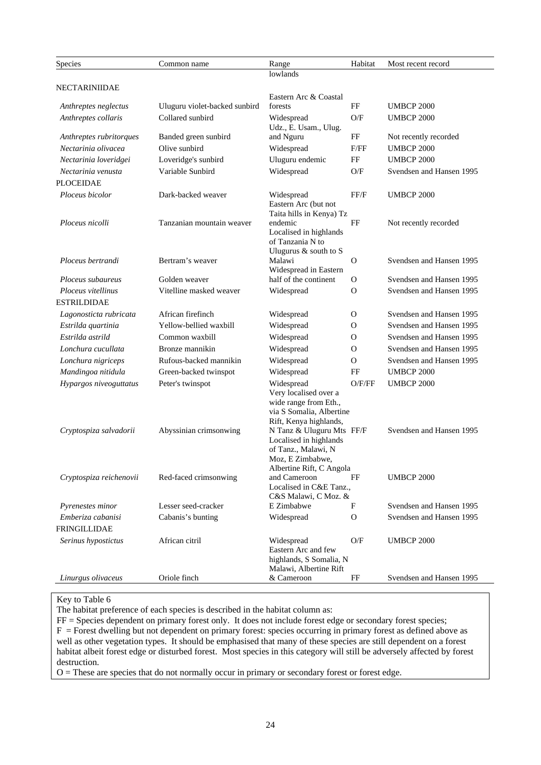| Species                                          | Common name                                | Range                                                                                                                                                                     | Habitat        | Most recent record                            |
|--------------------------------------------------|--------------------------------------------|---------------------------------------------------------------------------------------------------------------------------------------------------------------------------|----------------|-----------------------------------------------|
|                                                  |                                            | lowlands                                                                                                                                                                  |                |                                               |
| NECTARINIIDAE                                    |                                            |                                                                                                                                                                           |                |                                               |
|                                                  |                                            | Eastern Arc & Coastal                                                                                                                                                     |                | <b>UMBCP 2000</b>                             |
| Anthreptes neglectus                             | Uluguru violet-backed sunbird              | forests                                                                                                                                                                   | FF             | <b>UMBCP 2000</b>                             |
| Anthreptes collaris                              | Collared sunbird                           | Widespread<br>Udz., E. Usam., Ulug.                                                                                                                                       | O/F            |                                               |
| Anthreptes rubritorques                          | Banded green sunbird                       | and Nguru                                                                                                                                                                 | FF             | Not recently recorded                         |
| Nectarinia olivacea                              | Olive sunbird                              | Widespread                                                                                                                                                                | F/FF           | <b>UMBCP 2000</b>                             |
| Nectarinia loveridgei                            | Loveridge's sunbird                        | Uluguru endemic                                                                                                                                                           | FF             | <b>UMBCP 2000</b>                             |
| Nectarinia venusta                               | Variable Sunbird                           | Widespread                                                                                                                                                                | O/F            | Svendsen and Hansen 1995                      |
| <b>PLOCEIDAE</b>                                 |                                            |                                                                                                                                                                           |                |                                               |
| Ploceus bicolor                                  | Dark-backed weaver                         | Widespread<br>Eastern Arc (but not<br>Taita hills in Kenya) Tz                                                                                                            | FF/F           | <b>UMBCP 2000</b>                             |
| Ploceus nicolli                                  | Tanzanian mountain weaver                  | endemic<br>Localised in highlands<br>of Tanzania N to<br>Ulugurus & south to S                                                                                            | FF             | Not recently recorded                         |
| Ploceus bertrandi                                | Bertram's weaver                           | Malawi<br>Widespread in Eastern                                                                                                                                           | $\mathbf O$    | Svendsen and Hansen 1995                      |
| Ploceus subaureus                                | Golden weaver                              | half of the continent                                                                                                                                                     | 0              | Svendsen and Hansen 1995                      |
| Ploceus vitellinus                               | Vitelline masked weaver                    | Widespread                                                                                                                                                                | 0              | Svendsen and Hansen 1995                      |
| <b>ESTRILDIDAE</b>                               |                                            |                                                                                                                                                                           |                |                                               |
| Lagonosticta rubricata                           | African firefinch                          | Widespread                                                                                                                                                                | 0              | Svendsen and Hansen 1995                      |
| Estrilda quartinia                               | Yellow-bellied waxbill                     | Widespread                                                                                                                                                                | $\Omega$       | Svendsen and Hansen 1995                      |
| Estrilda astrild                                 | Common waxbill                             | Widespread                                                                                                                                                                | 0              | Svendsen and Hansen 1995                      |
| Lonchura cucullata                               | Bronze mannikin                            | Widespread                                                                                                                                                                | $\Omega$       | Svendsen and Hansen 1995                      |
| Lonchura nigriceps                               | Rufous-backed mannikin                     | Widespread                                                                                                                                                                | $\overline{O}$ | Svendsen and Hansen 1995                      |
| Mandingoa nitidula                               | Green-backed twinspot                      | Widespread                                                                                                                                                                | FF             | <b>UMBCP 2000</b>                             |
| Hypargos niveoguttatus<br>Cryptospiza salvadorii | Peter's twinspot<br>Abyssinian crimsonwing | Widespread<br>Very localised over a<br>wide range from Eth.,<br>via S Somalia, Albertine<br>Rift, Kenya highlands,<br>N Tanz & Uluguru Mts FF/F<br>Localised in highlands | O/F/FF         | <b>UMBCP 2000</b><br>Svendsen and Hansen 1995 |
| Cryptospiza reichenovii                          | Red-faced crimsonwing                      | of Tanz., Malawi, N<br>Moz, E Zimbabwe,<br>Albertine Rift, C Angola<br>and Cameroon<br>Localised in C&E Tanz.,<br>C&S Malawi, C Moz. &                                    | FF             | <b>UMBCP 2000</b>                             |
| Pyrenestes minor                                 | Lesser seed-cracker                        | E Zimbabwe                                                                                                                                                                | F              | Svendsen and Hansen 1995                      |
| Emberiza cabanisi<br>FRINGILLIDAE                | Cabanis's bunting                          | Widespread                                                                                                                                                                | $\mathbf{O}$   | Svendsen and Hansen 1995                      |
|                                                  |                                            |                                                                                                                                                                           |                |                                               |
| Serinus hypostictus                              | African citril                             | Widespread<br>Eastern Arc and few<br>highlands, S Somalia, N<br>Malawi, Albertine Rift                                                                                    | O/F            | <b>UMBCP 2000</b>                             |
| Linurgus olivaceus                               | Oriole finch                               | & Cameroon                                                                                                                                                                | FF             | Svendsen and Hansen 1995                      |

#### Key to Table 6

The habitat preference of each species is described in the habitat column as:

FF = Species dependent on primary forest only. It does not include forest edge or secondary forest species;  $F =$  Forest dwelling but not dependent on primary forest: species occurring in primary forest as defined above as well as other vegetation types. It should be emphasised that many of these species are still dependent on a forest habitat albeit forest edge or disturbed forest. Most species in this category will still be adversely affected by forest destruction.

 $O =$ These are species that do not normally occur in primary or secondary forest or forest edge.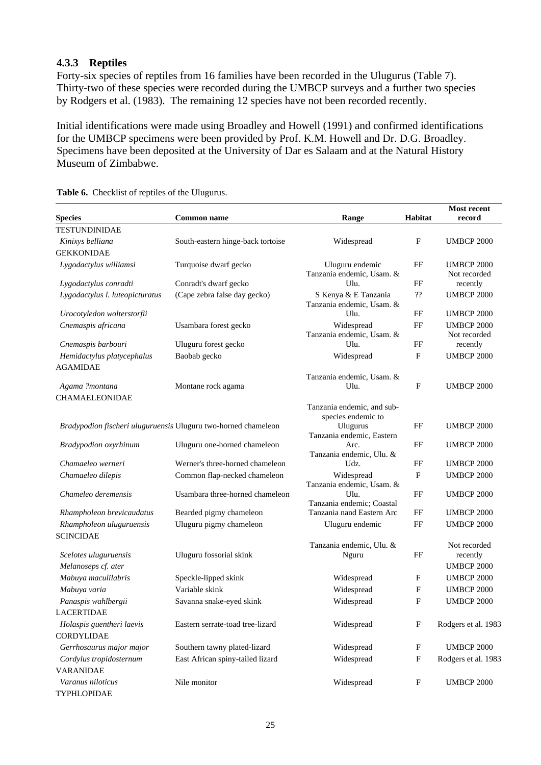## **4.3.3 Reptiles**

Forty-six species of reptiles from 16 families have been recorded in the Ulugurus (Table 7). Thirty-two of these species were recorded during the UMBCP surveys and a further two species by Rodgers et al. (1983). The remaining 12 species have not been recorded recently.

Initial identifications were made using Broadley and Howell (1991) and confirmed identifications for the UMBCP specimens were been provided by Prof. K.M. Howell and Dr. D.G. Broadley. Specimens have been deposited at the University of Dar es Salaam and at the Natural History Museum of Zimbabwe.

| <b>Species</b>                  | <b>Common name</b>                                             | Range                                                       | Habitat        | <b>Most recent</b><br>record      |
|---------------------------------|----------------------------------------------------------------|-------------------------------------------------------------|----------------|-----------------------------------|
| <b>TESTUNDINIDAE</b>            |                                                                |                                                             |                |                                   |
| Kinixys belliana                | South-eastern hinge-back tortoise                              | Widespread                                                  | $\mathbf{F}$   | <b>UMBCP 2000</b>                 |
| <b>GEKKONIDAE</b>               |                                                                |                                                             |                |                                   |
| Lygodactylus williamsi          | Turquoise dwarf gecko                                          | Uluguru endemic<br>Tanzania endemic, Usam. &                | FF             | <b>UMBCP 2000</b><br>Not recorded |
| Lygodactylus conradti           | Conradt's dwarf gecko                                          | Ulu.                                                        | FF             | recently                          |
| Lygodactylus l. luteopicturatus | (Cape zebra false day gecko)                                   | S Kenya & E Tanzania<br>Tanzania endemic, Usam. &           | $\mathfrak{H}$ | <b>UMBCP 2000</b>                 |
| Urocotyledon wolterstorfii      |                                                                | Ulu.                                                        | FF             | <b>UMBCP 2000</b>                 |
| Cnemaspis africana              | Usambara forest gecko                                          | Widespread<br>Tanzania endemic, Usam. &                     | FF             | <b>UMBCP 2000</b><br>Not recorded |
| Cnemaspis barbouri              | Uluguru forest gecko                                           | Ulu.                                                        | FF             | recently                          |
| Hemidactylus platycephalus      | Baobab gecko                                                   | Widespread                                                  | $\mathbf{F}$   | <b>UMBCP 2000</b>                 |
| <b>AGAMIDAE</b>                 |                                                                |                                                             |                |                                   |
| Agama ?montana                  | Montane rock agama                                             | Tanzania endemic, Usam. &<br>Ulu.                           | $\mathbf F$    | <b>UMBCP 2000</b>                 |
| <b>CHAMAELEONIDAE</b>           |                                                                |                                                             |                |                                   |
|                                 |                                                                | Tanzania endemic, and sub-                                  |                |                                   |
|                                 | Bradypodion fischeri uluguruensis Uluguru two-horned chameleon | species endemic to<br>Ulugurus<br>Tanzania endemic, Eastern | FF             | <b>UMBCP 2000</b>                 |
| Bradypodion oxyrhinum           | Uluguru one-horned chameleon                                   | Arc.                                                        | FF             | <b>UMBCP 2000</b>                 |
|                                 |                                                                | Tanzania endemic, Ulu. &                                    |                |                                   |
| Chamaeleo werneri               | Werner's three-horned chameleon                                | Udz.                                                        | FF             | <b>UMBCP 2000</b>                 |
| Chamaeleo dilepis               | Common flap-necked chameleon                                   | Widespread<br>Tanzania endemic, Usam. &                     | F              | <b>UMBCP 2000</b>                 |
| Chameleo deremensis             | Usambara three-horned chameleon                                | Ulu.                                                        | FF             | <b>UMBCP 2000</b>                 |
| Rhampholeon brevicaudatus       | Bearded pigmy chameleon                                        | Tanzania endemic; Coastal<br>Tanzania nand Eastern Arc      | FF             | <b>UMBCP 2000</b>                 |
| Rhampholeon uluguruensis        | Uluguru pigmy chameleon                                        | Uluguru endemic                                             | FF             | <b>UMBCP 2000</b>                 |
| <b>SCINCIDAE</b>                |                                                                |                                                             |                |                                   |
|                                 |                                                                | Tanzania endemic, Ulu. &                                    |                | Not recorded                      |
| Scelotes uluguruensis           | Uluguru fossorial skink                                        | Nguru                                                       | FF             | recently                          |
| Melanoseps cf. ater             |                                                                |                                                             |                | <b>UMBCP 2000</b>                 |
| Mabuya maculilabris             | Speckle-lipped skink                                           | Widespread                                                  | F              | <b>UMBCP 2000</b>                 |
| Mabuya varia                    | Variable skink                                                 | Widespread                                                  | F              | <b>UMBCP 2000</b>                 |
| Panaspis wahlbergii             | Savanna snake-eyed skink                                       | Widespread                                                  | F              | <b>UMBCP 2000</b>                 |
| LACERTIDAE                      |                                                                |                                                             |                |                                   |
| Holaspis guentheri laevis       | Eastern serrate-toad tree-lizard                               | Widespread                                                  | F              | Rodgers et al. 1983               |
| CORDYLIDAE                      |                                                                |                                                             |                |                                   |
| Gerrhosaurus major major        | Southern tawny plated-lizard                                   | Widespread                                                  | F              | <b>UMBCP 2000</b>                 |
| Cordylus tropidosternum         | East African spiny-tailed lizard                               | Widespread                                                  | F              | Rodgers et al. 1983               |
| <b>VARANIDAE</b>                |                                                                |                                                             |                |                                   |
| Varanus niloticus               | Nile monitor                                                   | Widespread                                                  | F              | <b>UMBCP 2000</b>                 |
| <b>TYPHLOPIDAE</b>              |                                                                |                                                             |                |                                   |

**Table 6.** Checklist of reptiles of the Ulugurus.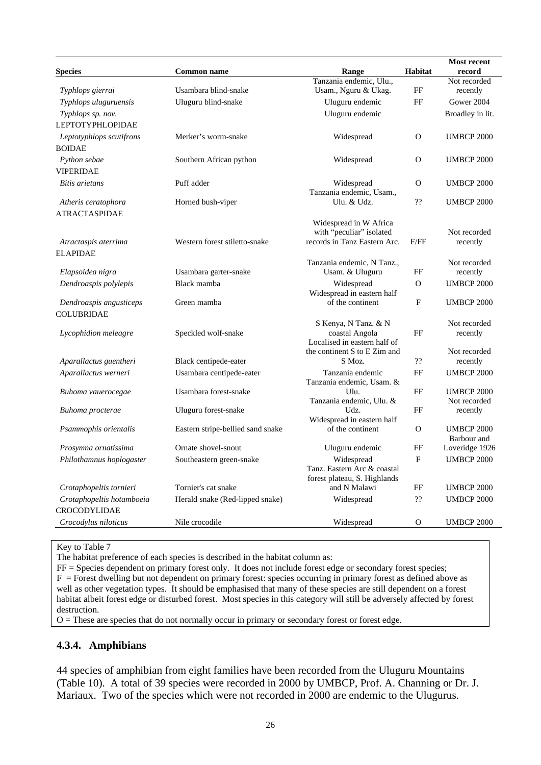|                           |                                   |                                               |                              | <b>Most recent</b>       |
|---------------------------|-----------------------------------|-----------------------------------------------|------------------------------|--------------------------|
| <b>Species</b>            | <b>Common name</b>                | Range                                         | Habitat                      | record                   |
|                           |                                   | Tanzania endemic, Ulu.,                       |                              | Not recorded             |
| Typhlops gierrai          | Usambara blind-snake              | Usam., Nguru & Ukag.                          | FF                           | recently                 |
| Typhlops uluguruensis     | Uluguru blind-snake               | Uluguru endemic                               | FF                           | Gower 2004               |
| Typhlops sp. nov.         |                                   | Uluguru endemic                               |                              | Broadley in lit.         |
| <b>LEPTOTYPHLOPIDAE</b>   |                                   |                                               |                              |                          |
| Leptotyphlops scutifrons  | Merker's worm-snake               | Widespread                                    | $\overline{O}$               | <b>UMBCP 2000</b>        |
| <b>BOIDAE</b>             |                                   |                                               |                              |                          |
| Python sebae              | Southern African python           | Widespread                                    | $\Omega$                     | <b>UMBCP 2000</b>        |
| <b>VIPERIDAE</b>          |                                   |                                               |                              |                          |
| Bitis arietans            | Puff adder                        | Widespread                                    | $\Omega$                     | <b>UMBCP 2000</b>        |
|                           |                                   | Tanzania endemic, Usam.,                      |                              |                          |
| Atheris ceratophora       | Horned bush-viper                 | Ulu. & Udz.                                   | ??                           | <b>UMBCP 2000</b>        |
| <b>ATRACTASPIDAE</b>      |                                   |                                               |                              |                          |
|                           |                                   | Widespread in W Africa                        |                              |                          |
|                           |                                   | with "peculiar" isolated                      |                              | Not recorded             |
| Atractaspis aterrima      | Western forest stiletto-snake     | records in Tanz Eastern Arc.                  | F/FF                         | recently                 |
| <b>ELAPIDAE</b>           |                                   |                                               |                              |                          |
| Elapsoidea nigra          | Usambara garter-snake             | Tanzania endemic, N Tanz.,<br>Usam. & Uluguru | FF                           | Not recorded<br>recently |
| Dendroaspis polylepis     | Black mamba                       |                                               | $\Omega$                     | <b>UMBCP 2000</b>        |
|                           |                                   | Widespread<br>Widespread in eastern half      |                              |                          |
| Dendroaspis angusticeps   | Green mamba                       | of the continent                              | F                            | <b>UMBCP 2000</b>        |
| <b>COLUBRIDAE</b>         |                                   |                                               |                              |                          |
|                           |                                   | S Kenya, N Tanz. & N                          |                              | Not recorded             |
| Lycophidion meleagre      | Speckled wolf-snake               | coastal Angola                                | FF                           | recently                 |
|                           |                                   | Localised in eastern half of                  |                              |                          |
|                           |                                   | the continent S to E Zim and                  |                              | Not recorded             |
| Aparallactus guentheri    | Black centipede-eater             | S Moz.                                        | $\boldsymbol ?\boldsymbol ?$ | recently                 |
| Aparallactus werneri      | Usambara centipede-eater          | Tanzania endemic<br>Tanzania endemic, Usam. & | FF                           | <b>UMBCP 2000</b>        |
| Buhoma vauerocegae        | Usambara forest-snake             | Ulu.                                          | FF                           | <b>UMBCP 2000</b>        |
|                           |                                   | Tanzania endemic, Ulu. &                      |                              | Not recorded             |
| Buhoma procterae          | Uluguru forest-snake              | Udz.                                          | FF                           | recently                 |
|                           |                                   | Widespread in eastern half                    |                              |                          |
| Psammophis orientalis     | Eastern stripe-bellied sand snake | of the continent                              | $\Omega$                     | <b>UMBCP 2000</b>        |
|                           |                                   |                                               |                              | Barbour and              |
| Prosymna ornatissima      | Ornate shovel-snout               | Uluguru endemic                               | FF                           | Loveridge 1926           |
| Philothamnus hoplogaster  | Southeastern green-snake          | Widespread<br>Tanz. Eastern Arc & coastal     | $\mathbf{F}$                 | <b>UMBCP 2000</b>        |
|                           |                                   | forest plateau, S. Highlands                  |                              |                          |
| Crotaphopeltis tornieri   | Tornier's cat snake               | and N Malawi                                  | FF                           | <b>UMBCP 2000</b>        |
| Crotaphopeltis hotamboeia | Herald snake (Red-lipped snake)   | Widespread                                    | ??                           | <b>UMBCP 2000</b>        |
| <b>CROCODYLIDAE</b>       |                                   |                                               |                              |                          |
| Crocodylus niloticus      | Nile crocodile                    | Widespread                                    | 0                            | <b>UMBCP 2000</b>        |
|                           |                                   |                                               |                              |                          |

#### Key to Table 7

The habitat preference of each species is described in the habitat column as:

FF = Species dependent on primary forest only. It does not include forest edge or secondary forest species;  $F =$  Forest dwelling but not dependent on primary forest: species occurring in primary forest as defined above as well as other vegetation types. It should be emphasised that many of these species are still dependent on a forest habitat albeit forest edge or disturbed forest. Most species in this category will still be adversely affected by forest destruction.

O = These are species that do not normally occur in primary or secondary forest or forest edge.

#### **4.3.4. Amphibians**

44 species of amphibian from eight families have been recorded from the Uluguru Mountains (Table 10). A total of 39 species were recorded in 2000 by UMBCP, Prof. A. Channing or Dr. J. Mariaux. Two of the species which were not recorded in 2000 are endemic to the Ulugurus.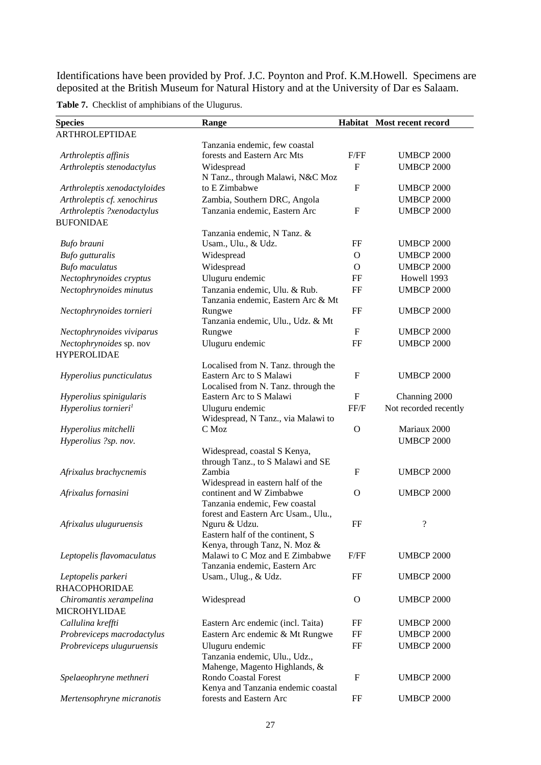Identifications have been provided by Prof. J.C. Poynton and Prof. K.M.Howell. Specimens are deposited at the British Museum for Natural History and at the University of Dar es Salaam.

**Table 7.** Checklist of amphibians of the Ulugurus.

| <b>Species</b>                   | Range                                                             |                           | Habitat Most recent record |
|----------------------------------|-------------------------------------------------------------------|---------------------------|----------------------------|
| <b>ARTHROLEPTIDAE</b>            |                                                                   |                           |                            |
|                                  | Tanzania endemic, few coastal                                     |                           |                            |
| Arthroleptis affinis             | forests and Eastern Arc Mts                                       | F/FF                      | <b>UMBCP 2000</b>          |
| Arthroleptis stenodactylus       | Widespread                                                        | $\mathbf{F}$              | <b>UMBCP 2000</b>          |
|                                  | N Tanz., through Malawi, N&C Moz                                  |                           |                            |
| Arthroleptis xenodactyloides     | to E Zimbabwe                                                     | $\mathbf{F}$              | <b>UMBCP 2000</b>          |
| Arthroleptis cf. xenochirus      | Zambia, Southern DRC, Angola                                      |                           | <b>UMBCP 2000</b>          |
| Arthroleptis ?xenodactylus       | Tanzania endemic, Eastern Arc                                     | $\boldsymbol{\mathrm{F}}$ | <b>UMBCP 2000</b>          |
| <b>BUFONIDAE</b>                 |                                                                   |                           |                            |
|                                  | Tanzania endemic, N Tanz. &                                       |                           |                            |
| Bufo brauni                      | Usam., Ulu., & Udz.                                               | FF                        | <b>UMBCP 2000</b>          |
| Bufo gutturalis                  | Widespread                                                        | $\mathbf{O}$              | <b>UMBCP 2000</b>          |
| <b>Bufo</b> maculatus            | Widespread                                                        | $\mathbf{O}$              | <b>UMBCP 2000</b>          |
| Nectophrynoides cryptus          | Uluguru endemic                                                   | FF                        | Howell 1993                |
| Nectophrynoides minutus          | Tanzania endemic, Ulu. & Rub.                                     | FF                        | <b>UMBCP 2000</b>          |
|                                  | Tanzania endemic, Eastern Arc & Mt                                |                           |                            |
| Nectophrynoides tornieri         | Rungwe                                                            | FF                        | <b>UMBCP 2000</b>          |
|                                  | Tanzania endemic, Ulu., Udz. & Mt                                 |                           |                            |
| Nectophrynoides viviparus        | Rungwe                                                            | ${\bf F}$                 | <b>UMBCP 2000</b>          |
| Nectophrynoides sp. nov          | Uluguru endemic                                                   | FF                        | <b>UMBCP 2000</b>          |
| <b>HYPEROLIDAE</b>               |                                                                   |                           |                            |
|                                  | Localised from N. Tanz. through the                               |                           |                            |
| Hyperolius puncticulatus         | Eastern Arc to S Malawi                                           | $\mathbf F$               | <b>UMBCP 2000</b>          |
|                                  | Localised from N. Tanz. through the                               |                           |                            |
| Hyperolius spinigularis          | Eastern Arc to S Malawi                                           | $\boldsymbol{\mathrm{F}}$ | Channing 2000              |
| Hyperolius tornieri <sup>1</sup> | Uluguru endemic                                                   | FF/F                      | Not recorded recently      |
|                                  | Widespread, N Tanz., via Malawi to                                |                           |                            |
| Hyperolius mitchelli             | C Moz                                                             | $\mathbf{O}$              | Mariaux 2000               |
| Hyperolius ?sp. nov.             |                                                                   |                           | <b>UMBCP 2000</b>          |
|                                  | Widespread, coastal S Kenya,<br>through Tanz., to S Malawi and SE |                           |                            |
| Afrixalus brachycnemis           | Zambia                                                            | F                         | <b>UMBCP 2000</b>          |
|                                  | Widespread in eastern half of the                                 |                           |                            |
| Afrixalus fornasini              | continent and W Zimbabwe                                          | $\mathbf{O}$              | <b>UMBCP 2000</b>          |
|                                  | Tanzania endemic, Few coastal                                     |                           |                            |
|                                  | forest and Eastern Arc Usam., Ulu.,                               |                           |                            |
| Afrixalus uluguruensis           | Nguru & Udzu.                                                     | FF                        | $\gamma$                   |
|                                  | Eastern half of the continent, S                                  |                           |                            |
|                                  | Kenya, through Tanz, N. Moz &                                     |                           |                            |
| Leptopelis flavomaculatus        | Malawi to C Moz and E Zimbabwe                                    | F/FF                      | <b>UMBCP 2000</b>          |
|                                  | Tanzania endemic, Eastern Arc                                     |                           |                            |
| Leptopelis parkeri               | Usam., Ulug., & Udz.                                              | FF                        | <b>UMBCP 2000</b>          |
| <b>RHACOPHORIDAE</b>             |                                                                   |                           |                            |
| Chiromantis xerampelina          | Widespread                                                        | $\mathbf{O}$              | <b>UMBCP 2000</b>          |
| MICROHYLIDAE                     |                                                                   |                           |                            |
| Callulina kreffti                | Eastern Arc endemic (incl. Taita)                                 | FF                        | <b>UMBCP 2000</b>          |
| Probreviceps macrodactylus       | Eastern Arc endemic & Mt Rungwe                                   | $\rm FF$                  | <b>UMBCP 2000</b>          |
| Probreviceps uluguruensis        | Uluguru endemic                                                   | FF                        | <b>UMBCP 2000</b>          |
|                                  | Tanzania endemic, Ulu., Udz.,                                     |                           |                            |
|                                  | Mahenge, Magento Highlands, &                                     |                           |                            |
| Spelaeophryne methneri           | <b>Rondo Coastal Forest</b>                                       | F                         | <b>UMBCP 2000</b>          |
|                                  | Kenya and Tanzania endemic coastal                                |                           |                            |
| Mertensophryne micranotis        | forests and Eastern Arc                                           | FF                        | <b>UMBCP 2000</b>          |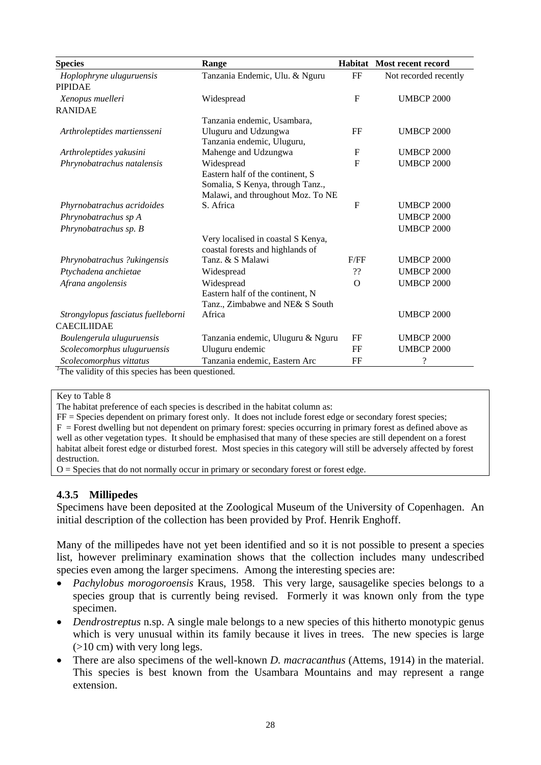| <b>Species</b>                                                 | Range                              |                | <b>Habitat</b> Most recent record |
|----------------------------------------------------------------|------------------------------------|----------------|-----------------------------------|
| Hoplophryne uluguruensis                                       | Tanzania Endemic, Ulu. & Nguru     | FF             | Not recorded recently             |
| <b>PIPIDAE</b>                                                 |                                    |                |                                   |
| Xenopus muelleri                                               | Widespread                         | $\mathbf{F}$   | <b>UMBCP 2000</b>                 |
| <b>RANIDAE</b>                                                 |                                    |                |                                   |
|                                                                | Tanzania endemic, Usambara,        |                |                                   |
| Arthroleptides martiensseni                                    | Uluguru and Udzungwa               | FF             | <b>UMBCP 2000</b>                 |
|                                                                | Tanzania endemic, Uluguru,         |                |                                   |
| Arthroleptides yakusini                                        | Mahenge and Udzungwa               | $\mathbf F$    | <b>UMBCP 2000</b>                 |
| Phrynobatrachus natalensis                                     | Widespread                         | $\overline{F}$ | <b>UMBCP 2000</b>                 |
|                                                                | Eastern half of the continent, S   |                |                                   |
|                                                                | Somalia, S Kenya, through Tanz.,   |                |                                   |
|                                                                | Malawi, and throughout Moz. To NE  |                |                                   |
| Phyrnobatrachus acridoides                                     | S. Africa                          | $\mathbf{F}$   | <b>UMBCP 2000</b>                 |
| Phrynobatrachus sp A                                           |                                    |                | <b>UMBCP 2000</b>                 |
| Phrynobatrachus sp. B                                          |                                    |                | <b>UMBCP 2000</b>                 |
|                                                                | Very localised in coastal S Kenya, |                |                                   |
|                                                                | coastal forests and highlands of   |                |                                   |
| Phrynobatrachus ?ukingensis                                    | Tanz. & S Malawi                   | F/FF           | <b>UMBCP 2000</b>                 |
| Ptychadena anchietae                                           | Widespread                         | ??             | <b>UMBCP 2000</b>                 |
| Afrana angolensis                                              | Widespread                         | $\mathcal{O}$  | <b>UMBCP 2000</b>                 |
|                                                                | Eastern half of the continent, N   |                |                                   |
|                                                                | Tanz., Zimbabwe and NE& S South    |                |                                   |
| Strongylopus fasciatus fuelleborni                             | Africa                             |                | <b>UMBCP 2000</b>                 |
| <b>CAECILIIDAE</b>                                             |                                    |                |                                   |
| Boulengerula uluguruensis                                      | Tanzania endemic, Uluguru & Nguru  | FF             | <b>UMBCP 2000</b>                 |
| Scolecomorphus uluguruensis                                    | Uluguru endemic                    | FF             | <b>UMBCP 2000</b>                 |
| Scolecomorphus vittatus                                        | Tanzania endemic, Eastern Arc      | FF             | ?                                 |
| $\frac{1}{1}$ The validity of this species has been questioned |                                    |                |                                   |

The validity of this species has been questioned.

Key to Table 8

The habitat preference of each species is described in the habitat column as:

FF = Species dependent on primary forest only. It does not include forest edge or secondary forest species;  $F =$  Forest dwelling but not dependent on primary forest: species occurring in primary forest as defined above as well as other vegetation types. It should be emphasised that many of these species are still dependent on a forest habitat albeit forest edge or disturbed forest. Most species in this category will still be adversely affected by forest destruction.

 $O =$  Species that do not normally occur in primary or secondary forest or forest edge.

## **4.3.5 Millipedes**

Specimens have been deposited at the Zoological Museum of the University of Copenhagen. An initial description of the collection has been provided by Prof. Henrik Enghoff.

Many of the millipedes have not yet been identified and so it is not possible to present a species list, however preliminary examination shows that the collection includes many undescribed species even among the larger specimens. Among the interesting species are:

- *Pachylobus morogoroensis* Kraus, 1958. This very large, sausagelike species belongs to a species group that is currently being revised. Formerly it was known only from the type specimen.
- *Dendrostreptus* n.sp. A single male belongs to a new species of this hitherto monotypic genus which is very unusual within its family because it lives in trees. The new species is large (>10 cm) with very long legs.
- There are also specimens of the well-known *D. macracanthus* (Attems, 1914) in the material. This species is best known from the Usambara Mountains and may represent a range extension.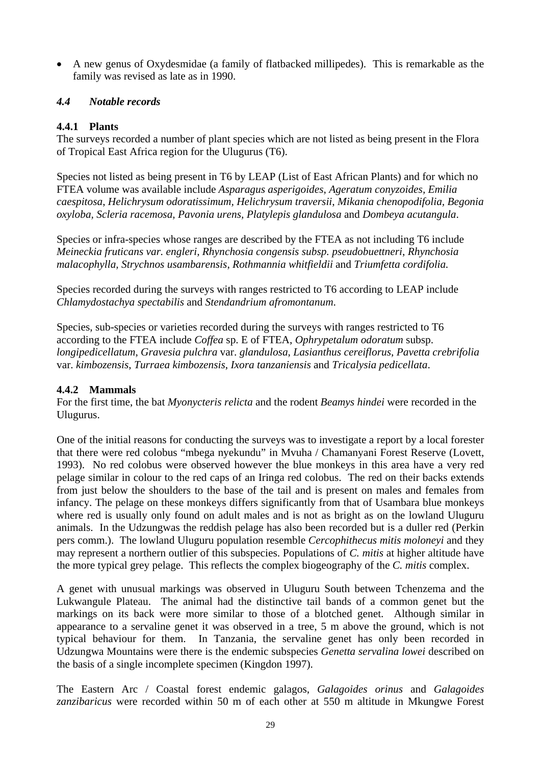A new genus of Oxydesmidae (a family of flatbacked millipedes). This is remarkable as the family was revised as late as in 1990.

## *4.4 Notable records*

## **4.4.1 Plants**

The surveys recorded a number of plant species which are not listed as being present in the Flora of Tropical East Africa region for the Ulugurus (T6).

Species not listed as being present in T6 by LEAP (List of East African Plants) and for which no FTEA volume was available include *Asparagus asperigoides*, *Ageratum conyzoides, Emilia caespitosa*, *Helichrysum odoratissimum, Helichrysum traversii*, *Mikania chenopodifolia, Begonia oxyloba, Scleria racemosa, Pavonia urens, Platylepis glandulosa* and *Dombeya acutangula*.

Species or infra-species whose ranges are described by the FTEA as not including T6 include *Meineckia fruticans var. engleri, Rhynchosia congensis subsp. pseudobuettneri*, *Rhynchosia malacophylla, Strychnos usambarensis*, *Rothmannia whitfieldii* and *Triumfetta cordifolia.* 

Species recorded during the surveys with ranges restricted to T6 according to LEAP include *Chlamydostachya spectabilis* and *Stendandrium afromontanum*.

Species, sub-species or varieties recorded during the surveys with ranges restricted to T6 according to the FTEA include *Coffea* sp. E of FTEA, *Ophrypetalum odoratum* subsp. *longipedicellatum*, *Gravesia pulchra* var. *glandulosa*, *Lasianthus cereiflorus*, *Pavetta crebrifolia* var. *kimbozensis*, *Turraea kimbozensis*, *Ixora tanzaniensis* and *Tricalysia pedicellata*.

## **4.4.2 Mammals**

For the first time, the bat *Myonycteris relicta* and the rodent *Beamys hindei* were recorded in the Ulugurus.

One of the initial reasons for conducting the surveys was to investigate a report by a local forester that there were red colobus "mbega nyekundu" in Mvuha / Chamanyani Forest Reserve (Lovett, 1993). No red colobus were observed however the blue monkeys in this area have a very red pelage similar in colour to the red caps of an Iringa red colobus. The red on their backs extends from just below the shoulders to the base of the tail and is present on males and females from infancy. The pelage on these monkeys differs significantly from that of Usambara blue monkeys where red is usually only found on adult males and is not as bright as on the lowland Uluguru animals. In the Udzungwas the reddish pelage has also been recorded but is a duller red (Perkin pers comm.). The lowland Uluguru population resemble *Cercophithecus mitis moloneyi* and they may represent a northern outlier of this subspecies. Populations of *C. mitis* at higher altitude have the more typical grey pelage. This reflects the complex biogeography of the *C. mitis* complex.

A genet with unusual markings was observed in Uluguru South between Tchenzema and the Lukwangule Plateau. The animal had the distinctive tail bands of a common genet but the markings on its back were more similar to those of a blotched genet. Although similar in appearance to a servaline genet it was observed in a tree, 5 m above the ground, which is not typical behaviour for them. In Tanzania, the servaline genet has only been recorded in Udzungwa Mountains were there is the endemic subspecies *Genetta servalina lowei* described on the basis of a single incomplete specimen (Kingdon 1997).

The Eastern Arc / Coastal forest endemic galagos, *Galagoides orinus* and *Galagoides zanzibaricus* were recorded within 50 m of each other at 550 m altitude in Mkungwe Forest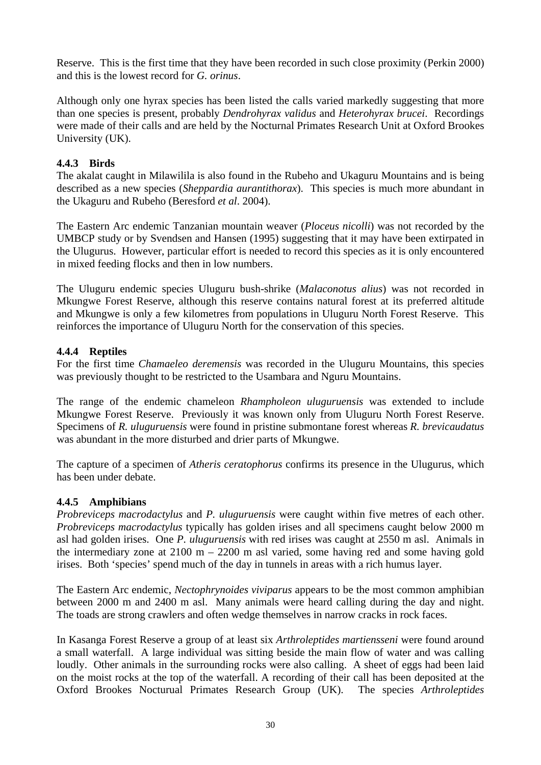Reserve. This is the first time that they have been recorded in such close proximity (Perkin 2000) and this is the lowest record for *G. orinus*.

Although only one hyrax species has been listed the calls varied markedly suggesting that more than one species is present, probably *Dendrohyrax validus* and *Heterohyrax brucei*. Recordings were made of their calls and are held by the Nocturnal Primates Research Unit at Oxford Brookes University (UK).

## **4.4.3 Birds**

The akalat caught in Milawilila is also found in the Rubeho and Ukaguru Mountains and is being described as a new species (*Sheppardia aurantithorax*). This species is much more abundant in the Ukaguru and Rubeho (Beresford *et al*. 2004).

The Eastern Arc endemic Tanzanian mountain weaver (*Ploceus nicolli*) was not recorded by the UMBCP study or by Svendsen and Hansen (1995) suggesting that it may have been extirpated in the Ulugurus. However, particular effort is needed to record this species as it is only encountered in mixed feeding flocks and then in low numbers.

The Uluguru endemic species Uluguru bush-shrike (*Malaconotus alius*) was not recorded in Mkungwe Forest Reserve, although this reserve contains natural forest at its preferred altitude and Mkungwe is only a few kilometres from populations in Uluguru North Forest Reserve. This reinforces the importance of Uluguru North for the conservation of this species.

## **4.4.4 Reptiles**

For the first time *Chamaeleo deremensis* was recorded in the Uluguru Mountains, this species was previously thought to be restricted to the Usambara and Nguru Mountains.

The range of the endemic chameleon *Rhampholeon uluguruensis* was extended to include Mkungwe Forest Reserve. Previously it was known only from Uluguru North Forest Reserve. Specimens of *R. uluguruensis* were found in pristine submontane forest whereas *R. brevicaudatus* was abundant in the more disturbed and drier parts of Mkungwe.

The capture of a specimen of *Atheris ceratophorus* confirms its presence in the Ulugurus, which has been under debate.

## **4.4.5 Amphibians**

*Probreviceps macrodactylus* and *P. uluguruensis* were caught within five metres of each other. *Probreviceps macrodactylus* typically has golden irises and all specimens caught below 2000 m asl had golden irises. One *P. uluguruensis* with red irises was caught at 2550 m asl. Animals in the intermediary zone at  $2100 \text{ m} - 2200 \text{ m}$  asl varied, some having red and some having gold irises. Both 'species' spend much of the day in tunnels in areas with a rich humus layer.

The Eastern Arc endemic, *Nectophrynoides viviparus* appears to be the most common amphibian between 2000 m and 2400 m asl. Many animals were heard calling during the day and night. The toads are strong crawlers and often wedge themselves in narrow cracks in rock faces.

In Kasanga Forest Reserve a group of at least six *Arthroleptides martiensseni* were found around a small waterfall. A large individual was sitting beside the main flow of water and was calling loudly. Other animals in the surrounding rocks were also calling. A sheet of eggs had been laid on the moist rocks at the top of the waterfall. A recording of their call has been deposited at the Oxford Brookes Nocturual Primates Research Group (UK). The species *Arthroleptides*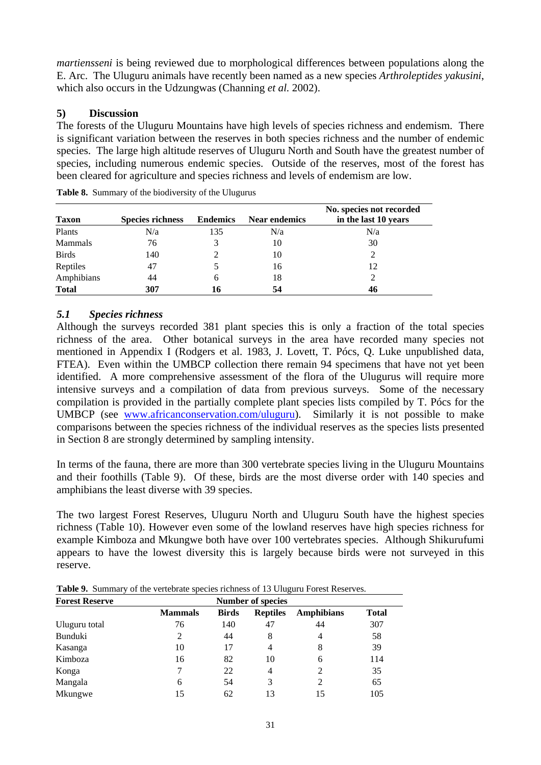*martiensseni* is being reviewed due to morphological differences between populations along the E. Arc. The Uluguru animals have recently been named as a new species *Arthroleptides yakusini*, which also occurs in the Udzungwas (Channing *et al.* 2002).

## **5) Discussion**

The forests of the Uluguru Mountains have high levels of species richness and endemism. There is significant variation between the reserves in both species richness and the number of endemic species. The large high altitude reserves of Uluguru North and South have the greatest number of species, including numerous endemic species. Outside of the reserves, most of the forest has been cleared for agriculture and species richness and levels of endemism are low.

| <b>Taxon</b> | <b>Species richness</b> | <b>Endemics</b> | <b>Near endemics</b> | No. species not recorded<br>in the last 10 years |
|--------------|-------------------------|-----------------|----------------------|--------------------------------------------------|
| Plants       | N/a                     | 135             | N/a                  | N/a                                              |
| Mammals      | 76                      | 3               | 10                   | 30                                               |
| <b>Birds</b> | 140                     |                 | 10                   |                                                  |
| Reptiles     | 47                      |                 | 16                   | 12                                               |
| Amphibians   | 44                      | 6               | 18                   |                                                  |
| <b>Total</b> | 307                     | 16              | 54                   | 46                                               |

**Table 8.** Summary of the biodiversity of the Ulugurus

## *5.1 Species richness*

Although the surveys recorded 381 plant species this is only a fraction of the total species richness of the area. Other botanical surveys in the area have recorded many species not mentioned in Appendix I (Rodgers et al. 1983, J. Lovett, T. Pócs, Q. Luke unpublished data, FTEA). Even within the UMBCP collection there remain 94 specimens that have not yet been identified. A more comprehensive assessment of the flora of the Ulugurus will require more intensive surveys and a compilation of data from previous surveys. Some of the necessary compilation is provided in the partially complete plant species lists compiled by T. Pócs for the UMBCP (see www.africanconservation.com/uluguru). Similarly it is not possible to make comparisons between the species richness of the individual reserves as the species lists presented in Section 8 are strongly determined by sampling intensity.

In terms of the fauna, there are more than 300 vertebrate species living in the Uluguru Mountains and their foothills (Table 9). Of these, birds are the most diverse order with 140 species and amphibians the least diverse with 39 species.

The two largest Forest Reserves, Uluguru North and Uluguru South have the highest species richness (Table 10). However even some of the lowland reserves have high species richness for example Kimboza and Mkungwe both have over 100 vertebrates species. Although Shikurufumi appears to have the lowest diversity this is largely because birds were not surveyed in this reserve.

**Table 9.** Summary of the vertebrate species richness of 13 Uluguru Forest Reserves.

| <b>Forest Reserve</b> |                | <b>Number of species</b> |                 |                   |              |  |  |  |
|-----------------------|----------------|--------------------------|-----------------|-------------------|--------------|--|--|--|
|                       | <b>Mammals</b> | <b>Birds</b>             | <b>Reptiles</b> | <b>Amphibians</b> | <b>Total</b> |  |  |  |
| Uluguru total         | 76             | 140                      | 47              | 44                | 307          |  |  |  |
| Bunduki               | 2              | 44                       | 8               | 4                 | 58           |  |  |  |
| Kasanga               | 10             | 17                       | 4               | 8                 | 39           |  |  |  |
| Kimboza               | 16             | 82                       | 10              | 6                 | 114          |  |  |  |
| Konga                 | 7              | 22                       | 4               | 2                 | 35           |  |  |  |
| Mangala               | 6              | 54                       | 3               | 2                 | 65           |  |  |  |
| Mkungwe               | 15             | 62                       | 13              | 15                | 105          |  |  |  |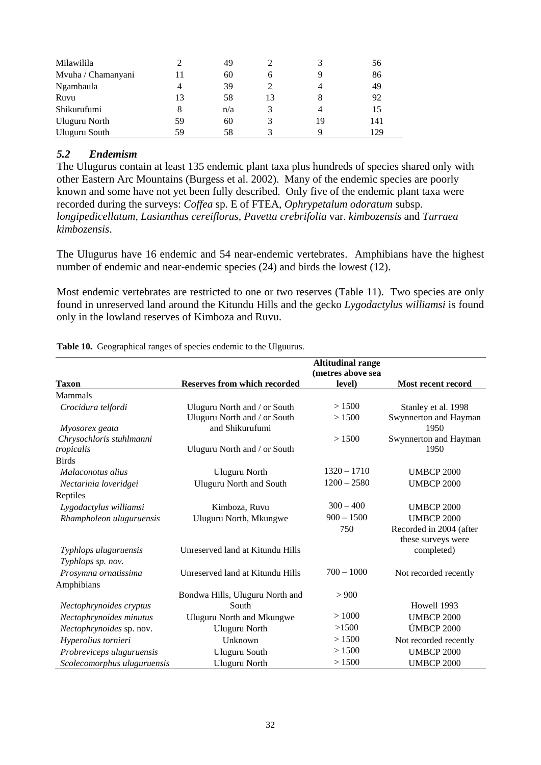| Milawilila           |    | 49  |    |    | 56  |
|----------------------|----|-----|----|----|-----|
| Mvuha / Chamanyani   |    | 60  | 6  |    | 86  |
| Ngambaula            | 4  | 39  |    |    | 49  |
| Ruvu                 | 13 | 58  | 13 |    | 92  |
| Shikurufumi          | 8  | n/a |    |    | 15  |
| <b>Uluguru North</b> | 59 | 60  |    | 19 | 141 |
| Uluguru South        | 59 | 58  |    |    | 129 |

#### *5.2 Endemism*

The Ulugurus contain at least 135 endemic plant taxa plus hundreds of species shared only with other Eastern Arc Mountains (Burgess et al. 2002). Many of the endemic species are poorly known and some have not yet been fully described. Only five of the endemic plant taxa were recorded during the surveys: *Coffea* sp. E of FTEA, *Ophrypetalum odoratum* subsp. *longipedicellatum*, *Lasianthus cereiflorus, Pavetta crebrifolia* var. *kimbozensis* and *Turraea kimbozensis*.

The Ulugurus have 16 endemic and 54 near-endemic vertebrates. Amphibians have the highest number of endemic and near-endemic species (24) and birds the lowest (12).

Most endemic vertebrates are restricted to one or two reserves (Table 11). Two species are only found in unreserved land around the Kitundu Hills and the gecko *Lygodactylus williamsi* is found only in the lowland reserves of Kimboza and Ruvu.

|                             |                                     | <b>Altitudinal range</b> |                         |
|-----------------------------|-------------------------------------|--------------------------|-------------------------|
|                             |                                     | (metres above sea        |                         |
| <b>Taxon</b>                | <b>Reserves from which recorded</b> | level)                   | Most recent record      |
| Mammals                     |                                     |                          |                         |
| Crocidura telfordi          | Uluguru North and / or South        | >1500                    | Stanley et al. 1998     |
|                             | Uluguru North and / or South        | >1500                    | Swynnerton and Hayman   |
| Myosorex geata              | and Shikurufumi                     |                          | 1950                    |
| Chrysochloris stuhlmanni    |                                     | >1500                    | Swynnerton and Hayman   |
| tropicalis                  | Uluguru North and / or South        |                          | 1950                    |
| <b>Birds</b>                |                                     |                          |                         |
| Malaconotus alius           | <b>Uluguru North</b>                | $1320 - 1710$            | <b>UMBCP 2000</b>       |
| Nectarinia loveridgei       | <b>Uluguru North and South</b>      | $1200 - 2580$            | <b>UMBCP 2000</b>       |
| Reptiles                    |                                     |                          |                         |
| Lygodactylus williamsi      | Kimboza, Ruvu                       | $300 - 400$              | <b>UMBCP 2000</b>       |
| Rhampholeon uluguruensis    | Uluguru North, Mkungwe              | $900 - 1500$             | <b>UMBCP 2000</b>       |
|                             |                                     | 750                      | Recorded in 2004 (after |
|                             |                                     |                          | these surveys were      |
| Typhlops uluguruensis       | Unreserved land at Kitundu Hills    |                          | completed)              |
| Typhlops sp. nov.           |                                     |                          |                         |
| Prosymna ornatissima        | Unreserved land at Kitundu Hills    | $700 - 1000$             | Not recorded recently   |
| Amphibians                  |                                     |                          |                         |
|                             | Bondwa Hills, Uluguru North and     | > 900                    |                         |
| Nectophrynoides cryptus     | South                               |                          | Howell 1993             |
| Nectophrynoides minutus     | <b>Uluguru North and Mkungwe</b>    | >1000                    | <b>UMBCP 2000</b>       |
| Nectophrynoides sp. nov.    | <b>Uluguru North</b>                | >1500                    | <b>ÚMBCP 2000</b>       |
| Hyperolius tornieri         | Unknown                             | > 1500                   | Not recorded recently   |
| Probreviceps uluguruensis   | <b>Uluguru South</b>                | > 1500                   | <b>UMBCP 2000</b>       |
| Scolecomorphus uluguruensis | <b>Uluguru North</b>                | > 1500                   | <b>UMBCP 2000</b>       |

**Table 10.** Geographical ranges of species endemic to the Ulguurus.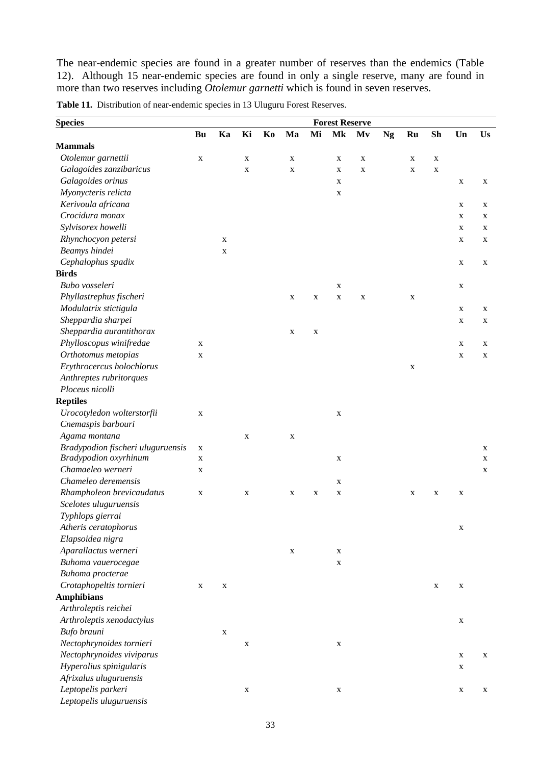The near-endemic species are found in a greater number of reserves than the endemics (Table 12). Although 15 near-endemic species are found in only a single reserve, many are found in more than two reserves including *Otolemur garnetti* which is found in seven reserves.

| <b>Species</b>                    |             |             |             |    |             |             | <b>Forest Reserve</b> |             |           |             |             |             |    |
|-----------------------------------|-------------|-------------|-------------|----|-------------|-------------|-----------------------|-------------|-----------|-------------|-------------|-------------|----|
|                                   | Bu          | Ka          | Ki          | Ko | Ma          | Mi          | Mk                    | Mv          | <b>Ng</b> | Ru          | <b>Sh</b>   | Un          | Us |
| <b>Mammals</b>                    |             |             |             |    |             |             |                       |             |           |             |             |             |    |
| Otolemur garnettii                | X           |             | X           |    | X           |             | X                     | $\mathbf X$ |           | X           | X           |             |    |
| Galagoides zanzibaricus           |             |             | X           |    | $\mathbf X$ |             | X                     | $\mathbf X$ |           | $\mathbf X$ | $\mathbf X$ |             |    |
| Galagoides orinus                 |             |             |             |    |             |             | X                     |             |           |             |             | X           | X  |
| Myonycteris relicta               |             |             |             |    |             |             | X                     |             |           |             |             |             |    |
| Kerivoula africana                |             |             |             |    |             |             |                       |             |           |             |             | X           | X  |
| Crocidura monax                   |             |             |             |    |             |             |                       |             |           |             |             | $\mathbf X$ | X  |
| Sylvisorex howelli                |             |             |             |    |             |             |                       |             |           |             |             | X           | X  |
| Rhynchocyon petersi               |             | X           |             |    |             |             |                       |             |           |             |             | X           | X  |
| Beamys hindei                     |             | X           |             |    |             |             |                       |             |           |             |             |             |    |
| Cephalophus spadix                |             |             |             |    |             |             |                       |             |           |             |             | X           | X  |
| <b>Birds</b>                      |             |             |             |    |             |             |                       |             |           |             |             |             |    |
| Bubo vosseleri                    |             |             |             |    |             |             | $\mathbf X$           |             |           |             |             | X           |    |
| Phyllastrephus fischeri           |             |             |             |    | X           | $\mathbf X$ | $\mathbf X$           | $\mathbf X$ |           | X           |             |             |    |
| Modulatrix stictigula             |             |             |             |    |             |             |                       |             |           |             |             | $\mathbf X$ | X  |
| Sheppardia sharpei                |             |             |             |    |             |             |                       |             |           |             |             | X           | X  |
| Sheppardia aurantithorax          |             |             |             |    | $\mathbf X$ | $\mathbf X$ |                       |             |           |             |             |             |    |
| Phylloscopus winifredae           | X           |             |             |    |             |             |                       |             |           |             |             | X           | X  |
| Orthotomus metopias               | $\mathbf X$ |             |             |    |             |             |                       |             |           |             |             | $\mathbf X$ | X  |
| Erythrocercus holochlorus         |             |             |             |    |             |             |                       |             |           | $\mathbf X$ |             |             |    |
| Anthreptes rubritorques           |             |             |             |    |             |             |                       |             |           |             |             |             |    |
| Ploceus nicolli                   |             |             |             |    |             |             |                       |             |           |             |             |             |    |
| <b>Reptiles</b>                   |             |             |             |    |             |             |                       |             |           |             |             |             |    |
| Urocotyledon wolterstorfii        | $\mathbf X$ |             |             |    |             |             | X                     |             |           |             |             |             |    |
| Cnemaspis barbouri                |             |             |             |    |             |             |                       |             |           |             |             |             |    |
| Agama montana                     |             |             | $\mathbf X$ |    | X           |             |                       |             |           |             |             |             |    |
| Bradypodion fischeri uluguruensis | X           |             |             |    |             |             |                       |             |           |             |             |             | X  |
| Bradypodion oxyrhinum             | $\mathbf X$ |             |             |    |             |             | X                     |             |           |             |             |             | X  |
| Chamaeleo werneri                 | X           |             |             |    |             |             |                       |             |           |             |             |             | X  |
| Chameleo deremensis               |             |             |             |    |             |             | X                     |             |           |             |             |             |    |
| Rhampholeon brevicaudatus         | $\mathbf X$ |             | X           |    | X           | $\mathbf X$ | $\mathbf X$           |             |           | X           | $\mathbf X$ | X           |    |
| Scelotes uluguruensis             |             |             |             |    |             |             |                       |             |           |             |             |             |    |
| Typhlops gierrai                  |             |             |             |    |             |             |                       |             |           |             |             |             |    |
| Atheris ceratophorus              |             |             |             |    |             |             |                       |             |           |             |             | $\mathbf X$ |    |
| Elapsoidea nigra                  |             |             |             |    |             |             |                       |             |           |             |             |             |    |
| Aparallactus werneri              |             |             |             |    | $\mathbf X$ |             | X                     |             |           |             |             |             |    |
| Buhoma vauerocegae                |             |             |             |    |             |             | X                     |             |           |             |             |             |    |
| Buhoma procterae                  |             |             |             |    |             |             |                       |             |           |             |             |             |    |
| Crotaphopeltis tornieri           | X           | X           |             |    |             |             |                       |             |           |             | $\mathbf X$ | X           |    |
| <b>Amphibians</b>                 |             |             |             |    |             |             |                       |             |           |             |             |             |    |
| Arthroleptis reichei              |             |             |             |    |             |             |                       |             |           |             |             |             |    |
| Arthroleptis xenodactylus         |             |             |             |    |             |             |                       |             |           |             |             | X           |    |
| Bufo brauni                       |             | $\mathbf X$ |             |    |             |             |                       |             |           |             |             |             |    |
| Nectophrynoides tornieri          |             |             | $\mathbf X$ |    |             |             | X                     |             |           |             |             |             |    |
| Nectophrynoides viviparus         |             |             |             |    |             |             |                       |             |           |             |             | X           | X  |
| Hyperolius spinigularis           |             |             |             |    |             |             |                       |             |           |             |             | $\mathbf X$ |    |
| Afrixalus uluguruensis            |             |             |             |    |             |             |                       |             |           |             |             |             |    |
| Leptopelis parkeri                |             |             | X           |    |             |             | X                     |             |           |             |             | X           | X  |
| Leptopelis uluguruensis           |             |             |             |    |             |             |                       |             |           |             |             |             |    |

**Table 11.** Distribution of near-endemic species in 13 Uluguru Forest Reserves.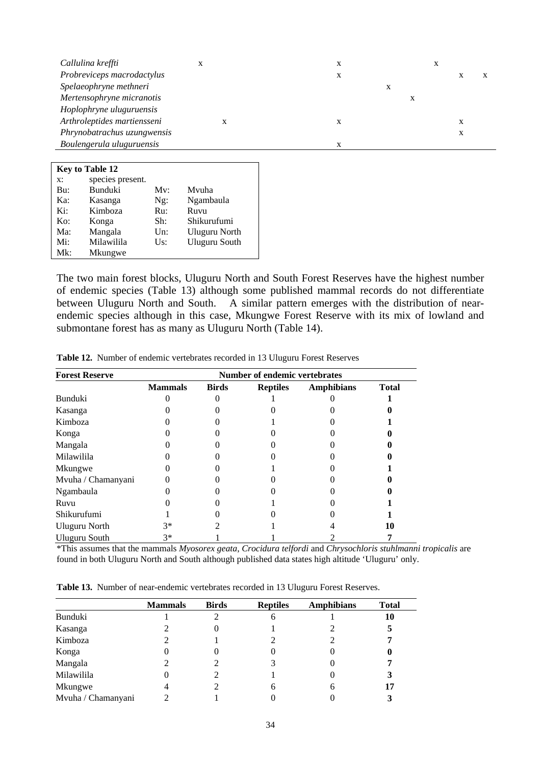| Callulina kreffti           |           | X |   |   |   |  |
|-----------------------------|-----------|---|---|---|---|--|
| Probreviceps macrodactylus  |           | X |   |   |   |  |
| Spelaeophryne methneri      |           |   | X |   |   |  |
| Mertensophryne micranotis   |           |   |   | л |   |  |
| Hoplophryne uluguruensis    |           |   |   |   |   |  |
| Arthroleptides martiensseni | $\lambda$ | X |   |   | X |  |
| Phrynobatrachus uzungwensis |           |   |   |   | X |  |
| Boulengerula uluguruensis   |           | X |   |   |   |  |
|                             |           |   |   |   |   |  |

| <b>Key to Table 12</b> |                  |         |               |  |  |  |  |
|------------------------|------------------|---------|---------------|--|--|--|--|
| x:                     | species present. |         |               |  |  |  |  |
| Bu:                    | Bunduki          | Mv:     | Mvuha         |  |  |  |  |
| Ka:                    | Kasanga          | $Ng$ :  | Ngambaula     |  |  |  |  |
| Ki:                    | Kimboza          | Ru:     | Ruvu          |  |  |  |  |
| $K_{0}$ :              | Konga            | Sh:     | Shikurufumi   |  |  |  |  |
| Ma:                    | Mangala          | Un:     | Uluguru North |  |  |  |  |
| Mi:                    | Milawilila       | $U_s$ : | Uluguru South |  |  |  |  |
| $Mk$ :                 | Mkungwe          |         |               |  |  |  |  |

The two main forest blocks, Uluguru North and South Forest Reserves have the highest number of endemic species (Table 13) although some published mammal records do not differentiate between Uluguru North and South. A similar pattern emerges with the distribution of nearendemic species although in this case, Mkungwe Forest Reserve with its mix of lowland and submontane forest has as many as Uluguru North (Table 14).

| <b>Forest Reserve</b> | <b>Number of endemic vertebrates</b> |              |                 |                   |              |  |  |  |
|-----------------------|--------------------------------------|--------------|-----------------|-------------------|--------------|--|--|--|
|                       | <b>Mammals</b>                       | <b>Birds</b> | <b>Reptiles</b> | <b>Amphibians</b> | <b>Total</b> |  |  |  |
| <b>Bunduki</b>        |                                      |              |                 |                   |              |  |  |  |
| Kasanga               |                                      |              |                 |                   |              |  |  |  |
| Kimboza               |                                      |              |                 |                   |              |  |  |  |
| Konga                 |                                      |              |                 |                   |              |  |  |  |
| Mangala               |                                      |              |                 |                   |              |  |  |  |
| Milawilila            |                                      |              |                 |                   |              |  |  |  |
| Mkungwe               |                                      |              |                 |                   |              |  |  |  |
| Mvuha / Chamanyani    |                                      |              |                 |                   |              |  |  |  |
| Ngambaula             |                                      |              |                 |                   |              |  |  |  |
| Ruvu                  |                                      |              |                 |                   |              |  |  |  |
| Shikurufumi           |                                      |              |                 |                   |              |  |  |  |
| <b>Uluguru North</b>  | 3*                                   |              |                 |                   | 10           |  |  |  |
| <b>Uluguru South</b>  | 3*                                   |              |                 |                   |              |  |  |  |

**Table 12.** Number of endemic vertebrates recorded in 13 Uluguru Forest Reserves

\*This assumes that the mammals *Myosorex geata*, *Crocidura telfordi* and *Chrysochloris stuhlmanni tropicalis* are found in both Uluguru North and South although published data states high altitude 'Uluguru' only.

**Table 13.** Number of near-endemic vertebrates recorded in 13 Uluguru Forest Reserves.

|                    | <b>Mammals</b> | <b>Birds</b> | <b>Reptiles</b> | <b>Amphibians</b> | <b>Total</b> |
|--------------------|----------------|--------------|-----------------|-------------------|--------------|
| <b>Bunduki</b>     |                |              | 6               |                   | 10           |
| Kasanga            |                |              |                 |                   |              |
| Kimboza            |                |              |                 |                   |              |
| Konga              |                |              |                 |                   |              |
| Mangala            |                |              |                 |                   |              |
| Milawilila         |                |              |                 |                   |              |
| Mkungwe            |                |              | h               | n                 |              |
| Mvuha / Chamanyani |                |              |                 |                   |              |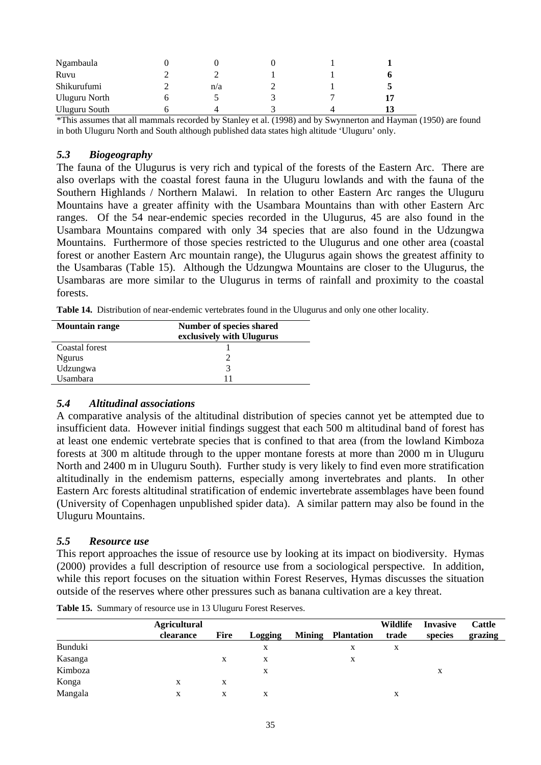| Ngambaula            |     |  |    |
|----------------------|-----|--|----|
| Ruvu                 |     |  |    |
| Shikurufumi          | n/a |  |    |
| <b>Uluguru North</b> |     |  | 17 |
| <b>Uluguru South</b> |     |  | 13 |

\*This assumes that all mammals recorded by Stanley et al. (1998) and by Swynnerton and Hayman (1950) are found in both Uluguru North and South although published data states high altitude 'Uluguru' only.

#### *5.3 Biogeography*

The fauna of the Ulugurus is very rich and typical of the forests of the Eastern Arc. There are also overlaps with the coastal forest fauna in the Uluguru lowlands and with the fauna of the Southern Highlands / Northern Malawi. In relation to other Eastern Arc ranges the Uluguru Mountains have a greater affinity with the Usambara Mountains than with other Eastern Arc ranges. Of the 54 near-endemic species recorded in the Ulugurus, 45 are also found in the Usambara Mountains compared with only 34 species that are also found in the Udzungwa Mountains. Furthermore of those species restricted to the Ulugurus and one other area (coastal forest or another Eastern Arc mountain range), the Ulugurus again shows the greatest affinity to the Usambaras (Table 15). Although the Udzungwa Mountains are closer to the Ulugurus, the Usambaras are more similar to the Ulugurus in terms of rainfall and proximity to the coastal forests.

**Table 14.** Distribution of near-endemic vertebrates found in the Ulugurus and only one other locality.

| <b>Mountain range</b> | Number of species shared  |  |  |  |  |  |
|-----------------------|---------------------------|--|--|--|--|--|
|                       | exclusively with Ulugurus |  |  |  |  |  |
| Coastal forest        |                           |  |  |  |  |  |
| <b>Ngurus</b>         |                           |  |  |  |  |  |
| Udzungwa              | 3                         |  |  |  |  |  |
| Usambara              | 11                        |  |  |  |  |  |

#### *5.4 Altitudinal associations*

A comparative analysis of the altitudinal distribution of species cannot yet be attempted due to insufficient data. However initial findings suggest that each 500 m altitudinal band of forest has at least one endemic vertebrate species that is confined to that area (from the lowland Kimboza forests at 300 m altitude through to the upper montane forests at more than 2000 m in Uluguru North and 2400 m in Uluguru South). Further study is very likely to find even more stratification altitudinally in the endemism patterns, especially among invertebrates and plants. In other Eastern Arc forests altitudinal stratification of endemic invertebrate assemblages have been found (University of Copenhagen unpublished spider data). A similar pattern may also be found in the Uluguru Mountains.

#### *5.5 Resource use*

This report approaches the issue of resource use by looking at its impact on biodiversity. Hymas (2000) provides a full description of resource use from a sociological perspective. In addition, while this report focuses on the situation within Forest Reserves, Hymas discusses the situation outside of the reserves where other pressures such as banana cultivation are a key threat.

|         | <b>Agricultural</b> |             |                |               |                   | Wildlife | <b>Invasive</b> | <b>Cattle</b> |
|---------|---------------------|-------------|----------------|---------------|-------------------|----------|-----------------|---------------|
|         | clearance           | <b>Fire</b> | <b>Logging</b> | <b>Mining</b> | <b>Plantation</b> | trade    | species         | grazing       |
| Bunduki |                     |             | X              |               | X                 | X        |                 |               |
| Kasanga |                     | X           | X              |               | X                 |          |                 |               |
| Kimboza |                     |             | X              |               |                   |          | X               |               |
| Konga   | X                   | X           |                |               |                   |          |                 |               |
| Mangala | X                   | X           | X              |               |                   | X        |                 |               |

**Table 15.** Summary of resource use in 13 Uluguru Forest Reserves.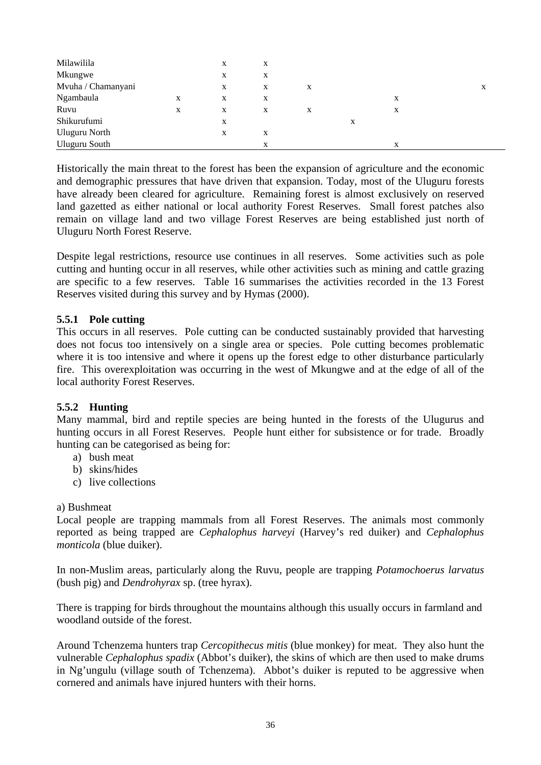| Milawilila         |   | X | X |   |   |   |   |
|--------------------|---|---|---|---|---|---|---|
| Mkungwe            |   | X | X |   |   |   |   |
| Mvuha / Chamanyani |   | X | X | X |   |   | X |
| Ngambaula          | X | X | X |   |   | X |   |
| Ruvu               | X | X | X | X |   | X |   |
| Shikurufumi        |   | X |   |   | X |   |   |
| Uluguru North      |   | X | X |   |   |   |   |
| Uluguru South      |   |   | X |   |   | X |   |

Historically the main threat to the forest has been the expansion of agriculture and the economic and demographic pressures that have driven that expansion. Today, most of the Uluguru forests have already been cleared for agriculture. Remaining forest is almost exclusively on reserved land gazetted as either national or local authority Forest Reserves. Small forest patches also remain on village land and two village Forest Reserves are being established just north of Uluguru North Forest Reserve.

Despite legal restrictions, resource use continues in all reserves. Some activities such as pole cutting and hunting occur in all reserves, while other activities such as mining and cattle grazing are specific to a few reserves. Table 16 summarises the activities recorded in the 13 Forest Reserves visited during this survey and by Hymas (2000).

## **5.5.1 Pole cutting**

This occurs in all reserves. Pole cutting can be conducted sustainably provided that harvesting does not focus too intensively on a single area or species. Pole cutting becomes problematic where it is too intensive and where it opens up the forest edge to other disturbance particularly fire. This overexploitation was occurring in the west of Mkungwe and at the edge of all of the local authority Forest Reserves.

## **5.5.2 Hunting**

Many mammal, bird and reptile species are being hunted in the forests of the Ulugurus and hunting occurs in all Forest Reserves. People hunt either for subsistence or for trade. Broadly hunting can be categorised as being for:

- a) bush meat
- b) skins/hides
- c) live collections

#### a) Bushmeat

Local people are trapping mammals from all Forest Reserves. The animals most commonly reported as being trapped are *Cephalophus harveyi* (Harvey's red duiker) and *Cephalophus monticola* (blue duiker).

In non-Muslim areas, particularly along the Ruvu, people are trapping *Potamochoerus larvatus* (bush pig) and *Dendrohyrax* sp. (tree hyrax).

There is trapping for birds throughout the mountains although this usually occurs in farmland and woodland outside of the forest.

Around Tchenzema hunters trap *Cercopithecus mitis* (blue monkey) for meat. They also hunt the vulnerable *Cephalophus spadix* (Abbot's duiker), the skins of which are then used to make drums in Ng'ungulu (village south of Tchenzema). Abbot's duiker is reputed to be aggressive when cornered and animals have injured hunters with their horns.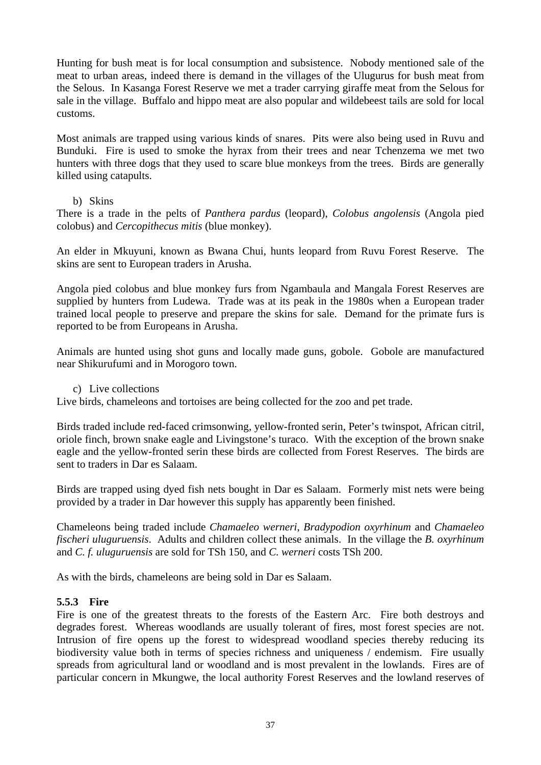Hunting for bush meat is for local consumption and subsistence. Nobody mentioned sale of the meat to urban areas, indeed there is demand in the villages of the Ulugurus for bush meat from the Selous. In Kasanga Forest Reserve we met a trader carrying giraffe meat from the Selous for sale in the village. Buffalo and hippo meat are also popular and wildebeest tails are sold for local customs.

Most animals are trapped using various kinds of snares. Pits were also being used in Ruvu and Bunduki. Fire is used to smoke the hyrax from their trees and near Tchenzema we met two hunters with three dogs that they used to scare blue monkeys from the trees. Birds are generally killed using catapults.

## b) Skins

There is a trade in the pelts of *Panthera pardus* (leopard), *Colobus angolensis* (Angola pied colobus) and *Cercopithecus mitis* (blue monkey).

An elder in Mkuyuni, known as Bwana Chui, hunts leopard from Ruvu Forest Reserve. The skins are sent to European traders in Arusha.

Angola pied colobus and blue monkey furs from Ngambaula and Mangala Forest Reserves are supplied by hunters from Ludewa. Trade was at its peak in the 1980s when a European trader trained local people to preserve and prepare the skins for sale. Demand for the primate furs is reported to be from Europeans in Arusha.

Animals are hunted using shot guns and locally made guns, gobole. Gobole are manufactured near Shikurufumi and in Morogoro town.

c) Live collections

Live birds, chameleons and tortoises are being collected for the zoo and pet trade.

Birds traded include red-faced crimsonwing, yellow-fronted serin, Peter's twinspot, African citril, oriole finch, brown snake eagle and Livingstone's turaco. With the exception of the brown snake eagle and the yellow-fronted serin these birds are collected from Forest Reserves. The birds are sent to traders in Dar es Salaam.

Birds are trapped using dyed fish nets bought in Dar es Salaam. Formerly mist nets were being provided by a trader in Dar however this supply has apparently been finished.

Chameleons being traded include *Chamaeleo werneri*, *Bradypodion oxyrhinum* and *Chamaeleo fischeri uluguruensis*. Adults and children collect these animals. In the village the *B. oxyrhinum* and *C. f. uluguruensis* are sold for TSh 150, and *C. werneri* costs TSh 200.

As with the birds, chameleons are being sold in Dar es Salaam.

## **5.5.3 Fire**

Fire is one of the greatest threats to the forests of the Eastern Arc. Fire both destroys and degrades forest. Whereas woodlands are usually tolerant of fires, most forest species are not. Intrusion of fire opens up the forest to widespread woodland species thereby reducing its biodiversity value both in terms of species richness and uniqueness / endemism. Fire usually spreads from agricultural land or woodland and is most prevalent in the lowlands. Fires are of particular concern in Mkungwe, the local authority Forest Reserves and the lowland reserves of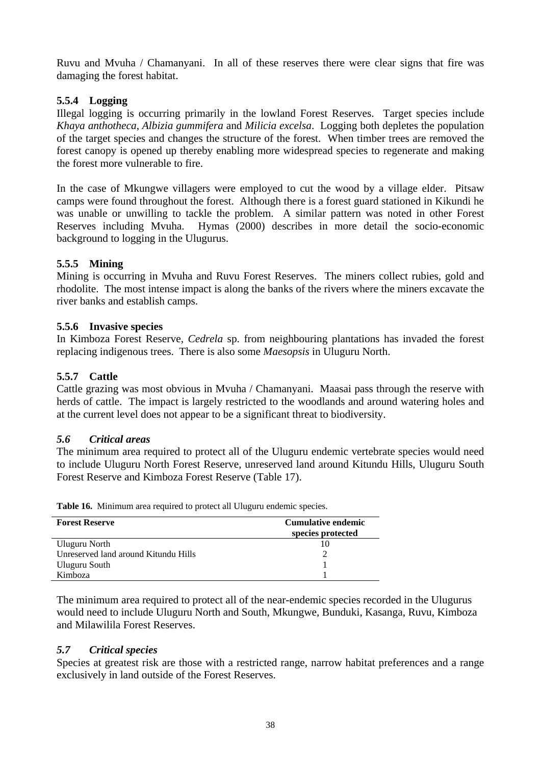Ruvu and Mvuha / Chamanyani. In all of these reserves there were clear signs that fire was damaging the forest habitat.

## **5.5.4 Logging**

Illegal logging is occurring primarily in the lowland Forest Reserves. Target species include *Khaya anthotheca*, *Albizia gummifera* and *Milicia excelsa*. Logging both depletes the population of the target species and changes the structure of the forest. When timber trees are removed the forest canopy is opened up thereby enabling more widespread species to regenerate and making the forest more vulnerable to fire.

In the case of Mkungwe villagers were employed to cut the wood by a village elder. Pitsaw camps were found throughout the forest. Although there is a forest guard stationed in Kikundi he was unable or unwilling to tackle the problem. A similar pattern was noted in other Forest Reserves including Mvuha. Hymas (2000) describes in more detail the socio-economic background to logging in the Ulugurus.

## **5.5.5 Mining**

Mining is occurring in Mvuha and Ruvu Forest Reserves. The miners collect rubies, gold and rhodolite. The most intense impact is along the banks of the rivers where the miners excavate the river banks and establish camps.

## **5.5.6 Invasive species**

In Kimboza Forest Reserve, *Cedrela* sp. from neighbouring plantations has invaded the forest replacing indigenous trees. There is also some *Maesopsis* in Uluguru North.

## **5.5.7 Cattle**

Cattle grazing was most obvious in Mvuha / Chamanyani. Maasai pass through the reserve with herds of cattle. The impact is largely restricted to the woodlands and around watering holes and at the current level does not appear to be a significant threat to biodiversity.

## *5.6 Critical areas*

The minimum area required to protect all of the Uluguru endemic vertebrate species would need to include Uluguru North Forest Reserve, unreserved land around Kitundu Hills, Uluguru South Forest Reserve and Kimboza Forest Reserve (Table 17).

| <b>Forest Reserve</b>                | <b>Cumulative endemic</b><br>species protected |
|--------------------------------------|------------------------------------------------|
| Uluguru North                        |                                                |
| Unreserved land around Kitundu Hills |                                                |
| Uluguru South                        |                                                |
| Kimboza                              |                                                |

**Table 16.** Minimum area required to protect all Uluguru endemic species.

The minimum area required to protect all of the near-endemic species recorded in the Ulugurus would need to include Uluguru North and South, Mkungwe, Bunduki, Kasanga, Ruvu, Kimboza and Milawilila Forest Reserves.

## *5.7 Critical species*

Species at greatest risk are those with a restricted range, narrow habitat preferences and a range exclusively in land outside of the Forest Reserves.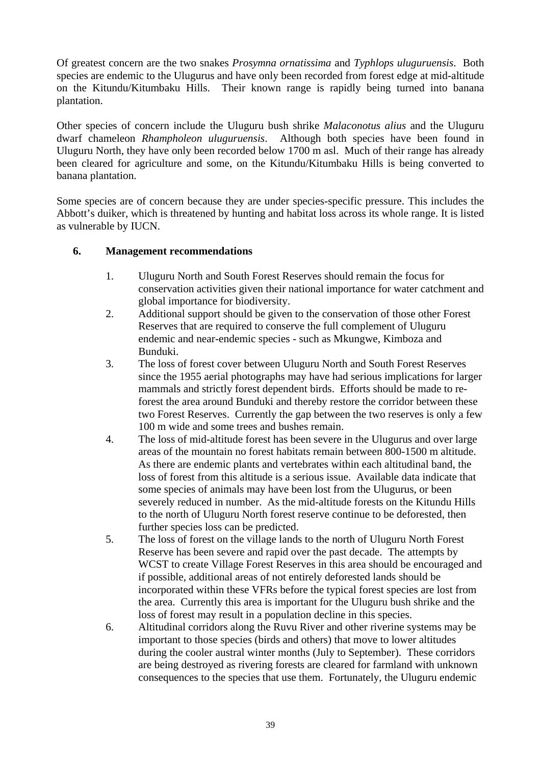Of greatest concern are the two snakes *Prosymna ornatissima* and *Typhlops uluguruensis*. Both species are endemic to the Ulugurus and have only been recorded from forest edge at mid-altitude on the Kitundu/Kitumbaku Hills. Their known range is rapidly being turned into banana plantation.

Other species of concern include the Uluguru bush shrike *Malaconotus alius* and the Uluguru dwarf chameleon *Rhampholeon uluguruensis*. Although both species have been found in Uluguru North, they have only been recorded below 1700 m asl. Much of their range has already been cleared for agriculture and some, on the Kitundu/Kitumbaku Hills is being converted to banana plantation.

Some species are of concern because they are under species-specific pressure. This includes the Abbott's duiker, which is threatened by hunting and habitat loss across its whole range. It is listed as vulnerable by IUCN.

## **6. Management recommendations**

- 1. Uluguru North and South Forest Reserves should remain the focus for conservation activities given their national importance for water catchment and global importance for biodiversity.
- 2. Additional support should be given to the conservation of those other Forest Reserves that are required to conserve the full complement of Uluguru endemic and near-endemic species - such as Mkungwe, Kimboza and Bunduki.
- 3. The loss of forest cover between Uluguru North and South Forest Reserves since the 1955 aerial photographs may have had serious implications for larger mammals and strictly forest dependent birds. Efforts should be made to reforest the area around Bunduki and thereby restore the corridor between these two Forest Reserves. Currently the gap between the two reserves is only a few 100 m wide and some trees and bushes remain.
- 4. The loss of mid-altitude forest has been severe in the Ulugurus and over large areas of the mountain no forest habitats remain between 800-1500 m altitude. As there are endemic plants and vertebrates within each altitudinal band, the loss of forest from this altitude is a serious issue. Available data indicate that some species of animals may have been lost from the Ulugurus, or been severely reduced in number. As the mid-altitude forests on the Kitundu Hills to the north of Uluguru North forest reserve continue to be deforested, then further species loss can be predicted.
- 5. The loss of forest on the village lands to the north of Uluguru North Forest Reserve has been severe and rapid over the past decade. The attempts by WCST to create Village Forest Reserves in this area should be encouraged and if possible, additional areas of not entirely deforested lands should be incorporated within these VFRs before the typical forest species are lost from the area. Currently this area is important for the Uluguru bush shrike and the loss of forest may result in a population decline in this species.
- 6. Altitudinal corridors along the Ruvu River and other riverine systems may be important to those species (birds and others) that move to lower altitudes during the cooler austral winter months (July to September). These corridors are being destroyed as rivering forests are cleared for farmland with unknown consequences to the species that use them. Fortunately, the Uluguru endemic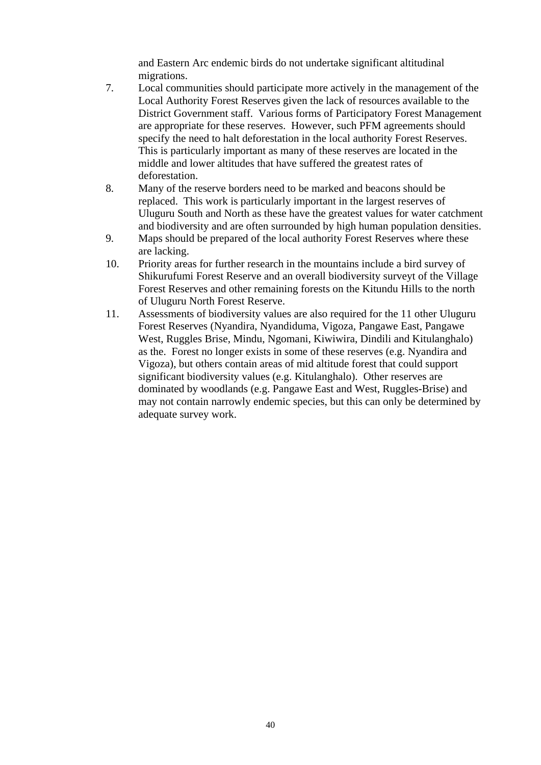and Eastern Arc endemic birds do not undertake significant altitudinal migrations.

- 7. Local communities should participate more actively in the management of the Local Authority Forest Reserves given the lack of resources available to the District Government staff. Various forms of Participatory Forest Management are appropriate for these reserves. However, such PFM agreements should specify the need to halt deforestation in the local authority Forest Reserves. This is particularly important as many of these reserves are located in the middle and lower altitudes that have suffered the greatest rates of deforestation.
- 8. Many of the reserve borders need to be marked and beacons should be replaced. This work is particularly important in the largest reserves of Uluguru South and North as these have the greatest values for water catchment and biodiversity and are often surrounded by high human population densities.
- 9. Maps should be prepared of the local authority Forest Reserves where these are lacking.
- 10. Priority areas for further research in the mountains include a bird survey of Shikurufumi Forest Reserve and an overall biodiversity surveyt of the Village Forest Reserves and other remaining forests on the Kitundu Hills to the north of Uluguru North Forest Reserve.
- 11. Assessments of biodiversity values are also required for the 11 other Uluguru Forest Reserves (Nyandira, Nyandiduma, Vigoza, Pangawe East, Pangawe West, Ruggles Brise, Mindu, Ngomani, Kiwiwira, Dindili and Kitulanghalo) as the. Forest no longer exists in some of these reserves (e.g. Nyandira and Vigoza), but others contain areas of mid altitude forest that could support significant biodiversity values (e.g. Kitulanghalo). Other reserves are dominated by woodlands (e.g. Pangawe East and West, Ruggles-Brise) and may not contain narrowly endemic species, but this can only be determined by adequate survey work.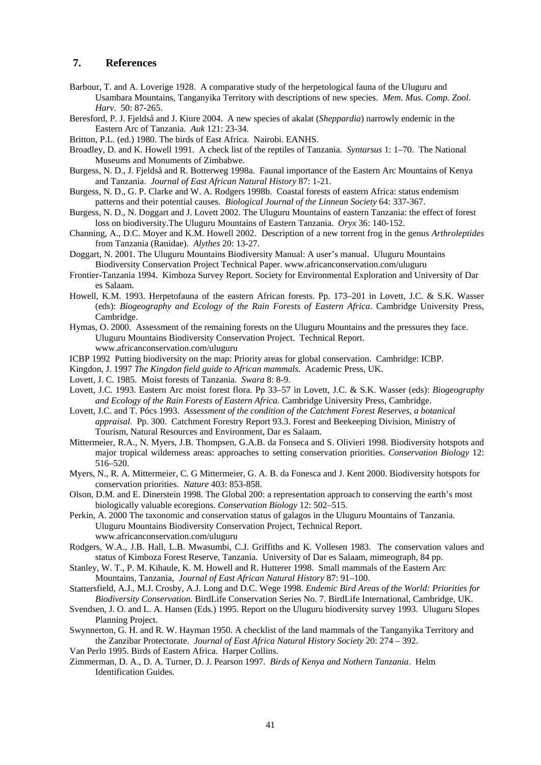#### **7. References**

- Barbour, T. and A. Loverige 1928. A comparative study of the herpetological fauna of the Uluguru and Usambara Mountains, Tanganyika Territory with descriptions of new species. *Mem. Mus. Comp. Zool. Harv*. 50: 87-265.
- Beresford, P. J. Fjeldså and J. Kiure 2004. A new species of akalat (*Sheppardia*) narrowly endemic in the Eastern Arc of Tanzania. *Auk* 121: 23-34.
- Britton, P.L. (ed.) 1980. The birds of East Africa. Nairobi. EANHS.
- Broadley, D. and K. Howell 1991. A check list of the reptiles of Tanzania. *Syntarsus* 1: 1–70. The National Museums and Monuments of Zimbabwe.
- Burgess, N. D., J. Fjeldså and R. Botterweg 1998a. Faunal importance of the Eastern Arc Mountains of Kenya and Tanzania. *Journal of East African Natural History* 87: 1-21.
- Burgess, N. D., G. P. Clarke and W. A. Rodgers 1998b. Coastal forests of eastern Africa: status endemism patterns and their potential causes. *Biological Journal of the Linnean Society* 64: 337-367.
- Burgess, N. D., N. Doggart and J. Lovett 2002. The Uluguru Mountains of eastern Tanzania: the effect of forest loss on biodiversity.The Uluguru Mountains of Eastern Tanzania. *Oryx* 36: 140-152.
- Channing, A., D.C. Moyer and K.M. Howell 2002. Description of a new torrent frog in the genus *Arthroleptides* from Tanzania (Ranidae). *Alythes* 20: 13-27.
- Doggart, N. 2001. The Uluguru Mountains Biodiversity Manual: A user's manual. Uluguru Mountains Biodiversity Conservation Project Technical Paper. www.africanconservation.com/uluguru
- Frontier-Tanzania 1994. Kimboza Survey Report. Society for Environmental Exploration and University of Dar es Salaam.
- Howell, K.M. 1993. Herpetofauna of the eastern African forests. Pp. 173–201 in Lovett, J.C. & S.K. Wasser (eds): *Biogeography and Ecology of the Rain Forests of Eastern Africa*. Cambridge University Press, Cambridge.
- Hymas, O. 2000. Assessment of the remaining forests on the Uluguru Mountains and the pressures they face. Uluguru Mountains Biodiversity Conservation Project. Technical Report. www.africanconservation.com/uluguru
- ICBP 1992 Putting biodiversity on the map: Priority areas for global conservation. Cambridge: ICBP.
- Kingdon, J. 1997 *The Kingdon field guide to African mammals*. Academic Press, UK.
- Lovett, J. C. 1985. Moist forests of Tanzania. *Swara* 8: 8-9.
- Lovett, J.C. 1993. Eastern Arc moist forest flora. Pp 33–57 in Lovett, J.C. & S.K. Wasser (eds): *Biogeography and Ecology of the Rain Forests of Eastern Africa.* Cambridge University Press, Cambridge.
- Lovett, J.C. and T. Pócs 1993. *Assessment of the condition of the Catchment Forest Reserves, a botanical appraisal.* Pp. 300. Catchment Forestry Report 93.3. Forest and Beekeeping Division, Ministry of Tourism, Natural Resources and Environment, Dar es Salaam.
- Mittermeier, R.A., N. Myers, J.B. Thompsen, G.A.B. da Fonseca and S. Olivieri 1998. Biodiversity hotspots and major tropical wilderness areas: approaches to setting conservation priorities. *Conservation Biology* 12: 516–520.
- Myers, N., R. A. Mittermeier, C. G Mittermeier, G. A. B. da Fonesca and J. Kent 2000. Biodiversity hotspots for conservation priorities. *Nature* 403: 853-858.
- Olson, D.M. and E. Dinerstein 1998. The Global 200: a representation approach to conserving the earth's most biologically valuable ecoregions. *Conservation Biology* 12: 502–515.
- Perkin, A. 2000 The taxonomic and conservation status of galagos in the Uluguru Mountains of Tanzania. Uluguru Mountains Biodiversity Conservation Project, Technical Report. www.africanconservation.com/uluguru
- Rodgers, W.A., J.B. Hall, L.B. Mwasumbi, C.J. Griffiths and K. Vollesen 1983. The conservation values and status of Kimboza Forest Reserve, Tanzania. University of Dar es Salaam, mimeograph, 84 pp.
- Stanley, W. T., P. M. Kihaule, K. M. Howell and R. Hutterer 1998. Small mammals of the Eastern Arc Mountains, Tanzania, *Journal of East African Natural History* 87: 91–100.
- Stattersfield, A.J., M.J. Crosby, A.J. Long and D.C. Wege 1998. *Endemic Bird Areas of the World: Priorities for Biodiversity Conservation.* BirdLife Conservation Series No. 7. BirdLife International, Cambridge, UK.
- Svendsen, J. O. and L. A. Hansen (Eds.) 1995. Report on the Uluguru biodiversity survey 1993. Uluguru Slopes Planning Project.
- Swynnerton, G. H. and R. W. Hayman 1950. A checklist of the land mammals of the Tanganyika Territory and the Zanzibar Protectorate. *Journal of East Africa Natural History Society* 20: 274 – 392.
- Van Perlo 1995. Birds of Eastern Africa. Harper Collins.
- Zimmerman, D. A., D. A. Turner, D. J. Pearson 1997. *Birds of Kenya and Nothern Tanzania*. Helm Identification Guides.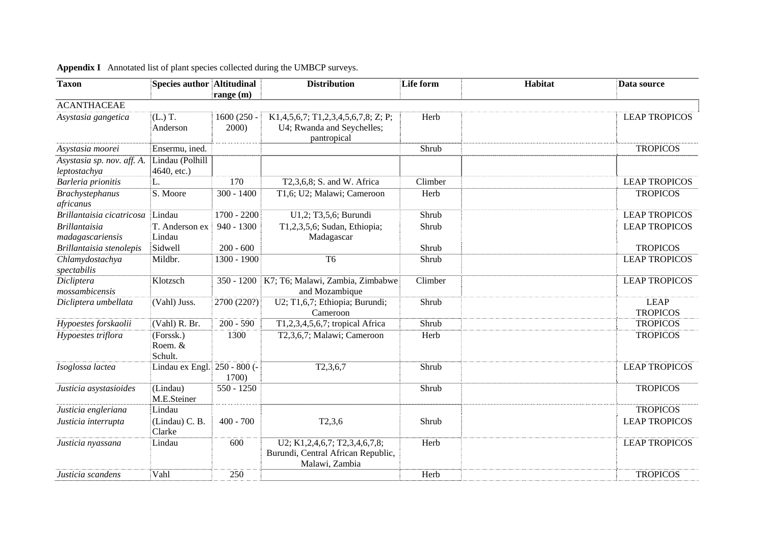| <b>Appendix I</b> Annotated list of plant species collected during the UMBCP surveys. |  |
|---------------------------------------------------------------------------------------|--|
|---------------------------------------------------------------------------------------|--|

| <b>Taxon</b>                               | <b>Species author Altitudinal</b> |                       | <b>Distribution</b>                                                                         | Life form | Habitat | Data source                    |
|--------------------------------------------|-----------------------------------|-----------------------|---------------------------------------------------------------------------------------------|-----------|---------|--------------------------------|
|                                            |                                   | range (m)             |                                                                                             |           |         |                                |
| <b>ACANTHACEAE</b>                         |                                   |                       |                                                                                             |           |         |                                |
| Asystasia gangetica                        | $(L.)$ T.<br>Anderson             | $1600(250 -$<br>2000) | K1, 4, 5, 6, 7; T1, 2, 3, 4, 5, 6, 7, 8; Z; P;<br>U4; Rwanda and Seychelles;<br>pantropical | Herb      |         | <b>LEAP TROPICOS</b>           |
| Asystasia moorei                           | Ensermu, ined.                    |                       |                                                                                             | Shrub     |         | <b>TROPICOS</b>                |
| Asystasia sp. nov. aff. A.<br>leptostachya | Lindau (Polhill<br>$4640,$ etc.)  |                       |                                                                                             |           |         |                                |
| Barleria prionitis                         | L.                                | 170                   | T2,3,6,8; S. and W. Africa                                                                  | Climber   |         | <b>LEAP TROPICOS</b>           |
| <b>Brachystephanus</b><br>africanus        | S. Moore                          | $300 - 1400$          | T1,6; U2; Malawi; Cameroon                                                                  | Herb      |         | <b>TROPICOS</b>                |
| Brillantaisia cicatricosa                  | Lindau                            | $1700 - 2200$         | U1,2; T3,5,6; Burundi                                                                       | Shrub     |         | <b>LEAP TROPICOS</b>           |
| <b>Brillantaisia</b><br>madagascariensis   | T. Anderson ex<br>Lindau          | $940 - 1300$          | T1,2,3,5,6; Sudan, Ethiopia;<br>Madagascar                                                  | Shrub     |         | <b>LEAP TROPICOS</b>           |
| Brillantaisia stenolepis                   | Sidwell                           | $200 - 600$           |                                                                                             | Shrub     |         | <b>TROPICOS</b>                |
| Chlamydostachya<br>spectabilis             | Mildbr.                           | 1300 - 1900           | T <sub>6</sub>                                                                              | Shrub     |         | <b>LEAP TROPICOS</b>           |
| Dicliptera<br>mossambicensis               | Klotzsch                          | $350 - 1200$          | K7; T6; Malawi, Zambia, Zimbabwe<br>and Mozambique                                          | Climber   |         | <b>LEAP TROPICOS</b>           |
| Dicliptera umbellata                       | (Vahl) Juss.                      | 2700 (220?)           | U2; T1,6,7; Ethiopia; Burundi;<br>Cameroon                                                  | Shrub     |         | <b>LEAP</b><br><b>TROPICOS</b> |
| Hypoestes forskaolii                       | (Vahl) R. Br.                     | $200 - 590$           | T1,2,3,4,5,6,7; tropical Africa                                                             | Shrub     |         | <b>TROPICOS</b>                |
| Hypoestes triflora                         | (Forssk.)<br>Roem. &<br>Schult.   | 1300                  | T2,3,6,7; Malawi; Cameroon                                                                  | Herb      |         | <b>TROPICOS</b>                |
| Isoglossa lactea                           | Lindau ex Engl. 250 - 800 (-      | 1700)                 | T2, 3, 6, 7                                                                                 | Shrub     |         | <b>LEAP TROPICOS</b>           |
| Justicia asystasioides                     | (Lindau)<br>M.E.Steiner           | $550 - 1250$          |                                                                                             | Shrub     |         | <b>TROPICOS</b>                |
| Justicia engleriana                        | Lindau                            |                       |                                                                                             |           |         | <b>TROPICOS</b>                |
| Justicia interrupta                        | (Lindau) C. B.<br>Clarke          | $400 - 700$           | T2,3,6                                                                                      | Shrub     |         | <b>LEAP TROPICOS</b>           |
| Justicia nyassana                          | Lindau                            | 600                   | U2; K1,2,4,6,7; T2,3,4,6,7,8;<br>Burundi, Central African Republic,<br>Malawi, Zambia       | Herb      |         | <b>LEAP TROPICOS</b>           |
| Justicia scandens                          | Vahl                              | 250                   |                                                                                             | Herb      |         | <b>TROPICOS</b>                |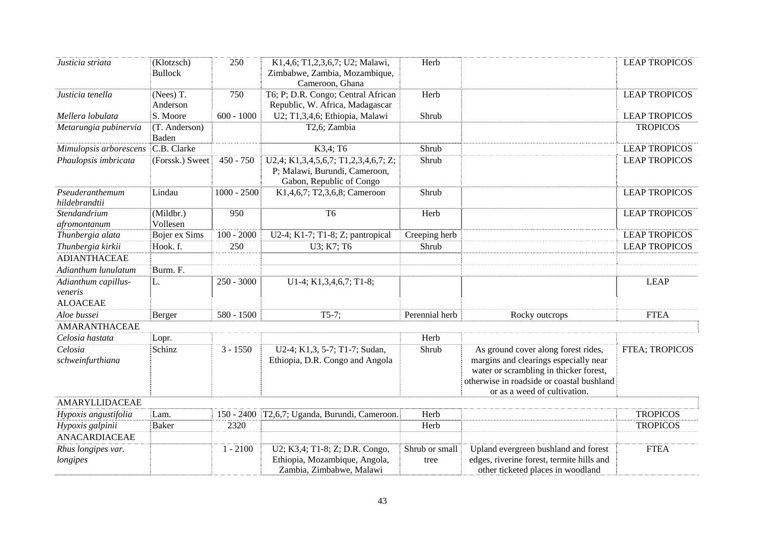| Justicia striata                 | (Klotzsch)<br><b>Bullock</b> | 250           | K1,4,6; T1,2,3,6,7; U2; Malawi,<br>Zimbabwe, Zambia, Mozambique,<br>Cameroon, Ghana               | Herb                   |                                                                                                                                                                                                     | <b>LEAP TROPICOS</b> |
|----------------------------------|------------------------------|---------------|---------------------------------------------------------------------------------------------------|------------------------|-----------------------------------------------------------------------------------------------------------------------------------------------------------------------------------------------------|----------------------|
| Justicia tenella                 | (Nees) T.<br>Anderson        | 750           | T6; P; D.R. Congo; Central African<br>Republic, W. Africa, Madagascar                             | Herb                   |                                                                                                                                                                                                     | <b>LEAP TROPICOS</b> |
| Mellera lobulata                 | S. Moore                     | $600 - 1000$  | U2; T1,3,4,6; Ethiopia, Malawi                                                                    | Shrub                  |                                                                                                                                                                                                     | <b>LEAP TROPICOS</b> |
| Metarungia pubinervia            | (T. Anderson)<br>Baden       |               | T2,6; Zambia                                                                                      |                        |                                                                                                                                                                                                     | <b>TROPICOS</b>      |
| Mimulopsis arborescens           | C.B. Clarke                  |               | K3,4; T6                                                                                          | Shrub                  |                                                                                                                                                                                                     | <b>LEAP TROPICOS</b> |
| Phaulopsis imbricata             | (Forssk.) Sweet              | $450 - 750$   | U2,4; K1,3,4,5,6,7; T1,2,3,4,6,7; Z;<br>P; Malawi, Burundi, Cameroon,<br>Gabon, Republic of Congo | Shrub                  |                                                                                                                                                                                                     | <b>LEAP TROPICOS</b> |
| Pseuderanthemum<br>hildebrandtii | Lindau                       | $1000 - 2500$ | K1,4,6,7; T2,3,6,8; Cameroon                                                                      | Shrub                  |                                                                                                                                                                                                     | <b>LEAP TROPICOS</b> |
| Stendandrium<br>afromontanum     | (Mildbr.)<br>Vollesen        | 950           | T <sub>6</sub>                                                                                    | Herb                   |                                                                                                                                                                                                     | <b>LEAP TROPICOS</b> |
| Thunbergia alata                 | Bojer ex Sims                | $100 - 2000$  | U2-4; K1-7; T1-8; Z; pantropical                                                                  | Creeping herb          |                                                                                                                                                                                                     | <b>LEAP TROPICOS</b> |
| Thunbergia kirkii                | Hook. f.                     | 250           | U3; K7; T6                                                                                        | Shrub                  |                                                                                                                                                                                                     | <b>LEAP TROPICOS</b> |
| <b>ADIANTHACEAE</b>              |                              |               |                                                                                                   |                        |                                                                                                                                                                                                     |                      |
| Adianthum lunulatum              | Burm. F.                     |               |                                                                                                   |                        |                                                                                                                                                                                                     |                      |
| Adianthum capillus-<br>veneris   | L.                           | $250 - 3000$  | U1-4; K1,3,4,6,7; T1-8;                                                                           |                        |                                                                                                                                                                                                     | <b>LEAP</b>          |
| <b>ALOACEAE</b>                  |                              |               |                                                                                                   |                        |                                                                                                                                                                                                     |                      |
| Aloe bussei                      | Berger                       | 580 - 1500    | $T5-7;$                                                                                           | Perennial herb         | Rocky outcrops                                                                                                                                                                                      | <b>FTEA</b>          |
| <b>AMARANTHACEAE</b>             |                              |               |                                                                                                   |                        |                                                                                                                                                                                                     |                      |
| Celosia hastata                  | Lopr.                        |               |                                                                                                   | Herb                   |                                                                                                                                                                                                     |                      |
| Celosia<br>schweinfurthiana      | Schinz                       | $3 - 1550$    | U2-4; K1,3, 5-7; T1-7; Sudan,<br>Ethiopia, D.R. Congo and Angola                                  | Shrub                  | As ground cover along forest rides,<br>margins and clearings especially near<br>water or scrambling in thicker forest,<br>otherwise in roadside or coastal bushland<br>or as a weed of cultivation. | FTEA; TROPICOS       |
| AMARYLLIDACEAE                   |                              |               |                                                                                                   |                        |                                                                                                                                                                                                     |                      |
| Hypoxis angustifolia             | Lam.                         | $150 - 2400$  | T2,6,7; Uganda, Burundi, Cameroon.                                                                | Herb                   |                                                                                                                                                                                                     | <b>TROPICOS</b>      |
| Hypoxis galpinii                 | Baker                        | 2320          |                                                                                                   | Herb                   |                                                                                                                                                                                                     | <b>TROPICOS</b>      |
| <b>ANACARDIACEAE</b>             |                              |               |                                                                                                   |                        |                                                                                                                                                                                                     |                      |
| Rhus longipes var.<br>longipes   |                              | $1 - 2100$    | U2; K3,4; T1-8; Z; D.R. Congo,<br>Ethiopia, Mozambique, Angola,<br>Zambia, Zimbabwe, Malawi       | Shrub or small<br>tree | Upland evergreen bushland and forest<br>edges, riverine forest, termite hills and<br>other ticketed places in woodland                                                                              | <b>FTEA</b>          |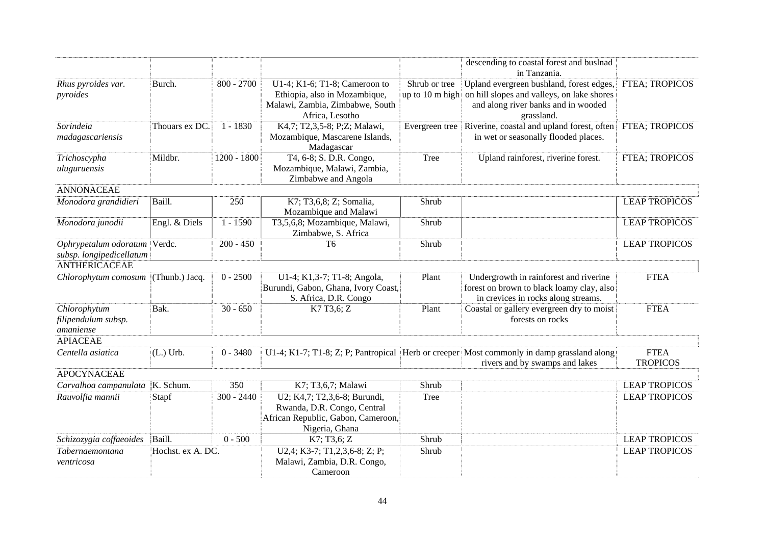|                                                          |                   |               |                                                                                                                      |                | descending to coastal forest and buslnad<br>in Tanzania.                                                                                                    |                                |
|----------------------------------------------------------|-------------------|---------------|----------------------------------------------------------------------------------------------------------------------|----------------|-------------------------------------------------------------------------------------------------------------------------------------------------------------|--------------------------------|
| Rhus pyroides var.<br>pyroides                           | Burch.            | $800 - 2700$  | U1-4; K1-6; T1-8; Cameroon to<br>Ethiopia, also in Mozambique,<br>Malawi, Zambia, Zimbabwe, South<br>Africa, Lesotho | Shrub or tree  | Upland evergreen bushland, forest edges,<br>up to 10 m high on hill slopes and valleys, on lake shores<br>and along river banks and in wooded<br>grassland. | <b>FTEA; TROPICOS</b>          |
| Sorindeia<br>madagascariensis                            | Thouars ex DC.    | $1 - 1830$    | K4,7; T2,3,5-8; P;Z; Malawi,<br>Mozambique, Mascarene Islands,<br>Madagascar                                         | Evergreen tree | Riverine, coastal and upland forest, often<br>in wet or seasonally flooded places.                                                                          | FTEA; TROPICOS                 |
| Trichoscypha<br>uluguruensis                             | Mildbr.           | $1200 - 1800$ | T4, 6-8; S. D.R. Congo,<br>Mozambique, Malawi, Zambia,<br>Zimbabwe and Angola                                        | <b>Tree</b>    | Upland rainforest, riverine forest.                                                                                                                         | FTEA; TROPICOS                 |
| <b>ANNONACEAE</b>                                        |                   |               |                                                                                                                      |                |                                                                                                                                                             |                                |
| Monodora grandidieri                                     | Baill.            | 250           | K7; T3,6,8; Z; Somalia,<br>Mozambique and Malawi                                                                     | Shrub          |                                                                                                                                                             | <b>LEAP TROPICOS</b>           |
| Monodora junodii                                         | Engl. & Diels     | $1 - 1590$    | T3,5,6,8; Mozambique, Malawi,<br>Zimbabwe, S. Africa                                                                 | Shrub          |                                                                                                                                                             | <b>LEAP TROPICOS</b>           |
| Ophrypetalum odoratum Verdc.<br>subsp. longipedicellatum |                   | $200 - 450$   | T <sub>6</sub>                                                                                                       | Shrub          |                                                                                                                                                             | <b>LEAP TROPICOS</b>           |
| <b>ANTHERICACEAE</b>                                     |                   |               |                                                                                                                      |                |                                                                                                                                                             |                                |
| Chlorophytum comosum                                     | (Thunb.) Jacq.    | $0 - 2500$    | U1-4; K1,3-7; T1-8; Angola,<br>Burundi, Gabon, Ghana, Ivory Coast,<br>S. Africa, D.R. Congo                          | Plant          | Undergrowth in rainforest and riverine<br>forest on brown to black loamy clay, also<br>in crevices in rocks along streams.                                  | <b>FTEA</b>                    |
| Chlorophytum<br>filipendulum subsp.<br>amaniense         | Bak.              | $30 - 650$    | K7 T3,6; Z                                                                                                           | Plant          | Coastal or gallery evergreen dry to moist<br>forests on rocks                                                                                               | <b>FTEA</b>                    |
| <b>APIACEAE</b>                                          |                   |               |                                                                                                                      |                |                                                                                                                                                             |                                |
| Centella asiatica                                        | $(L.)$ Urb.       | $0 - 3480$    |                                                                                                                      |                | U1-4; K1-7; T1-8; Z; P; Pantropical Herb or creeper Most commonly in damp grassland along<br>rivers and by swamps and lakes                                 | <b>FTEA</b><br><b>TROPICOS</b> |
| <b>APOCYNACEAE</b>                                       |                   |               |                                                                                                                      |                |                                                                                                                                                             |                                |
| Carvalhoa campanulata   K. Schum.                        |                   | 350           | K7; T3,6,7; Malawi                                                                                                   | Shrub          |                                                                                                                                                             | <b>LEAP TROPICOS</b>           |
| Rauvolfia mannii                                         | Stapf             | $300 - 2440$  | U2; K4,7; T2,3,6-8; Burundi,<br>Rwanda, D.R. Congo, Central<br>African Republic, Gabon, Cameroon,<br>Nigeria, Ghana  | Tree           |                                                                                                                                                             | <b>LEAP TROPICOS</b>           |
| Schizozygia coffaeoides                                  | Baill.            | $0 - 500$     | K7; T3,6; Z                                                                                                          | Shrub          |                                                                                                                                                             | <b>LEAP TROPICOS</b>           |
| Tabernaemontana<br>ventricosa                            | Hochst. ex A. DC. |               | U2,4; K3-7; T1,2,3,6-8; Z; P;<br>Malawi, Zambia, D.R. Congo,<br>Cameroon                                             | Shrub          |                                                                                                                                                             | <b>LEAP TROPICOS</b>           |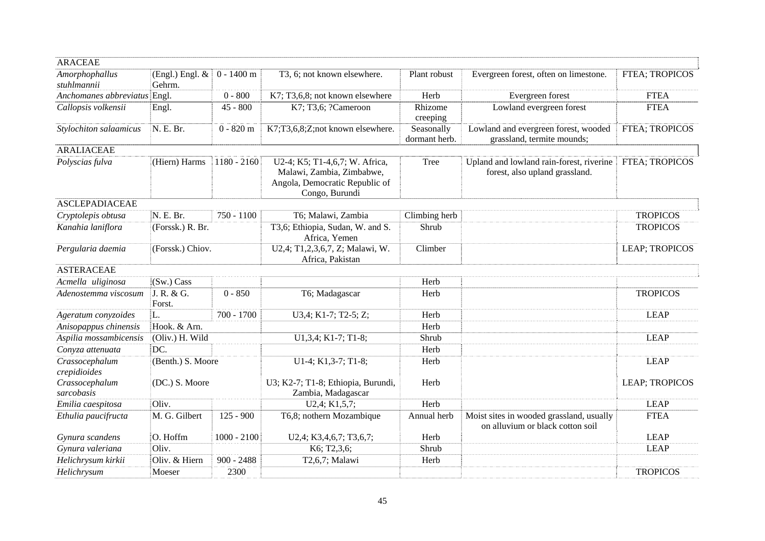| <b>ARACEAE</b>                 |                             |               |                                                                                                                 |                             |                                                                              |                       |
|--------------------------------|-----------------------------|---------------|-----------------------------------------------------------------------------------------------------------------|-----------------------------|------------------------------------------------------------------------------|-----------------------|
| Amorphophallus<br>stuhlmannii  | (Engl.) Engl. $&$<br>Gehrm. | $0 - 1400$ m  | T3, 6; not known elsewhere.                                                                                     | Plant robust                | Evergreen forest, often on limestone.                                        | FTEA; TROPICOS        |
| Anchomanes abbreviatus Engl.   |                             | $0 - 800$     | K7; T3,6,8; not known elsewhere                                                                                 | Herb                        | Evergreen forest                                                             | <b>FTEA</b>           |
| Callopsis volkensii            | Engl.                       | $45 - 800$    | K7; T3,6; ?Cameroon                                                                                             | Rhizome<br>creeping         | Lowland evergreen forest                                                     | <b>FTEA</b>           |
| Stylochiton salaamicus         | N. E. Br.                   | $0 - 820$ m   | K7;T3,6,8;Z;not known elsewhere.                                                                                | Seasonally<br>dormant herb. | Lowland and evergreen forest, wooded<br>grassland, termite mounds;           | <b>FTEA; TROPICOS</b> |
| <b>ARALIACEAE</b>              |                             |               |                                                                                                                 |                             |                                                                              |                       |
| Polyscias fulva                | (Hiern) Harms               | $1180 - 2160$ | U2-4; K5; T1-4,6,7; W. Africa,<br>Malawi, Zambia, Zimbabwe,<br>Angola, Democratic Republic of<br>Congo, Burundi | Tree                        | Upland and lowland rain-forest, riverine<br>forest, also upland grassland.   | <b>FTEA; TROPICOS</b> |
| <b>ASCLEPADIACEAE</b>          |                             |               |                                                                                                                 |                             |                                                                              |                       |
| Cryptolepis obtusa             | N. E. Br.                   | $750 - 1100$  | T6; Malawi, Zambia                                                                                              | Climbing herb               |                                                                              | <b>TROPICOS</b>       |
| Kanahia laniflora              | (Forssk.) R. Br.            |               | T3,6; Ethiopia, Sudan, W. and S.<br>Africa, Yemen                                                               | Shrub                       |                                                                              | <b>TROPICOS</b>       |
| Pergularia daemia              | (Forssk.) Chiov.            |               | U2,4; T1,2,3,6,7, Z; Malawi, W.<br>Africa, Pakistan                                                             | Climber                     |                                                                              | <b>LEAP; TROPICOS</b> |
| <b>ASTERACEAE</b>              |                             |               |                                                                                                                 |                             |                                                                              |                       |
| Acmella uliginosa              | (Sw.) Cass                  |               |                                                                                                                 | Herb                        |                                                                              |                       |
| Adenostemma viscosum           | J. R. & G.<br>Forst.        | $0 - 850$     | T6; Madagascar                                                                                                  | Herb                        |                                                                              | <b>TROPICOS</b>       |
| Ageratum conyzoides            | L.                          | $700 - 1700$  | U3,4; K1-7; T2-5; Z;                                                                                            | Herb                        |                                                                              | <b>LEAP</b>           |
| Anisopappus chinensis          | Hook. & Arn.                |               |                                                                                                                 | Herb                        |                                                                              |                       |
| Aspilia mossambicensis         | (Oliv.) H. Wild             |               | U1,3,4; K1-7; T1-8;                                                                                             | Shrub                       |                                                                              | <b>LEAP</b>           |
| Conyza attenuata               | DC.                         |               |                                                                                                                 | Herb                        |                                                                              |                       |
| Crassocephalum<br>crepidioides | (Benth.) S. Moore           |               | $U1-4$ ; K1,3-7; T1-8;                                                                                          | Herb                        |                                                                              | <b>LEAP</b>           |
| Crassocephalum<br>sarcobasis   | (DC.) S. Moore              |               | U3; K2-7; T1-8; Ethiopia, Burundi,<br>Zambia, Madagascar                                                        | Herb                        |                                                                              | LEAP; TROPICOS        |
| Emilia caespitosa              | Oliv.                       |               | U2,4; K1,5,7;                                                                                                   | Herb                        |                                                                              | <b>LEAP</b>           |
| Ethulia paucifructa            | M. G. Gilbert               | $125 - 900$   | T6,8; nothern Mozambique                                                                                        | Annual herb                 | Moist sites in wooded grassland, usually<br>on alluvium or black cotton soil | <b>FTEA</b>           |
| Gynura scandens                | O. Hoffm                    | $1000 - 2100$ | U2,4; K3,4,6,7; T3,6,7;                                                                                         | Herb                        |                                                                              | <b>LEAP</b>           |
| Gynura valeriana               | Oliv.                       |               | K6; T2,3,6;                                                                                                     | Shrub                       |                                                                              | <b>LEAP</b>           |
| Helichrysum kirkii             | Oliv. & Hiern               | $900 - 2488$  | T2,6,7; Malawi                                                                                                  | Herb                        |                                                                              |                       |
| Helichrysum                    | Moeser                      | 2300          |                                                                                                                 |                             |                                                                              | <b>TROPICOS</b>       |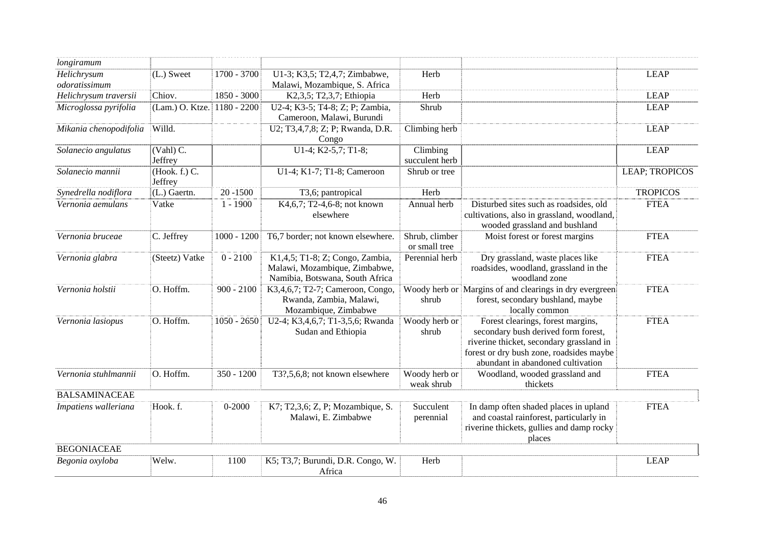| longiramum                   |                                   |               |                                                                                                     |                                 |                                                                                                                                                                                                       |                 |
|------------------------------|-----------------------------------|---------------|-----------------------------------------------------------------------------------------------------|---------------------------------|-------------------------------------------------------------------------------------------------------------------------------------------------------------------------------------------------------|-----------------|
| Helichrysum<br>odoratissimum | (L.) Sweet                        | 1700 - 3700   | U1-3; K3,5; T2,4,7; Zimbabwe,<br>Malawi, Mozambique, S. Africa                                      | Herb                            |                                                                                                                                                                                                       | <b>LEAP</b>     |
| Helichrysum traversii        | Chiov.                            | 1850 - 3000   | K2,3,5; T2,3,7; Ethiopia                                                                            | Herb                            |                                                                                                                                                                                                       | <b>LEAP</b>     |
| Microglossa pyrifolia        | (Lam.) O. Ktze.                   | 1180 - 2200   | U2-4; K3-5; T4-8; Z; P; Zambia,<br>Cameroon, Malawi, Burundi                                        | Shrub                           |                                                                                                                                                                                                       | <b>LEAP</b>     |
| Mikania chenopodifolia       | Willd.                            |               | U2; T3,4,7,8; Z; P; Rwanda, D.R.<br>Congo                                                           | Climbing herb                   |                                                                                                                                                                                                       | <b>LEAP</b>     |
| Solanecio angulatus          | $\overline{(Vahl)}$ C.<br>Jeffrey |               | U1-4; K2-5,7; T1-8;                                                                                 | Climbing<br>succulent herb      |                                                                                                                                                                                                       | <b>LEAP</b>     |
| Solanecio mannii             | (Hook. f.) C.<br>Jeffrey          |               | U1-4; K1-7; T1-8; Cameroon                                                                          | Shrub or tree                   |                                                                                                                                                                                                       | LEAP; TROPICOS  |
| Synedrella nodiflora         | (L.) Gaertn.                      | $20 - 1500$   | T3,6; pantropical                                                                                   | Herb                            |                                                                                                                                                                                                       | <b>TROPICOS</b> |
| Vernonia aemulans            | Vatke                             | $1 - 1900$    | K4,6,7; T2-4,6-8; not known<br>elsewhere                                                            | Annual herb                     | Disturbed sites such as roadsides, old<br>cultivations, also in grassland, woodland,<br>wooded grassland and bushland                                                                                 | <b>FTEA</b>     |
| Vernonia bruceae             | C. Jeffrey                        | $1000 - 1200$ | T6,7 border; not known elsewhere.                                                                   | Shrub, climber<br>or small tree | Moist forest or forest margins                                                                                                                                                                        | <b>FTEA</b>     |
| Vernonia glabra              | (Steetz) Vatke                    | $0 - 2100$    | K1,4,5; T1-8; Z; Congo, Zambia,<br>Malawi, Mozambique, Zimbabwe,<br>Namibia, Botswana, South Africa | Perennial herb                  | Dry grassland, waste places like<br>roadsides, woodland, grassland in the<br>woodland zone                                                                                                            | <b>FTEA</b>     |
| Vernonia holstii             | O. Hoffm.                         | $900 - 2100$  | K3,4,6,7; T2-7; Cameroon, Congo,<br>Rwanda, Zambia, Malawi,<br>Mozambique, Zimbabwe                 | shrub                           | Woody herb or Margins of and clearings in dry evergreen<br>forest, secondary bushland, maybe<br>locally common                                                                                        | <b>FTEA</b>     |
| Vernonia lasiopus            | O. Hoffm.                         | $1050 - 2650$ | U2-4; K3,4,6,7; T1-3,5,6; Rwanda<br>Sudan and Ethiopia                                              | Woody herb or<br>shrub          | Forest clearings, forest margins,<br>secondary bush derived form forest,<br>riverine thicket, secondary grassland in<br>forest or dry bush zone, roadsides maybe<br>abundant in abandoned cultivation | <b>FTEA</b>     |
| Vernonia stuhlmannii         | O. Hoffm.                         | 350 - 1200    | T3?,5,6,8; not known elsewhere                                                                      | Woody herb or<br>weak shrub     | Woodland, wooded grassland and<br>thickets                                                                                                                                                            | <b>FTEA</b>     |
| <b>BALSAMINACEAE</b>         |                                   |               |                                                                                                     |                                 |                                                                                                                                                                                                       |                 |
| Impatiens walleriana         | Hook. f.                          | $0 - 2000$    | K7; T2,3,6; Z, P; Mozambique, S.<br>Malawi, E. Zimbabwe                                             | Succulent<br>perennial          | In damp often shaded places in upland<br>and coastal rainforest, particularly in<br>riverine thickets, gullies and damp rocky<br>places                                                               | <b>FTEA</b>     |
| <b>BEGONIACEAE</b>           |                                   |               |                                                                                                     |                                 |                                                                                                                                                                                                       |                 |
| Begonia oxyloba              | Welw.                             | 1100          | K5; T3,7; Burundi, D.R. Congo, W.<br>Africa                                                         | Herb                            |                                                                                                                                                                                                       | <b>LEAP</b>     |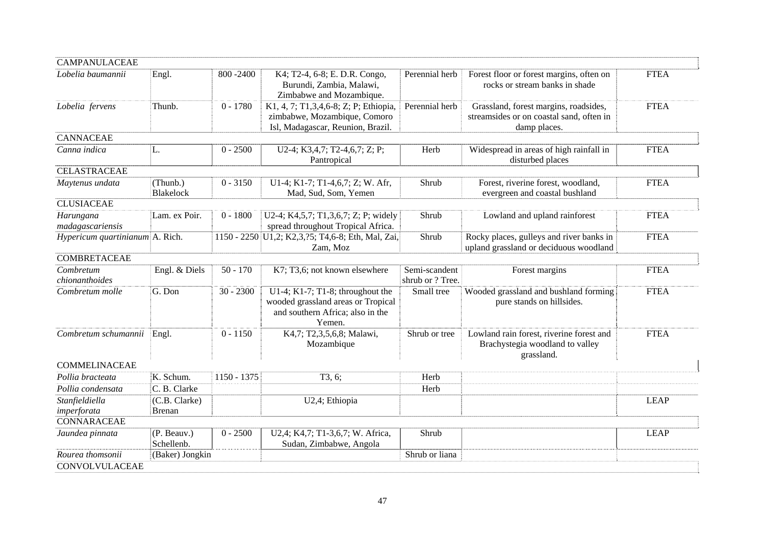| <b>CAMPANULACEAE</b>            |                              |               |                                                                                                                      |                                   |                                                                                                   |             |
|---------------------------------|------------------------------|---------------|----------------------------------------------------------------------------------------------------------------------|-----------------------------------|---------------------------------------------------------------------------------------------------|-------------|
| Lobelia baumannii               | Engl.                        | 800 - 2400    | K4; T2-4, 6-8; E. D.R. Congo,<br>Burundi, Zambia, Malawi,<br>Zimbabwe and Mozambique.                                | Perennial herb                    | Forest floor or forest margins, often on<br>rocks or stream banks in shade                        | <b>FTEA</b> |
| Lobelia fervens                 | Thunb.                       | $0 - 1780$    | K1, 4, 7; T1, 3, 4, 6-8; Z; P; Ethiopia,<br>zimbabwe, Mozambique, Comoro<br>Isl, Madagascar, Reunion, Brazil.        | Perennial herb                    | Grassland, forest margins, roadsides,<br>streamsides or on coastal sand, often in<br>damp places. | <b>FTEA</b> |
| <b>CANNACEAE</b>                |                              |               |                                                                                                                      |                                   |                                                                                                   |             |
| Canna indica                    | L.                           | $0 - 2500$    | U2-4; K3,4,7; T2-4,6,7; Z; P;<br>Pantropical                                                                         | Herb                              | Widespread in areas of high rainfall in<br>disturbed places                                       | <b>FTEA</b> |
| <b>CELASTRACEAE</b>             |                              |               |                                                                                                                      |                                   |                                                                                                   |             |
| Maytenus undata                 | (Thunb.)<br><b>Blakelock</b> | $0 - 3150$    | U1-4; K1-7; T1-4,6,7; Z; W. Afr,<br>Mad, Sud, Som, Yemen                                                             | Shrub                             | Forest, riverine forest, woodland,<br>evergreen and coastal bushland                              | <b>FTEA</b> |
| <b>CLUSIACEAE</b>               |                              |               |                                                                                                                      |                                   |                                                                                                   |             |
| Harungana<br>madagascariensis   | Lam. ex Poir.                | $0 - 1800$    | U2-4; K4,5,7; T1,3,6,7; Z; P; widely<br>spread throughout Tropical Africa.                                           | Shrub                             | Lowland and upland rainforest                                                                     | <b>FTEA</b> |
| Hypericum quartinianum A. Rich. |                              |               | 1150 - 2250 U1,2; K2,3,?5; T4,6-8; Eth, Mal, Zai,<br>Zam, Moz                                                        | Shrub                             | Rocky places, gulleys and river banks in<br>upland grassland or deciduous woodland                | <b>FTEA</b> |
| <b>COMBRETACEAE</b>             |                              |               |                                                                                                                      |                                   |                                                                                                   |             |
| Combretum<br>chionanthoides     | Engl. & Diels                | $50 - 170$    | K7; T3,6; not known elsewhere                                                                                        | Semi-scandent<br>shrub or ? Tree. | Forest margins                                                                                    | <b>FTEA</b> |
| Combretum molle                 | G. Don                       | $30 - 2300$   | U1-4; K1-7; T1-8; throughout the<br>wooded grassland areas or Tropical<br>and southern Africa; also in the<br>Yemen. | Small tree                        | Wooded grassland and bushland forming<br>pure stands on hillsides.                                | <b>FTEA</b> |
| Combretum schumannii            | Engl.                        | $0 - 1150$    | K4,7; T2,3,5,6,8; Malawi,<br>Mozambique                                                                              | Shrub or tree                     | Lowland rain forest, riverine forest and<br>Brachystegia woodland to valley<br>grassland.         | <b>FTEA</b> |
| <b>COMMELINACEAE</b>            |                              |               |                                                                                                                      |                                   |                                                                                                   |             |
| Pollia bracteata                | K. Schum.                    | $1150 - 1375$ | T3, 6;                                                                                                               | Herb                              |                                                                                                   |             |
| Pollia condensata               | C. B. Clarke                 |               |                                                                                                                      | Herb                              |                                                                                                   |             |
| Stanfieldiella                  | (C.B. Clarke)                |               | U2,4; Ethiopia                                                                                                       |                                   |                                                                                                   | <b>LEAP</b> |
| imperforata<br>CONNARACEAE      | <b>Brenan</b>                |               |                                                                                                                      |                                   |                                                                                                   |             |
|                                 |                              |               |                                                                                                                      | Shrub                             |                                                                                                   |             |
| Jaundea pinnata                 | (P. Beauv.)<br>Schellenb.    | $0 - 2500$    | U2,4; K4,7; T1-3,6,7; W. Africa,<br>Sudan, Zimbabwe, Angola                                                          |                                   |                                                                                                   | <b>LEAP</b> |
| Rourea thomsonii                | (Baker) Jongkin              |               |                                                                                                                      | Shrub or liana                    |                                                                                                   |             |
| CONVOLVULACEAE                  |                              |               |                                                                                                                      |                                   |                                                                                                   |             |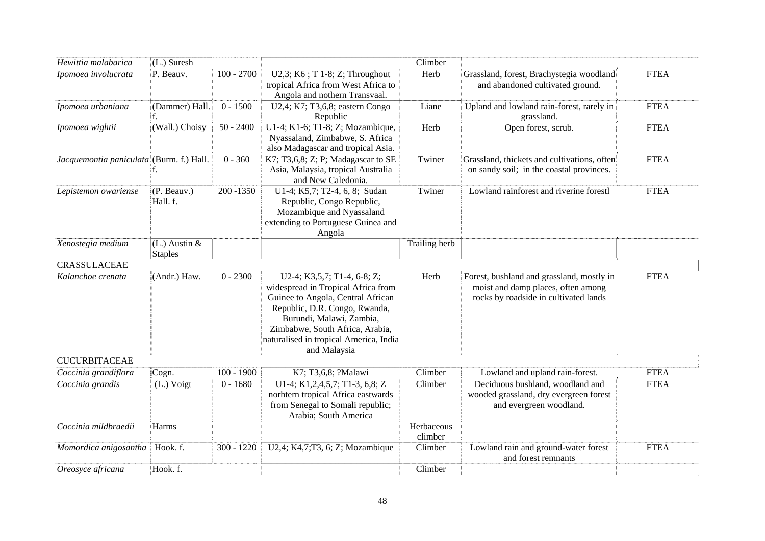| Hewittia malabarica                      | (L.) Suresh                         |              |                                                                                                                                                                                                                                                                  | Climber               |                                                                                                                          |             |
|------------------------------------------|-------------------------------------|--------------|------------------------------------------------------------------------------------------------------------------------------------------------------------------------------------------------------------------------------------------------------------------|-----------------------|--------------------------------------------------------------------------------------------------------------------------|-------------|
| Ipomoea involucrata                      | P. Beauv.                           | $100 - 2700$ | U2,3; $K6$ ; T 1-8; Z; Throughout<br>tropical Africa from West Africa to<br>Angola and nothern Transvaal.                                                                                                                                                        | Herb                  | Grassland, forest, Brachystegia woodland<br>and abandoned cultivated ground.                                             | <b>FTEA</b> |
| Ipomoea urbaniana                        | (Dammer) Hall.                      | $0 - 1500$   | U2,4; K7; T3,6,8; eastern Congo<br>Republic                                                                                                                                                                                                                      | Liane                 | Upland and lowland rain-forest, rarely in<br>grassland.                                                                  | <b>FTEA</b> |
| Ipomoea wightii                          | (Wall.) Choisy                      | $50 - 2400$  | U1-4; K1-6; T1-8; Z; Mozambique,<br>Nyassaland, Zimbabwe, S. Africa<br>also Madagascar and tropical Asia.                                                                                                                                                        | Herb                  | Open forest, scrub.                                                                                                      | <b>FTEA</b> |
| Jacquemontia paniculata (Burm. f.) Hall. |                                     | $0 - 360$    | K7; T3,6,8; Z; P; Madagascar to SE<br>Asia, Malaysia, tropical Australia<br>and New Caledonia.                                                                                                                                                                   | Twiner                | Grassland, thickets and cultivations, often<br>on sandy soil; in the coastal provinces.                                  | <b>FTEA</b> |
| Lepistemon owariense                     | (P. Beauv.)<br>Hall. f.             | $200 - 1350$ | U1-4; K5,7; T2-4, 6, 8; Sudan<br>Republic, Congo Republic,<br>Mozambique and Nyassaland<br>extending to Portuguese Guinea and<br>Angola                                                                                                                          | Twiner                | Lowland rainforest and riverine forestl                                                                                  | <b>FTEA</b> |
| Xenostegia medium                        | $(L.)$ Austin $&$<br><b>Staples</b> |              |                                                                                                                                                                                                                                                                  | Trailing herb         |                                                                                                                          |             |
| <b>CRASSULACEAE</b>                      |                                     |              |                                                                                                                                                                                                                                                                  |                       |                                                                                                                          |             |
| Kalanchoe crenata                        | (Andr.) Haw.                        | $0 - 2300$   | U2-4; K3,5,7; T1-4, 6-8; Z;<br>widespread in Tropical Africa from<br>Guinee to Angola, Central African<br>Republic, D.R. Congo, Rwanda,<br>Burundi, Malawi, Zambia,<br>Zimbabwe, South Africa, Arabia,<br>naturalised in tropical America, India<br>and Malaysia | Herb                  | Forest, bushland and grassland, mostly in<br>moist and damp places, often among<br>rocks by roadside in cultivated lands | <b>FTEA</b> |
| <b>CUCURBITACEAE</b>                     |                                     |              |                                                                                                                                                                                                                                                                  |                       |                                                                                                                          |             |
| Coccinia grandiflora                     | Cogn.                               | $100 - 1900$ | K7; T3,6,8; ?Malawi                                                                                                                                                                                                                                              | Climber               | Lowland and upland rain-forest.                                                                                          | <b>FTEA</b> |
| Coccinia grandis                         | (L.) Voigt                          | $0 - 1680$   | U1-4; K1, 2, 4, 5, 7; T1-3, 6, 8; Z<br>norhtern tropical Africa eastwards<br>from Senegal to Somali republic;<br>Arabia; South America                                                                                                                           | Climber               | Deciduous bushland, woodland and<br>wooded grassland, dry evergreen forest<br>and evergreen woodland.                    | <b>FTEA</b> |
| Coccinia mildbraedii                     | Harms                               |              |                                                                                                                                                                                                                                                                  | Herbaceous<br>climber |                                                                                                                          |             |
| Momordica anigosantha                    | Hook. f.                            | $300 - 1220$ | U2,4; K4,7;T3, 6; Z; Mozambique                                                                                                                                                                                                                                  | Climber               | Lowland rain and ground-water forest<br>and forest remnants                                                              | <b>FTEA</b> |
| Oreosyce africana                        | Hook. f.                            |              |                                                                                                                                                                                                                                                                  | Climber               |                                                                                                                          |             |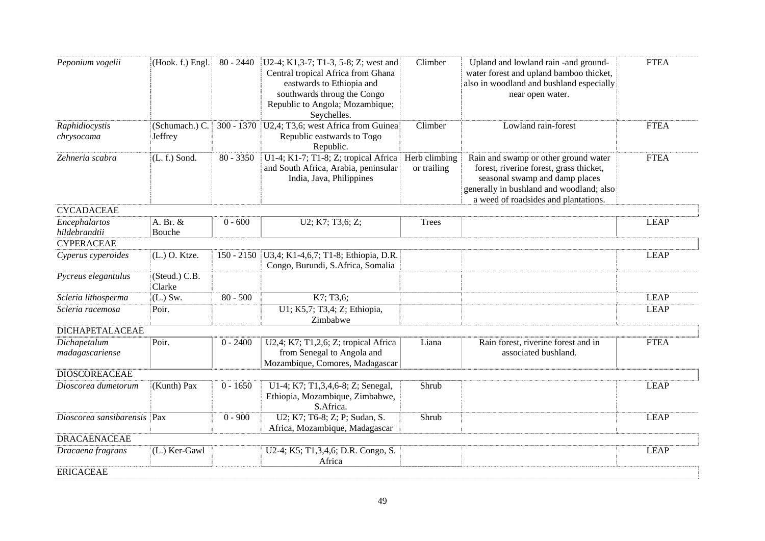| (Hook. f.) Engl.<br>Climber<br>Peponium vogelii<br>$80 - 2440$<br>$ U2-4; K1, 3-7; T1-3, 5-8; Z; west and$<br>Upland and lowland rain -and ground-     | <b>FTEA</b> |
|--------------------------------------------------------------------------------------------------------------------------------------------------------|-------------|
| Central tropical Africa from Ghana<br>water forest and upland bamboo thicket,<br>eastwards to Ethiopia and<br>also in woodland and bushland especially |             |
| southwards throug the Congo<br>near open water.                                                                                                        |             |
| Republic to Angola; Mozambique;                                                                                                                        |             |
| Seychelles.                                                                                                                                            |             |
| U2,4; T3,6; west Africa from Guinea<br>(Schumach.) C.<br>$300 - 1370$<br>Climber<br>Lowland rain-forest<br>Raphidiocystis                              | <b>FTEA</b> |
| Republic eastwards to Togo<br>chrysocoma<br>Jeffrey                                                                                                    |             |
| Republic.                                                                                                                                              |             |
| U1-4; K1-7; T1-8; Z; tropical Africa<br>Herb climbing<br>Zehneria scabra<br>$80 - 3350$<br>Rain and swamp or other ground water<br>$(L. f.)$ Sond.     | <b>FTEA</b> |
| and South Africa, Arabia, peninsular<br>or trailing<br>forest, riverine forest, grass thicket,                                                         |             |
| India, Java, Philippines<br>seasonal swamp and damp places                                                                                             |             |
| generally in bushland and woodland; also                                                                                                               |             |
| a weed of roadsides and plantations.                                                                                                                   |             |
| <b>CYCADACEAE</b>                                                                                                                                      |             |
| Encephalartos<br>A. Br. &<br>U2; K7; T3,6; Z;<br>$0 - 600$<br><b>Trees</b>                                                                             | <b>LEAP</b> |
| hildebrandtii<br>Bouche<br><b>CYPERACEAE</b>                                                                                                           |             |
|                                                                                                                                                        |             |
| (L.) O. Ktze.<br>U3,4; K1-4,6,7; T1-8; Ethiopia, D.R.<br>Cyperus cyperoides<br>$150 - 2150$<br>Congo, Burundi, S.Africa, Somalia                       | <b>LEAP</b> |
| Pycreus elegantulus<br>(Steud.) C.B.                                                                                                                   |             |
| Clarke                                                                                                                                                 |             |
| K7; T3,6;<br>Scleria lithosperma<br>$(L.)$ Sw.<br>$80 - 500$                                                                                           | <b>LEAP</b> |
| U1; K5,7; T3,4; Z; Ethiopia,<br>Scleria racemosa<br>Poir.                                                                                              | <b>LEAP</b> |
| Zimbabwe                                                                                                                                               |             |
| <b>DICHAPETALACEAE</b>                                                                                                                                 |             |
| Poir.<br>Dichapetalum<br>$0 - 2400$<br>U2,4; K7; T1,2,6; Z; tropical Africa<br>Liana<br>Rain forest, riverine forest and in                            | <b>FTEA</b> |
| from Senegal to Angola and<br>madagascariense<br>associated bushland.                                                                                  |             |
| Mozambique, Comores, Madagascar                                                                                                                        |             |
| <b>DIOSCOREACEAE</b>                                                                                                                                   |             |
| (Kunth) Pax<br>$0 - 1650$<br>Shrub<br>Dioscorea dumetorum<br>U1-4; K7; T1,3,4,6-8; Z; Senegal,                                                         | <b>LEAP</b> |
| Ethiopia, Mozambique, Zimbabwe,                                                                                                                        |             |
| S.Africa.<br>Dioscorea sansibarensis Pax<br>$0 - 900$<br>Shrub                                                                                         |             |
| U2; K7; T6-8; Z; P; Sudan, S.<br>Africa, Mozambique, Madagascar                                                                                        | <b>LEAP</b> |
| <b>DRACAENACEAE</b>                                                                                                                                    |             |
| (L.) Ker-Gawl<br>U2-4; K5; T1,3,4,6; D.R. Congo, S.<br>Dracaena fragrans                                                                               | <b>LEAP</b> |
| Africa                                                                                                                                                 |             |
| <b>ERICACEAE</b>                                                                                                                                       |             |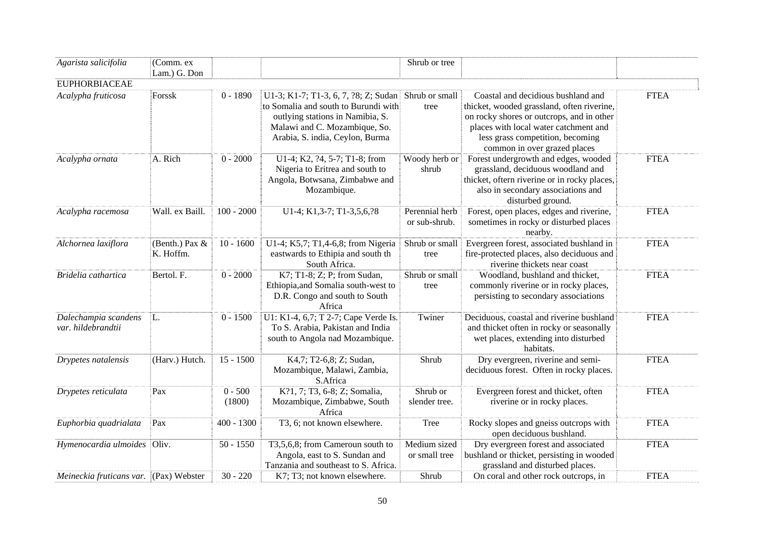| Agarista salicifolia                       | (Comm. ex                   |                     |                                                                                                                                                                                      | Shrub or tree                   |                                                                                                                                                                                                                                            |             |
|--------------------------------------------|-----------------------------|---------------------|--------------------------------------------------------------------------------------------------------------------------------------------------------------------------------------|---------------------------------|--------------------------------------------------------------------------------------------------------------------------------------------------------------------------------------------------------------------------------------------|-------------|
|                                            | Lam.) G. Don                |                     |                                                                                                                                                                                      |                                 |                                                                                                                                                                                                                                            |             |
| <b>EUPHORBIACEAE</b>                       |                             |                     |                                                                                                                                                                                      |                                 |                                                                                                                                                                                                                                            |             |
| Acalypha fruticosa                         | Forssk                      | $0 - 1890$          | U1-3; K1-7; T1-3, 6, 7, ?8; Z; Sudan<br>to Somalia and south to Burundi with<br>outlying stations in Namibia, S.<br>Malawi and C. Mozambique, So.<br>Arabia, S. india, Ceylon, Burma | Shrub or small<br>tree          | Coastal and decidious bushland and<br>thicket, wooded grassland, often riverine,<br>on rocky shores or outcrops, and in other<br>places with local water catchment and<br>less grass competition, becoming<br>common in over grazed places | <b>FTEA</b> |
| Acalypha ornata                            | A. Rich                     | $0 - 2000$          | U1-4; K2, ?4, 5-7; T1-8; from<br>Nigeria to Eritrea and south to<br>Angola, Botwsana, Zimbabwe and<br>Mozambique.                                                                    | Woody herb or<br>shrub          | Forest undergrowth and edges, wooded<br>grassland, deciduous woodland and<br>thicket, oftern riverine or in rocky places,<br>also in secondary associations and<br>disturbed ground.                                                       | <b>FTEA</b> |
| Acalypha racemosa                          | Wall. ex Baill.             | $100 - 2000$        | U1-4; K1,3-7; T1-3,5,6,?8                                                                                                                                                            | Perennial herb<br>or sub-shrub. | Forest, open places, edges and riverine,<br>sometimes in rocky or disturbed places<br>nearby.                                                                                                                                              | <b>FTEA</b> |
| Alchornea laxiflora                        | (Benth.) Pax &<br>K. Hoffm. | $10 - 1600$         | U1-4; K5,7; T1,4-6,8; from Nigeria<br>eastwards to Ethipia and south th<br>South Africa.                                                                                             | Shrub or small<br>tree          | Evergreen forest, associated bushland in<br>fire-protected places, also deciduous and<br>riverine thickets near coast                                                                                                                      | <b>FTEA</b> |
| Bridelia cathartica                        | Bertol. F.                  | $0 - 2000$          | K7; T1-8; Z; P; from Sudan,<br>Ethiopia, and Somalia south-west to<br>D.R. Congo and south to South<br>Africa                                                                        | Shrub or small<br>tree          | Woodland, bushland and thicket,<br>commonly riverine or in rocky places,<br>persisting to secondary associations                                                                                                                           | <b>FTEA</b> |
| Dalechampia scandens<br>var. hildebrandtii | L.                          | $0 - 1500$          | U1: K1-4, 6,7; T 2-7; Cape Verde Is.<br>To S. Arabia, Pakistan and India<br>south to Angola nad Mozambique.                                                                          | Twiner                          | Deciduous, coastal and riverine bushland<br>and thicket often in rocky or seasonally<br>wet places, extending into disturbed<br>habitats.                                                                                                  | <b>FTEA</b> |
| Drypetes natalensis                        | (Harv.) Hutch.              | $15 - 1500$         | K4,7; T2-6,8; Z; Sudan,<br>Mozambique, Malawi, Zambia,<br>S.Africa                                                                                                                   | Shrub                           | Dry evergreen, riverine and semi-<br>deciduous forest. Often in rocky places.                                                                                                                                                              | <b>FTEA</b> |
| Drypetes reticulata                        | Pax                         | $0 - 500$<br>(1800) | K?1, 7; T3, 6-8; Z; Somalia,<br>Mozambique, Zimbabwe, South<br>Africa                                                                                                                | Shrub or<br>slender tree.       | Evergreen forest and thicket, often<br>riverine or in rocky places.                                                                                                                                                                        | <b>FTEA</b> |
| Euphorbia quadrialata                      | Pax                         | $400 - 1300$        | T3, 6; not known elsewhere.                                                                                                                                                          | <b>Tree</b>                     | Rocky slopes and gneiss outcrops with<br>open deciduous bushland.                                                                                                                                                                          | <b>FTEA</b> |
| Hymenocardia ulmoides                      | Oliv.                       | $50 - 1550$         | T3,5,6,8; from Cameroun south to<br>Angola, east to S. Sundan and<br>Tanzania and southeast to S. Africa.                                                                            | Medium sized<br>or small tree   | Dry evergreen forest and associated<br>bushland or thicket, persisting in wooded<br>grassland and disturbed places.                                                                                                                        | <b>FTEA</b> |
| Meineckia fruticans var. (Pax) Webster     |                             | $30 - 220$          | K7; T3; not known elsewhere.                                                                                                                                                         | Shrub                           | On coral and other rock outcrops, in                                                                                                                                                                                                       | <b>FTEA</b> |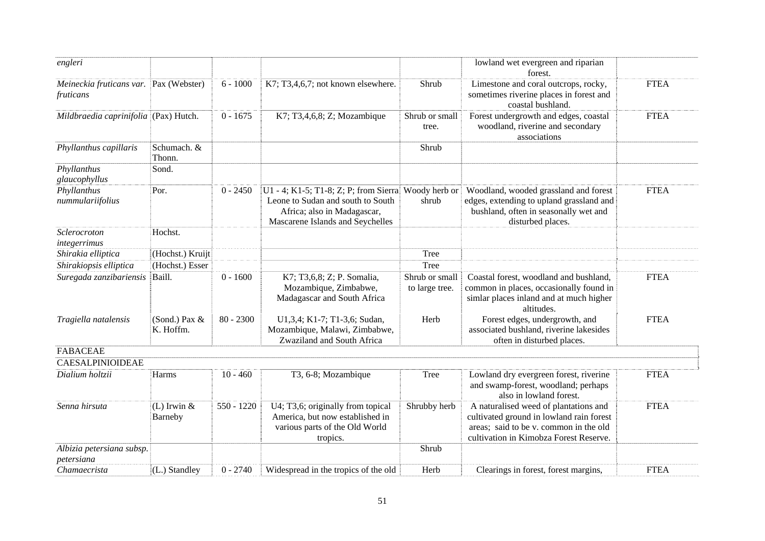| engleri                                             |                            |              |                                                                                                                                                             |                                  | lowland wet evergreen and riparian<br>forest.                                                                                                                         |             |
|-----------------------------------------------------|----------------------------|--------------|-------------------------------------------------------------------------------------------------------------------------------------------------------------|----------------------------------|-----------------------------------------------------------------------------------------------------------------------------------------------------------------------|-------------|
| Meineckia fruticans var. Pax (Webster)<br>fruticans |                            | $6 - 1000$   | K7; T3,4,6,7; not known elsewhere.                                                                                                                          | Shrub                            | Limestone and coral outcrops, rocky,<br>sometimes riverine places in forest and<br>coastal bushland.                                                                  | <b>FTEA</b> |
| Mildbraedia caprinifolia (Pax) Hutch.               |                            | $0 - 1675$   | K7; T3,4,6,8; Z; Mozambique                                                                                                                                 | Shrub or small<br>tree.          | Forest undergrowth and edges, coastal<br>woodland, riverine and secondary<br>associations                                                                             | <b>FTEA</b> |
| Phyllanthus capillaris                              | Schumach. &<br>Thonn.      |              |                                                                                                                                                             | Shrub                            |                                                                                                                                                                       |             |
| Phyllanthus<br>glaucophyllus                        | Sond.                      |              |                                                                                                                                                             |                                  |                                                                                                                                                                       |             |
| Phyllanthus<br>nummulariifolius                     | Por.                       | $0 - 2450$   | U1 - 4; K1-5; T1-8; Z; P; from Sierra Woody herb or<br>Leone to Sudan and south to South<br>Africa; also in Madagascar,<br>Mascarene Islands and Seychelles | shrub                            | Woodland, wooded grassland and forest<br>edges, extending to upland grassland and<br>bushland, often in seasonally wet and<br>disturbed places.                       | <b>FTEA</b> |
| Sclerocroton<br>integerrimus                        | Hochst.                    |              |                                                                                                                                                             |                                  |                                                                                                                                                                       |             |
| Shirakia elliptica                                  | (Hochst.) Kruijt           |              |                                                                                                                                                             | Tree                             |                                                                                                                                                                       |             |
| Shirakiopsis elliptica                              | (Hochst.) Esser            |              |                                                                                                                                                             | Tree                             |                                                                                                                                                                       |             |
| Suregada zanzibariensis                             | Baill.                     | $0 - 1600$   | K7; T3,6,8; Z; P. Somalia,<br>Mozambique, Zimbabwe,<br>Madagascar and South Africa                                                                          | Shrub or small<br>to large tree. | Coastal forest, woodland and bushland,<br>common in places, occasionally found in<br>simlar places inland and at much higher<br>altitudes.                            | <b>FTEA</b> |
| Tragiella natalensis                                | (Sond.) Pax &<br>K. Hoffm. | $80 - 2300$  | U1,3,4; K1-7; T1-3,6; Sudan,<br>Mozambique, Malawi, Zimbabwe,<br>Zwaziland and South Africa                                                                 | Herb                             | Forest edges, undergrowth, and<br>associated bushland, riverine lakesides<br>often in disturbed places.                                                               | <b>FTEA</b> |
| <b>FABACEAE</b>                                     |                            |              |                                                                                                                                                             |                                  |                                                                                                                                                                       |             |
| <b>CAESALPINIOIDEAE</b>                             |                            |              |                                                                                                                                                             |                                  |                                                                                                                                                                       |             |
| Dialium holtzii                                     | Harms                      | $10 - 460$   | T3, 6-8; Mozambique                                                                                                                                         | Tree                             | Lowland dry evergreen forest, riverine<br>and swamp-forest, woodland; perhaps<br>also in lowland forest.                                                              | <b>FTEA</b> |
| Senna hirsuta                                       | (L) Irwin $&$<br>Barneby   | $550 - 1220$ | U4; T3,6; originally from topical<br>America, but now established in<br>various parts of the Old World<br>tropics.                                          | Shrubby herb                     | A naturalised weed of plantations and<br>cultivated ground in lowland rain forest<br>areas; said to be v. common in the old<br>cultivation in Kimobza Forest Reserve. | <b>FTEA</b> |
| Albizia petersiana subsp.<br>petersiana             |                            |              |                                                                                                                                                             | Shrub                            |                                                                                                                                                                       |             |
| Chamaecrista                                        | (L.) Standley              | $0 - 2740$   | Widespread in the tropics of the old                                                                                                                        | Herb                             | Clearings in forest, forest margins,                                                                                                                                  | <b>FTEA</b> |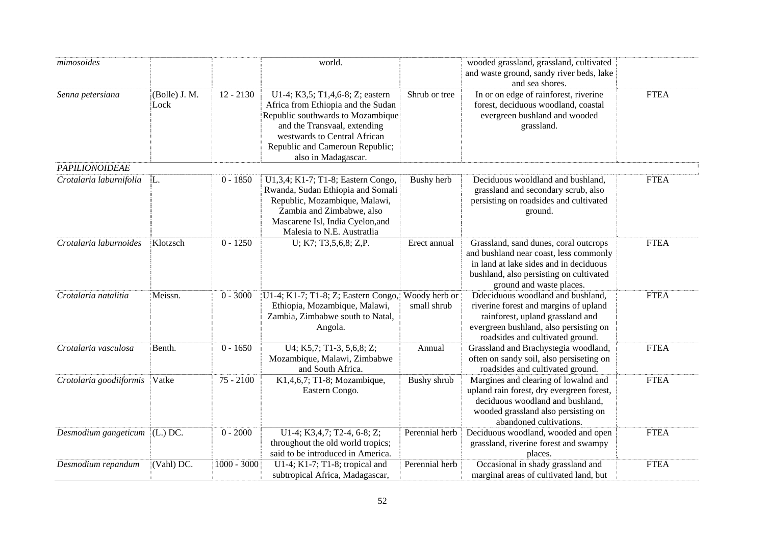| mimosoides                        |                       |               | world.                                                                                                                                                                                                                                |                              | wooded grassland, grassland, cultivated<br>and waste ground, sandy river beds, lake<br>and sea shores.                                                                                           |             |
|-----------------------------------|-----------------------|---------------|---------------------------------------------------------------------------------------------------------------------------------------------------------------------------------------------------------------------------------------|------------------------------|--------------------------------------------------------------------------------------------------------------------------------------------------------------------------------------------------|-------------|
| Senna petersiana                  | (Bolle) J. M.<br>Lock | $12 - 2130$   | U1-4; K3,5; T1,4,6-8; Z; eastern<br>Africa from Ethiopia and the Sudan<br>Republic southwards to Mozambique<br>and the Transvaal, extending<br>westwards to Central African<br>Republic and Cameroun Republic;<br>also in Madagascar. | Shrub or tree                | In or on edge of rainforest, riverine<br>forest, deciduous woodland, coastal<br>evergreen bushland and wooded<br>grassland.                                                                      | <b>FTEA</b> |
| <b>PAPILIONOIDEAE</b>             |                       |               |                                                                                                                                                                                                                                       |                              |                                                                                                                                                                                                  |             |
| Crotalaria laburnifolia           | L.                    | $0 - 1850$    | U1,3,4; K1-7; T1-8; Eastern Congo,<br>Rwanda, Sudan Ethiopia and Somali<br>Republic, Mozambique, Malawi,<br>Zambia and Zimbabwe, also<br>Mascarene Isl, India Cyelon, and<br>Malesia to N.E. Austratlia                               | <b>Bushy</b> herb            | Deciduous wooldland and bushland,<br>grassland and secondary scrub, also<br>persisting on roadsides and cultivated<br>ground.                                                                    | <b>FTEA</b> |
| Crotalaria laburnoides            | Klotzsch              | $0 - 1250$    | U; K7; T3,5,6,8; Z,P.                                                                                                                                                                                                                 | Erect annual                 | Grassland, sand dunes, coral outcrops<br>and bushland near coast, less commonly<br>in land at lake sides and in deciduous<br>bushland, also persisting on cultivated<br>ground and waste places. | <b>FTEA</b> |
| Crotalaria natalitia              | Meissn.               | $0 - 3000$    | U1-4; K1-7; T1-8; Z; Eastern Congo,<br>Ethiopia, Mozambique, Malawi,<br>Zambia, Zimbabwe south to Natal,<br>Angola.                                                                                                                   | Woody herb or<br>small shrub | Ddeciduous woodland and bushland,<br>riverine forest and margins of upland<br>rainforest, upland grassland and<br>evergreen bushland, also persisting on<br>roadsides and cultivated ground.     | <b>FTEA</b> |
| Crotalaria vasculosa              | Benth.                | $0 - 1650$    | U4; K5,7; T1-3, 5,6,8; Z;<br>Mozambique, Malawi, Zimbabwe<br>and South Africa.                                                                                                                                                        | Annual                       | Grassland and Brachystegia woodland,<br>often on sandy soil, also persiseting on<br>roadsides and cultivated ground.                                                                             | <b>FTEA</b> |
| Crotolaria goodiiformis           | Vatke                 | $75 - 2100$   | K1,4,6,7; T1-8; Mozambique,<br>Eastern Congo.                                                                                                                                                                                         | Bushy shrub                  | Margines and clearing of lowalnd and<br>upland rain forest, dry evergreen forest,<br>deciduous woodland and bushland,<br>wooded grassland also persisting on<br>abandoned cultivations.          | <b>FTEA</b> |
| Desmodium gangeticum $ $ (L.) DC. |                       | $0 - 2000$    | U1-4; K3,4,7; T2-4, 6-8; Z;<br>throughout the old world tropics;<br>said to be introduced in America.                                                                                                                                 | Perennial herb               | Deciduous woodland, wooded and open<br>grassland, riverine forest and swampy<br>places.                                                                                                          | <b>FTEA</b> |
| Desmodium repandum                | (Vahl) DC.            | $1000 - 3000$ | U1-4; K1-7; T1-8; tropical and<br>subtropical Africa, Madagascar,                                                                                                                                                                     | Perennial herb               | Occasional in shady grassland and<br>marginal areas of cultivated land, but                                                                                                                      | <b>FTEA</b> |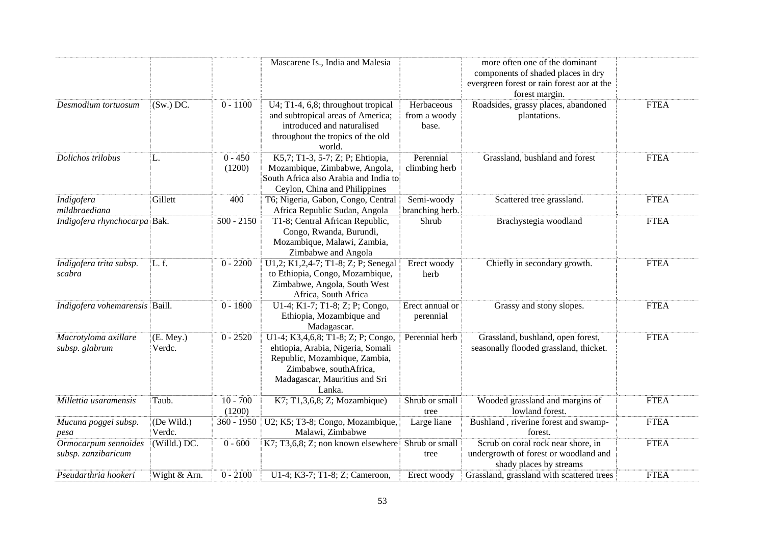|                                             |                       |                      | Mascarene Is., India and Malesia                                                                                                                                              |                                     | more often one of the dominant<br>components of shaded places in dry<br>evergreen forest or rain forest aor at the<br>forest margin. |             |
|---------------------------------------------|-----------------------|----------------------|-------------------------------------------------------------------------------------------------------------------------------------------------------------------------------|-------------------------------------|--------------------------------------------------------------------------------------------------------------------------------------|-------------|
| Desmodium tortuosum                         | $(Sw.)$ DC.           | $0 - 1100$           | U4; T1-4, 6,8; throughout tropical<br>and subtropical areas of America;<br>introduced and naturalised<br>throughout the tropics of the old<br>world.                          | Herbaceous<br>from a woody<br>base. | Roadsides, grassy places, abandoned<br>plantations.                                                                                  | <b>FTEA</b> |
| Dolichos trilobus                           | L.                    | $0 - 450$<br>(1200)  | K5,7; T1-3, 5-7; Z; P; Ehtiopia,<br>Mozambique, Zimbabwe, Angola,<br>South Africa also Arabia and India to<br>Ceylon, China and Philippines                                   | Perennial<br>climbing herb          | Grassland, bushland and forest                                                                                                       | <b>FTEA</b> |
| Indigofera<br>mildbraediana                 | Gillett               | 400                  | T6; Nigeria, Gabon, Congo, Central<br>Africa Republic Sudan, Angola                                                                                                           | Semi-woody<br>branching herb.       | Scattered tree grassland.                                                                                                            | <b>FTEA</b> |
| Indigofera rhynchocarpa Bak.                |                       | $500 - 2150$         | T1-8; Central African Republic,<br>Congo, Rwanda, Burundi,<br>Mozambique, Malawi, Zambia,<br>Zimbabwe and Angola                                                              | Shrub                               | Brachystegia woodland                                                                                                                | <b>FTEA</b> |
| Indigofera trita subsp.<br>scabra           | L.f.                  | $0 - 2200$           | U1,2; K1,2,4-7; T1-8; Z; P; Senegal<br>to Ethiopia, Congo, Mozambique,<br>Zimbabwe, Angola, South West<br>Africa, South Africa                                                | Erect woody<br>herb                 | Chiefly in secondary growth.                                                                                                         | <b>FTEA</b> |
| Indigofera vohemarensis Baill.              |                       | $0 - 1800$           | U1-4; K1-7; T1-8; Z; P; Congo,<br>Ethiopia, Mozambique and<br>Madagascar.                                                                                                     | Erect annual or<br>perennial        | Grassy and stony slopes.                                                                                                             | <b>FTEA</b> |
| Macrotyloma axillare<br>subsp. glabrum      | $(E.$ Mey.)<br>Verdc. | $0 - 2520$           | U1-4; K3,4,6,8; T1-8; Z; P; Congo,<br>ehtiopia, Arabia, Nigeria, Somali<br>Republic, Mozambique, Zambia,<br>Zimbabwe, southAfrica,<br>Madagascar, Mauritius and Sri<br>Lanka. | Perennial herb                      | Grassland, bushland, open forest,<br>seasonally flooded grassland, thicket.                                                          | <b>FTEA</b> |
| Millettia usaramensis                       | Taub.                 | $10 - 700$<br>(1200) | K7; T1,3,6,8; Z; Mozambique)                                                                                                                                                  | Shrub or small<br>tree              | Wooded grassland and margins of<br>lowland forest.                                                                                   | <b>FTEA</b> |
| Mucuna poggei subsp.<br>pesa                | (De Wild.)<br>Verdc.  | $360 - 1950$         | U2; K5; T3-8; Congo, Mozambique,<br>Malawi, Zimbabwe                                                                                                                          | Large liane                         | Bushland, riverine forest and swamp-<br>forest.                                                                                      | <b>FTEA</b> |
| Ormocarpum sennoides<br>subsp. zanzibaricum | (Willd.) DC.          | $0 - 600$            | K7; T3,6,8; Z; non known elsewhere                                                                                                                                            | Shrub or small<br>tree              | Scrub on coral rock near shore, in<br>undergrowth of forest or woodland and<br>shady places by streams                               | <b>FTEA</b> |
| Pseudarthria hookeri                        | Wight & Arn.          | $0 - 2100$           | U1-4; K3-7; T1-8; Z; Cameroon,                                                                                                                                                | Erect woody                         | Grassland, grassland with scattered trees                                                                                            | <b>FTEA</b> |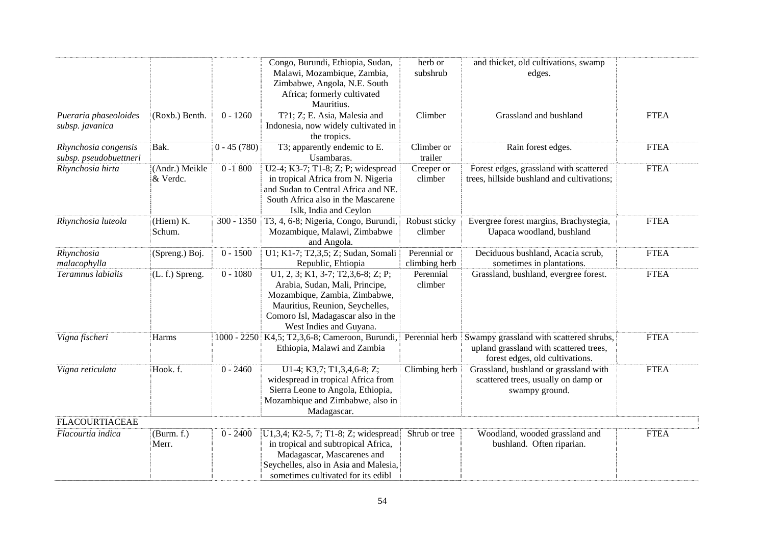|                                                |                            |               | Congo, Burundi, Ethiopia, Sudan,<br>Malawi, Mozambique, Zambia,<br>Zimbabwe, Angola, N.E. South<br>Africa; formerly cultivated<br>Mauritius.                                                                | herb or<br>subshrub           | and thicket, old cultivations, swamp<br>edges.                                                                       |             |
|------------------------------------------------|----------------------------|---------------|-------------------------------------------------------------------------------------------------------------------------------------------------------------------------------------------------------------|-------------------------------|----------------------------------------------------------------------------------------------------------------------|-------------|
| Pueraria phaseoloides<br>subsp. javanica       | (Roxb.) Benth.             | $0 - 1260$    | T?1; Z; E. Asia, Malesia and<br>Indonesia, now widely cultivated in<br>the tropics.                                                                                                                         | Climber                       | Grassland and bushland                                                                                               | <b>FTEA</b> |
| Rhynchosia congensis<br>subsp. pseudobuettneri | Bak.                       | $0 - 45(780)$ | T3; apparently endemic to E.<br>Usambaras.                                                                                                                                                                  | Climber or<br>trailer         | Rain forest edges.                                                                                                   | <b>FTEA</b> |
| Rhynchosia hirta                               | (Andr.) Meikle<br>& Verdc. | $0 - 1800$    | U2-4; K3-7; T1-8; Z; P; widespread<br>in tropical Africa from N. Nigeria<br>and Sudan to Central Africa and NE.<br>South Africa also in the Mascarene<br>Islk, India and Ceylon                             | Creeper or<br>climber         | Forest edges, grassland with scattered<br>trees, hillside bushland and cultivations;                                 | <b>FTEA</b> |
| Rhynchosia luteola                             | (Hiern) K.<br>Schum.       | $300 - 1350$  | T3, 4, 6-8; Nigeria, Congo, Burundi,<br>Mozambique, Malawi, Zimbabwe<br>and Angola.                                                                                                                         | Robust sticky<br>climber      | Evergree forest margins, Brachystegia,<br>Uapaca woodland, bushland                                                  | <b>FTEA</b> |
| Rhynchosia<br>malacophylla                     | (Spreng.) Boj.             | $0 - 1500$    | U1; K1-7; T2,3,5; Z; Sudan, Somali<br>Republic, Ehtiopia                                                                                                                                                    | Perennial or<br>climbing herb | Deciduous bushland, Acacia scrub,<br>sometimes in plantations.                                                       | <b>FTEA</b> |
| Teramnus labialis                              | (L. f.) Spreng.            | $0 - 1080$    | U1, 2, 3; K1, 3-7; T2, 3, 6-8; Z; P;<br>Arabia, Sudan, Mali, Principe,<br>Mozambique, Zambia, Zimbabwe,<br>Mauritius, Reunion, Seychelles,<br>Comoro Isl, Madagascar also in the<br>West Indies and Guyana. | Perennial<br>climber          | Grassland, bushland, evergree forest.                                                                                | <b>FTEA</b> |
| Vigna fischeri                                 | Harms                      |               | 1000 - 2250 K4,5; T2,3,6-8; Cameroon, Burundi,<br>Ethiopia, Malawi and Zambia                                                                                                                               | Perennial herb                | Swampy grassland with scattered shrubs,<br>upland grassland with scattered trees,<br>forest edges, old cultivations. | <b>FTEA</b> |
| Vigna reticulata                               | Hook. f.                   | $0 - 2460$    | U1-4; K3,7; T1,3,4,6-8; Z;<br>widespread in tropical Africa from<br>Sierra Leone to Angola, Ethiopia,<br>Mozambique and Zimbabwe, also in<br>Madagascar.                                                    | Climbing herb                 | Grassland, bushland or grassland with<br>scattered trees, usually on damp or<br>swampy ground.                       | <b>FTEA</b> |
| <b>FLACOURTIACEAE</b>                          |                            |               |                                                                                                                                                                                                             |                               |                                                                                                                      |             |
| Flacourtia indica                              | (Burm. f.)<br>Merr.        | $0 - 2400$    | U1,3,4; K2-5, 7; T1-8; Z; widespread<br>in tropical and subtropical Africa,<br>Madagascar, Mascarenes and<br>Seychelles, also in Asia and Malesia,<br>sometimes cultivated for its edibl                    | Shrub or tree                 | Woodland, wooded grassland and<br>bushland. Often riparian.                                                          | <b>FTEA</b> |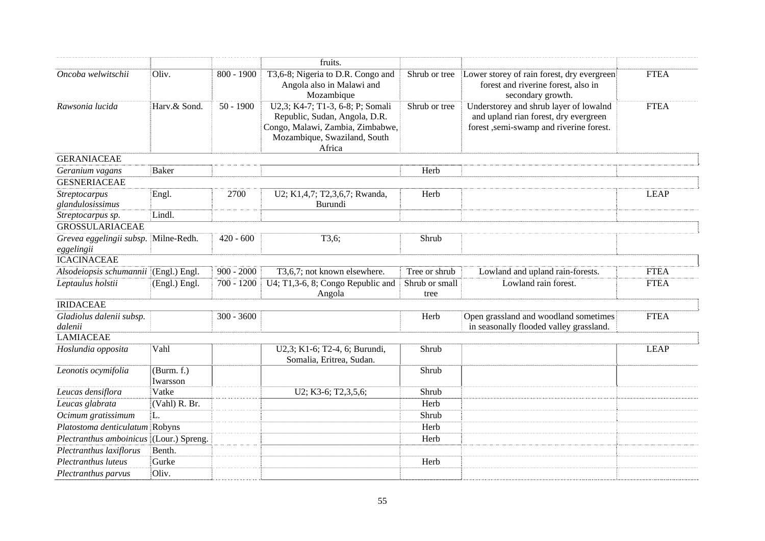|                                          |                        |              | fruits.                                                                                                                                         |                        |                                                                                                                            |             |
|------------------------------------------|------------------------|--------------|-------------------------------------------------------------------------------------------------------------------------------------------------|------------------------|----------------------------------------------------------------------------------------------------------------------------|-------------|
| Oncoba welwitschii                       | Oliv.                  | $800 - 1900$ | T3,6-8; Nigeria to D.R. Congo and<br>Angola also in Malawi and<br>Mozambique                                                                    | Shrub or tree          | Lower storey of rain forest, dry evergreen<br>forest and riverine forest, also in<br>secondary growth.                     | <b>FTEA</b> |
| Rawsonia lucida                          | Harv.& Sond.           | $50 - 1900$  | U2,3; K4-7; T1-3, 6-8; P; Somali<br>Republic, Sudan, Angola, D.R.<br>Congo, Malawi, Zambia, Zimbabwe,<br>Mozambique, Swaziland, South<br>Africa | Shrub or tree          | Understorey and shrub layer of lowalnd<br>and upland rian forest, dry evergreen<br>forest, semi-swamp and riverine forest. | <b>FTEA</b> |
| <b>GERANIACEAE</b>                       |                        |              |                                                                                                                                                 |                        |                                                                                                                            |             |
| Geranium vagans                          | <b>Baker</b>           |              |                                                                                                                                                 | Herb                   |                                                                                                                            |             |
| <b>GESNERIACEAE</b>                      |                        |              |                                                                                                                                                 |                        |                                                                                                                            |             |
| <b>Streptocarpus</b><br>glandulosissimus | Engl.                  | 2700         | U2; K1,4,7; T2,3,6,7; Rwanda,<br>Burundi                                                                                                        | Herb                   |                                                                                                                            | <b>LEAP</b> |
| Streptocarpus sp.                        | Lindl.                 |              |                                                                                                                                                 |                        |                                                                                                                            |             |
| <b>GROSSULARIACEAE</b>                   |                        |              |                                                                                                                                                 |                        |                                                                                                                            |             |
| Grevea eggelingii subsp.<br>eggelingii   | Milne-Redh.            | $420 - 600$  | T3,6;                                                                                                                                           | Shrub                  |                                                                                                                            |             |
| <b>ICACINACEAE</b>                       |                        |              |                                                                                                                                                 |                        |                                                                                                                            |             |
| Alsodeiopsis schumannii (Engl.) Engl.    |                        | $900 - 2000$ | T3,6,7; not known elsewhere.                                                                                                                    | Tree or shrub          | Lowland and upland rain-forests.                                                                                           | <b>FTEA</b> |
| Leptaulus holstii                        | (Engl.) Engl.          | $700 - 1200$ | U4; T1,3-6, 8; Congo Republic and<br>Angola                                                                                                     | Shrub or small<br>tree | Lowland rain forest.                                                                                                       | <b>FTEA</b> |
| <b>IRIDACEAE</b>                         |                        |              |                                                                                                                                                 |                        |                                                                                                                            |             |
| Gladiolus dalenii subsp.<br>dalenii      |                        | $300 - 3600$ |                                                                                                                                                 | Herb                   | Open grassland and woodland sometimes<br>in seasonally flooded valley grassland.                                           | <b>FTEA</b> |
| <b>LAMIACEAE</b>                         |                        |              |                                                                                                                                                 |                        |                                                                                                                            |             |
| Hoslundia opposita                       | Vahl                   |              | U2,3; K1-6; T2-4, 6; Burundi,<br>Somalia, Eritrea, Sudan.                                                                                       | Shrub                  |                                                                                                                            | <b>LEAP</b> |
| Leonotis ocymifolia                      | (Burm. f.)<br>Iwarsson |              |                                                                                                                                                 | Shrub                  |                                                                                                                            |             |
| Leucas densiflora                        | Vatke                  |              | U2; K3-6; T2,3,5,6;                                                                                                                             | Shrub                  |                                                                                                                            |             |
| Leucas glabrata                          | (Vahl) R. Br.          |              |                                                                                                                                                 | Herb                   |                                                                                                                            |             |
| Ocimum gratissimum                       | L.                     |              |                                                                                                                                                 | Shrub                  |                                                                                                                            |             |
| Platostoma denticulatum Robyns           |                        |              |                                                                                                                                                 | Herb                   |                                                                                                                            |             |
| Plectranthus amboinicus                  | (Lour.) Spreng.        |              |                                                                                                                                                 | Herb                   |                                                                                                                            |             |
| Plectranthus laxiflorus                  | Benth.                 |              |                                                                                                                                                 |                        |                                                                                                                            |             |
| Plectranthus luteus                      | Gurke                  |              |                                                                                                                                                 | Herb                   |                                                                                                                            |             |
| Plectranthus parvus                      | Oliv.                  |              |                                                                                                                                                 |                        |                                                                                                                            |             |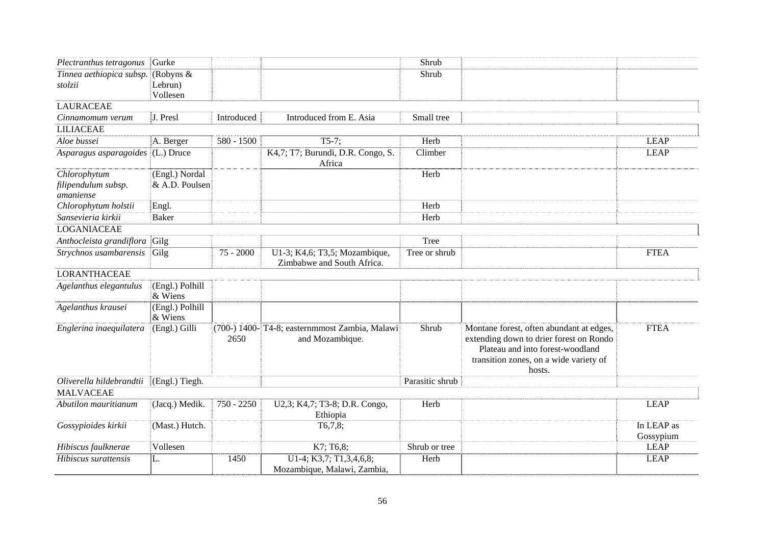| Plectranthus tetragonus             | Gurke                      |              |                                                                   | Shrub           |                                                                                                                                                                             |             |
|-------------------------------------|----------------------------|--------------|-------------------------------------------------------------------|-----------------|-----------------------------------------------------------------------------------------------------------------------------------------------------------------------------|-------------|
|                                     | (Robyns $&$                |              |                                                                   | Shrub           |                                                                                                                                                                             |             |
| Tinnea aethiopica subsp.<br>stolzii | Lebrun)                    |              |                                                                   |                 |                                                                                                                                                                             |             |
|                                     | Vollesen                   |              |                                                                   |                 |                                                                                                                                                                             |             |
| <b>LAURACEAE</b>                    |                            |              |                                                                   |                 |                                                                                                                                                                             |             |
| Cinnamomum verum                    | J. Presl                   | Introduced   | Introduced from E. Asia                                           | Small tree      |                                                                                                                                                                             |             |
| <b>LILIACEAE</b>                    |                            |              |                                                                   |                 |                                                                                                                                                                             |             |
| Aloe bussei                         | A. Berger                  | $580 - 1500$ | $T5-7;$                                                           | Herb            |                                                                                                                                                                             | <b>LEAP</b> |
| Asparagus asparagoides (L.) Druce   |                            |              | K4,7; T7; Burundi, D.R. Congo, S.<br>Africa                       | Climber         |                                                                                                                                                                             | <b>LEAP</b> |
| Chlorophytum                        | (Engl.) Nordal             |              |                                                                   | Herb            |                                                                                                                                                                             |             |
| filipendulum subsp.<br>amaniense    | & A.D. Poulsen             |              |                                                                   |                 |                                                                                                                                                                             |             |
| Chlorophytum holstii                | Engl.                      |              |                                                                   | Herb            |                                                                                                                                                                             |             |
| Sansevieria kirkii                  | <b>Baker</b>               |              |                                                                   | Herb            |                                                                                                                                                                             |             |
| <b>LOGANIACEAE</b>                  |                            |              |                                                                   |                 |                                                                                                                                                                             |             |
| Anthocleista grandiflora Gilg       |                            |              |                                                                   | Tree            |                                                                                                                                                                             |             |
| Strychnos usambarensis              | Gilg                       | $75 - 2000$  | U1-3; K4,6; T3,5; Mozambique,<br>Zimbabwe and South Africa.       | Tree or shrub   |                                                                                                                                                                             | <b>FTEA</b> |
| <b>LORANTHACEAE</b>                 |                            |              |                                                                   |                 |                                                                                                                                                                             |             |
| Agelanthus elegantulus              | (Engl.) Polhill<br>& Wiens |              |                                                                   |                 |                                                                                                                                                                             |             |
| Agelanthus krausei                  | (Engl.) Polhill<br>& Wiens |              |                                                                   |                 |                                                                                                                                                                             |             |
| Englerina inaequilatera             | (Engl.) Gilli              | 2650         | (700-) 1400- T4-8; easternmmost Zambia, Malawi<br>and Mozambique. | Shrub           | Montane forest, often abundant at edges,<br>extending down to drier forest on Rondo<br>Plateau and into forest-woodland<br>transition zones, on a wide variety of<br>hosts. | <b>FTEA</b> |
| Oliverella hildebrandtii            | (Engl.) Tiegh.             |              |                                                                   | Parasitic shrub |                                                                                                                                                                             |             |
| <b>MALVACEAE</b>                    |                            |              |                                                                   |                 |                                                                                                                                                                             |             |
| Abutilon mauritianum                | (Jacq.) Medik.             | 750 - 2250   | U2,3; K4,7; T3-8; D.R. Congo,<br>Ethiopia                         | Herb            |                                                                                                                                                                             | <b>LEAP</b> |
| Gossypioides kirkii                 | (Mast.) Hutch.             |              | T6,7,8;                                                           |                 |                                                                                                                                                                             | In LEAP as  |
|                                     |                            |              |                                                                   |                 |                                                                                                                                                                             | Gossypium   |
| Hibiscus faulknerae                 | Vollesen                   |              | K7; T6,8;                                                         | Shrub or tree   |                                                                                                                                                                             | <b>LEAP</b> |
| Hibiscus surattensis                | L.                         | 1450         | U1-4; K3,7; T1,3,4,6,8;<br>Mozambique, Malawi, Zambia,            | Herb            |                                                                                                                                                                             | <b>LEAP</b> |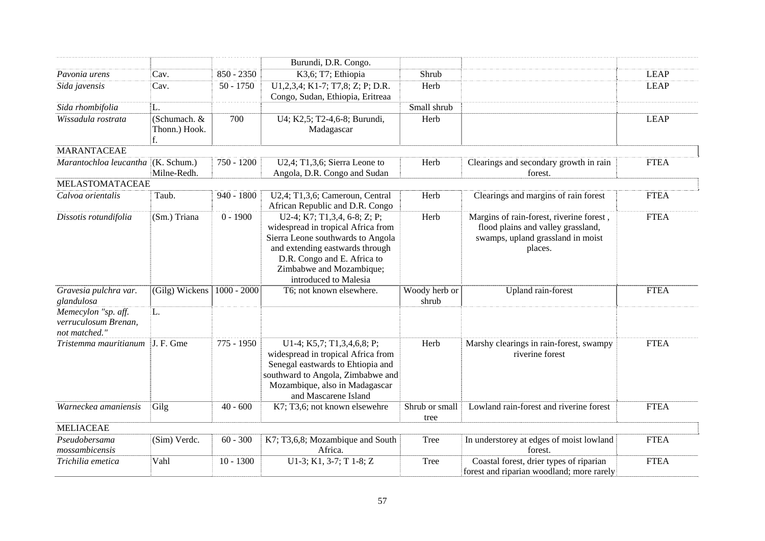|                                                              |                                     |               | Burundi, D.R. Congo.                                                                                                                                                                                                           |                        |                                                                                                                                |             |
|--------------------------------------------------------------|-------------------------------------|---------------|--------------------------------------------------------------------------------------------------------------------------------------------------------------------------------------------------------------------------------|------------------------|--------------------------------------------------------------------------------------------------------------------------------|-------------|
| Pavonia urens                                                | Cav.                                | 850 - 2350    | K3,6; T7; Ethiopia                                                                                                                                                                                                             | Shrub                  |                                                                                                                                | <b>LEAP</b> |
| Sida javensis                                                | Cav.                                | $50 - 1750$   | U1,2,3,4; K1-7; T7,8; Z; P; D.R.<br>Congo, Sudan, Ethiopia, Eritreaa                                                                                                                                                           | Herb                   |                                                                                                                                | <b>LEAP</b> |
| Sida rhombifolia                                             | L.                                  |               |                                                                                                                                                                                                                                | Small shrub            |                                                                                                                                |             |
| Wissadula rostrata                                           | (Schumach. &<br>Thonn.) Hook.<br>f. | 700           | U4; K2,5; T2-4,6-8; Burundi,<br>Madagascar                                                                                                                                                                                     | Herb                   |                                                                                                                                | <b>LEAP</b> |
| <b>MARANTACEAE</b>                                           |                                     |               |                                                                                                                                                                                                                                |                        |                                                                                                                                |             |
| Marantochloa leucantha (K. Schum.)                           | Milne-Redh.                         | 750 - 1200    | $U2,4$ ; T1,3,6; Sierra Leone to<br>Angola, D.R. Congo and Sudan                                                                                                                                                               | Herb                   | Clearings and secondary growth in rain<br>forest.                                                                              | <b>FTEA</b> |
| MELASTOMATACEAE                                              |                                     |               |                                                                                                                                                                                                                                |                        |                                                                                                                                |             |
| Calvoa orientalis                                            | Taub.                               | 940 - 1800    | U2,4; T1,3,6; Cameroun, Central<br>African Republic and D.R. Congo                                                                                                                                                             | Herb                   | Clearings and margins of rain forest                                                                                           | <b>FTEA</b> |
| Dissotis rotundifolia                                        | (Sm.) Triana                        | $0 - 1900$    | U2-4; K7; T1,3,4, 6-8; Z; P;<br>widespread in tropical Africa from<br>Sierra Leone southwards to Angola<br>and extending eastwards through<br>D.R. Congo and E. Africa to<br>Zimbabwe and Mozambique;<br>introduced to Malesia | Herb                   | Margins of rain-forest, riverine forest,<br>flood plains and valley grassland,<br>swamps, upland grassland in moist<br>places. | <b>FTEA</b> |
| Gravesia pulchra var.<br>glandulosa                          | (Gilg) Wickens                      | $1000 - 2000$ | T6; not known elsewhere.                                                                                                                                                                                                       | Woody herb or<br>shrub | Upland rain-forest                                                                                                             | <b>FTEA</b> |
| Memecylon "sp. aff.<br>verruculosum Brenan,<br>not matched." | L.                                  |               |                                                                                                                                                                                                                                |                        |                                                                                                                                |             |
| Tristemma mauritianum                                        | J. F. Gme                           | 775 - 1950    | U1-4; K5,7; T1,3,4,6,8; P;<br>widespread in tropical Africa from<br>Senegal eastwards to Ehtiopia and<br>southward to Angola, Zimbabwe and<br>Mozambique, also in Madagascar<br>and Mascarene Island                           | Herb                   | Marshy clearings in rain-forest, swampy<br>riverine forest                                                                     | <b>FTEA</b> |
| Warneckea amaniensis                                         | Gilg                                | $40 - 600$    | K7; T3,6; not known elsewehre                                                                                                                                                                                                  | Shrub or small<br>tree | Lowland rain-forest and riverine forest                                                                                        | <b>FTEA</b> |
| <b>MELIACEAE</b>                                             |                                     |               |                                                                                                                                                                                                                                |                        |                                                                                                                                |             |
| Pseudobersama<br>mossambicensis                              | (Sim) Verdc.                        | $60 - 300$    | K7; T3,6,8; Mozambique and South<br>Africa.                                                                                                                                                                                    | Tree                   | In understorey at edges of moist lowland<br>forest.                                                                            | <b>FTEA</b> |
| Trichilia emetica                                            | Vahl                                | $10 - 1300$   | $U1-3$ ; K1, 3-7; T 1-8; Z                                                                                                                                                                                                     | Tree                   | Coastal forest, drier types of riparian<br>forest and riparian woodland; more rarely                                           | <b>FTEA</b> |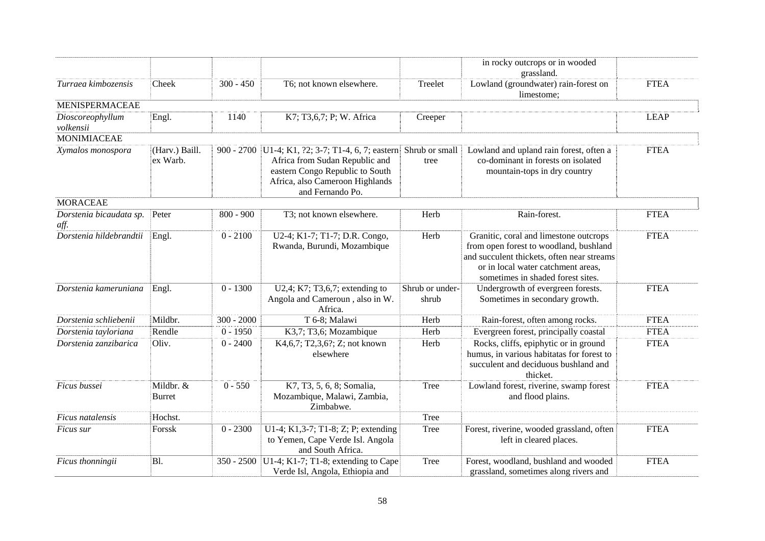|                                 |                            |              |                                                                                                                                                                                 |                          | in rocky outcrops or in wooded<br>grassland.                                                                                                                                                              |             |
|---------------------------------|----------------------------|--------------|---------------------------------------------------------------------------------------------------------------------------------------------------------------------------------|--------------------------|-----------------------------------------------------------------------------------------------------------------------------------------------------------------------------------------------------------|-------------|
| Turraea kimbozensis             | Cheek                      | $300 - 450$  | T6; not known elsewhere.                                                                                                                                                        | Treelet                  | Lowland (groundwater) rain-forest on<br>limestome;                                                                                                                                                        | <b>FTEA</b> |
| <b>MENISPERMACEAE</b>           |                            |              |                                                                                                                                                                                 |                          |                                                                                                                                                                                                           |             |
| Dioscoreophyllum<br>volkensii   | Engl.                      | 1140         | K7; T3,6,7; P; W. Africa                                                                                                                                                        | Creeper                  |                                                                                                                                                                                                           | <b>LEAP</b> |
| <b>MONIMIACEAE</b>              |                            |              |                                                                                                                                                                                 |                          |                                                                                                                                                                                                           |             |
| Xymalos monospora               | (Harv.) Baill.<br>ex Warb. |              | 900 - 2700   U1-4; K1, ?2; 3-7; T1-4, 6, 7; eastern<br>Africa from Sudan Republic and<br>eastern Congo Republic to South<br>Africa, also Cameroon Highlands<br>and Fernando Po. | Shrub or small<br>tree   | Lowland and upland rain forest, often a<br>co-dominant in forests on isolated<br>mountain-tops in dry country                                                                                             | <b>FTEA</b> |
| <b>MORACEAE</b>                 |                            |              |                                                                                                                                                                                 |                          |                                                                                                                                                                                                           |             |
| Dorstenia bicaudata sp.<br>aff. | Peter                      | $800 - 900$  | T3; not known elsewhere.                                                                                                                                                        | Herb                     | Rain-forest.                                                                                                                                                                                              | <b>FTEA</b> |
| Dorstenia hildebrandtii         | Engl.                      | $0 - 2100$   | U2-4; K1-7; T1-7; D.R. Congo,<br>Rwanda, Burundi, Mozambique                                                                                                                    | Herb                     | Granitic, coral and limestone outcrops<br>from open forest to woodland, bushland<br>and succulent thickets, often near streams<br>or in local water catchment areas,<br>sometimes in shaded forest sites. | <b>FTEA</b> |
| Dorstenia kameruniana           | Engl.                      | $0 - 1300$   | U2,4; K7; T3,6,7; extending to<br>Angola and Cameroun, also in W.<br>Africa.                                                                                                    | Shrub or under-<br>shrub | Undergrowth of evergreen forests.<br>Sometimes in secondary growth.                                                                                                                                       | <b>FTEA</b> |
| Dorstenia schliebenii           | Mildbr.                    | $300 - 2000$ | T 6-8; Malawi                                                                                                                                                                   | Herb                     | Rain-forest, often among rocks.                                                                                                                                                                           | <b>FTEA</b> |
| Dorstenia tayloriana            | Rendle                     | $0 - 1950$   | K3,7; T3,6; Mozambique                                                                                                                                                          | Herb                     | Evergreen forest, principally coastal                                                                                                                                                                     | <b>FTEA</b> |
| Dorstenia zanzibarica           | Oliv.                      | $0 - 2400$   | K4,6,7; T2,3,6?; Z; not known<br>elsewhere                                                                                                                                      | Herb                     | Rocks, cliffs, epiphytic or in ground<br>humus, in various habitatas for forest to<br>succulent and deciduous bushland and<br>thicket.                                                                    | <b>FTEA</b> |
| Ficus bussei                    | Mildbr. &<br>Burret        | $0 - 550$    | K7, T3, 5, 6, 8; Somalia,<br>Mozambique, Malawi, Zambia,<br>Zimbabwe.                                                                                                           | Tree                     | Lowland forest, riverine, swamp forest<br>and flood plains.                                                                                                                                               | <b>FTEA</b> |
| Ficus natalensis                | Hochst.                    |              |                                                                                                                                                                                 | Tree                     |                                                                                                                                                                                                           |             |
| Ficus sur                       | Forssk                     | $0 - 2300$   | U1-4; K1,3-7; T1-8; Z; P; extending<br>to Yemen, Cape Verde Isl. Angola<br>and South Africa.                                                                                    | Tree                     | Forest, riverine, wooded grassland, often<br>left in cleared places.                                                                                                                                      | <b>FTEA</b> |
| Ficus thonningii                | Bl.                        | $350 - 2500$ | U1-4; K1-7; T1-8; extending to Cape<br>Verde Isl, Angola, Ethiopia and                                                                                                          | Tree                     | Forest, woodland, bushland and wooded<br>grassland, sometimes along rivers and                                                                                                                            | <b>FTEA</b> |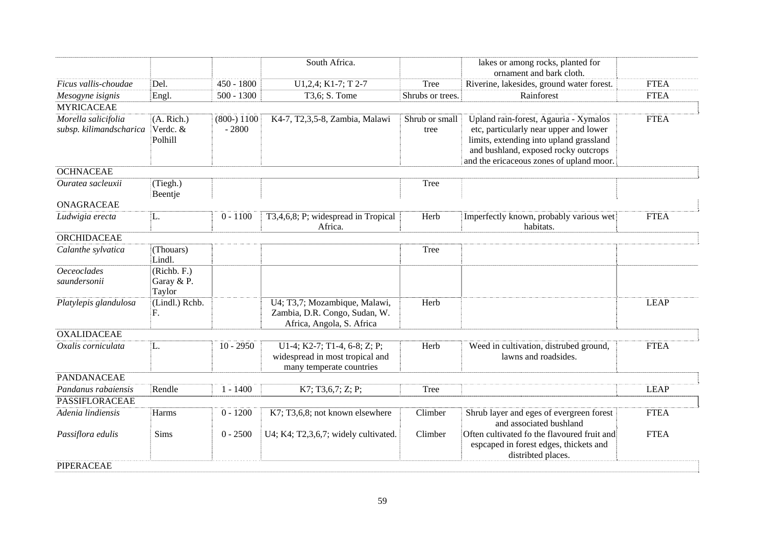|                                                |                                     |                         | South Africa.                                                                               |                        | lakes or among rocks, planted for<br>ornament and bark cloth.                                                                                                                                                  |             |
|------------------------------------------------|-------------------------------------|-------------------------|---------------------------------------------------------------------------------------------|------------------------|----------------------------------------------------------------------------------------------------------------------------------------------------------------------------------------------------------------|-------------|
| Ficus vallis-choudae                           | Del.                                | $450 - 1800$            | U1,2,4; K1-7; T 2-7                                                                         | Tree                   | Riverine, lakesides, ground water forest.                                                                                                                                                                      | <b>FTEA</b> |
| Mesogyne isignis                               | Engl.                               | $500 - 1300$            | T3,6; S. Tome                                                                               | Shrubs or trees.       | Rainforest                                                                                                                                                                                                     | <b>FTEA</b> |
| <b>MYRICACEAE</b>                              |                                     |                         |                                                                                             |                        |                                                                                                                                                                                                                |             |
| Morella salicifolia<br>subsp. kilimandscharica | (A. Rich.)<br>Verdc. &<br>Polhill   | $(800-)1100$<br>$-2800$ | K4-7, T2,3,5-8, Zambia, Malawi                                                              | Shrub or small<br>tree | Upland rain-forest, Agauria - Xymalos<br>etc, particularly near upper and lower<br>limits, extending into upland grassland<br>and bushland, exposed rocky outcrops<br>and the ericaceous zones of upland moor. | <b>FTEA</b> |
| <b>OCHNACEAE</b>                               |                                     |                         |                                                                                             |                        |                                                                                                                                                                                                                |             |
| Ouratea sacleuxii                              | (Tiegh.)<br>Beentje                 |                         |                                                                                             | Tree                   |                                                                                                                                                                                                                |             |
| <b>ONAGRACEAE</b>                              |                                     |                         |                                                                                             |                        |                                                                                                                                                                                                                |             |
| Ludwigia erecta                                | L.                                  | $0 - 1100$              | T3,4,6,8; P; widespread in Tropical<br>Africa.                                              | Herb                   | Imperfectly known, probably various wet<br>habitats.                                                                                                                                                           | <b>FTEA</b> |
| <b>ORCHIDACEAE</b>                             |                                     |                         |                                                                                             |                        |                                                                                                                                                                                                                |             |
| Calanthe sylvatica                             | (Thouars)<br>Lindl.                 |                         |                                                                                             | Tree                   |                                                                                                                                                                                                                |             |
| <b>Oeceoclades</b><br>saundersonii             | (Richb. F.)<br>Garay & P.<br>Taylor |                         |                                                                                             |                        |                                                                                                                                                                                                                |             |
| Platylepis glandulosa                          | (Lindl.) Rchb.<br>F.                |                         | U4; T3,7; Mozambique, Malawi,<br>Zambia, D.R. Congo, Sudan, W.<br>Africa, Angola, S. Africa | Herb                   |                                                                                                                                                                                                                | <b>LEAP</b> |
| <b>OXALIDACEAE</b>                             |                                     |                         |                                                                                             |                        |                                                                                                                                                                                                                |             |
| Oxalis corniculata                             | L.                                  | $10 - 2950$             | U1-4; K2-7; T1-4, 6-8; Z; P;<br>widespread in most tropical and<br>many temperate countries | Herb                   | Weed in cultivation, distrubed ground,<br>lawns and roadsides.                                                                                                                                                 | <b>FTEA</b> |
| PANDANACEAE                                    |                                     |                         |                                                                                             |                        |                                                                                                                                                                                                                |             |
| Pandanus rabaiensis                            | Rendle                              | $1 - 1400$              | K7; T3, 6, 7; Z; P;                                                                         | Tree                   |                                                                                                                                                                                                                | <b>LEAP</b> |
| <b>PASSIFLORACEAE</b>                          |                                     |                         |                                                                                             |                        |                                                                                                                                                                                                                |             |
| Adenia lindiensis                              | Harms                               | $0 - 1200$              | K7; T3,6,8; not known elsewhere                                                             | Climber                | Shrub layer and eges of evergreen forest<br>and associated bushland                                                                                                                                            | <b>FTEA</b> |
| Passiflora edulis                              | Sims                                | $0 - 2500$              | U4; K4; T2,3,6,7; widely cultivated.                                                        | Climber                | Often cultivated fo the flavoured fruit and<br>espcaped in forest edges, thickets and<br>distribted places.                                                                                                    | <b>FTEA</b> |
| PIPERACEAE                                     |                                     |                         |                                                                                             |                        |                                                                                                                                                                                                                |             |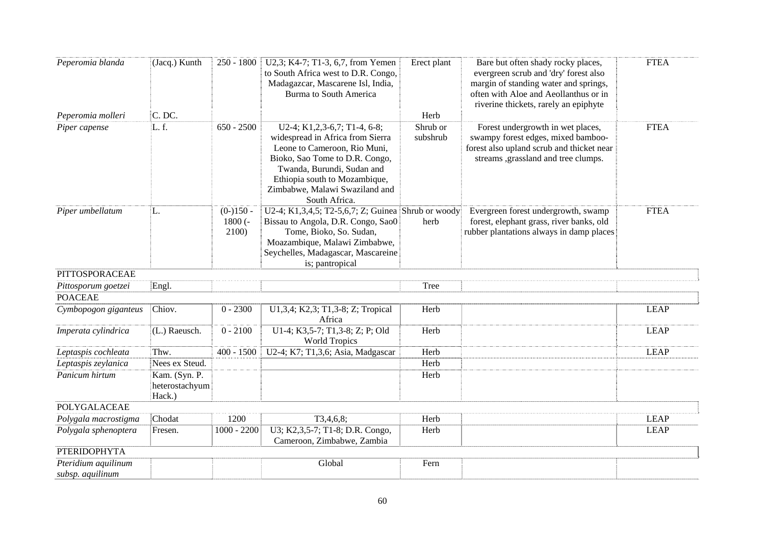| Peperomia blanda                        | (Jacq.) Kunth                             | $250 - 1800$                     | U2,3; K4-7; T1-3, 6,7, from Yemen<br>to South Africa west to D.R. Congo,<br>Madagazcar, Mascarene Isl, India,<br><b>Burma</b> to South America                                                                                                       | Erect plant          | Bare but often shady rocky places,<br>evergreen scrub and 'dry' forest also<br>margin of standing water and springs,<br>often with Aloe and Aeollanthus or in<br>riverine thickets, rarely an epiphyte | <b>FTEA</b> |
|-----------------------------------------|-------------------------------------------|----------------------------------|------------------------------------------------------------------------------------------------------------------------------------------------------------------------------------------------------------------------------------------------------|----------------------|--------------------------------------------------------------------------------------------------------------------------------------------------------------------------------------------------------|-------------|
| Peperomia molleri                       | C. DC.                                    |                                  |                                                                                                                                                                                                                                                      | Herb                 |                                                                                                                                                                                                        |             |
| Piper capense                           | L.f.                                      | $650 - 2500$                     | U2-4; K1,2,3-6,7; T1-4, 6-8;<br>widespread in Africa from Sierra<br>Leone to Cameroon, Rio Muni,<br>Bioko, Sao Tome to D.R. Congo,<br>Twanda, Burundi, Sudan and<br>Ethiopia south to Mozambique,<br>Zimbabwe, Malawi Swaziland and<br>South Africa. | Shrub or<br>subshrub | Forest undergrowth in wet places,<br>swampy forest edges, mixed bamboo-<br>forest also upland scrub and thicket near<br>streams ,grassland and tree clumps.                                            | <b>FTEA</b> |
| Piper umbellatum                        | L.                                        | $(0-150 -$<br>$1800$ (-<br>2100) | U2-4; K1,3,4,5; T2-5,6,7; Z; Guinea Shrub or woody<br>Bissau to Angola, D.R. Congo, Sao0<br>Tome, Bioko, So. Sudan,<br>Moazambique, Malawi Zimbabwe,<br>Seychelles, Madagascar, Mascareine<br>is; pantropical                                        | herb                 | Evergreen forest undergrowth, swamp<br>forest, elephant grass, river banks, old<br>rubber plantations always in damp places                                                                            | <b>FTEA</b> |
| PITTOSPORACEAE                          |                                           |                                  |                                                                                                                                                                                                                                                      |                      |                                                                                                                                                                                                        |             |
| Pittosporum goetzei                     | Engl.                                     |                                  |                                                                                                                                                                                                                                                      | Tree                 |                                                                                                                                                                                                        |             |
| <b>POACEAE</b>                          |                                           |                                  |                                                                                                                                                                                                                                                      |                      |                                                                                                                                                                                                        |             |
| Cymbopogon giganteus                    | Chiov.                                    | $0 - 2300$                       | U1,3,4; K2,3; T1,3-8; Z; Tropical<br>Africa                                                                                                                                                                                                          | Herb                 |                                                                                                                                                                                                        | <b>LEAP</b> |
| Imperata cylindrica                     | (L.) Raeusch.                             | $0 - 2100$                       | U1-4; K3,5-7; T1,3-8; Z; P; Old<br><b>World Tropics</b>                                                                                                                                                                                              | Herb                 |                                                                                                                                                                                                        | <b>LEAP</b> |
| Leptaspis cochleata                     | Thw.                                      | $400 - 1500$                     | U2-4; K7; T1,3,6; Asia, Madgascar                                                                                                                                                                                                                    | Herb                 |                                                                                                                                                                                                        | <b>LEAP</b> |
| Leptaspis zeylanica                     | Nees ex Steud.                            |                                  |                                                                                                                                                                                                                                                      | Herb                 |                                                                                                                                                                                                        |             |
| Panicum hirtum                          | Kam. (Syn. P.<br>heterostachyum<br>Hack.) |                                  |                                                                                                                                                                                                                                                      | Herb                 |                                                                                                                                                                                                        |             |
| <b>POLYGALACEAE</b>                     |                                           |                                  |                                                                                                                                                                                                                                                      |                      |                                                                                                                                                                                                        |             |
| Polygala macrostigma                    | Chodat                                    | 1200                             | T3,4,6,8;                                                                                                                                                                                                                                            | Herb                 |                                                                                                                                                                                                        | <b>LEAP</b> |
| Polygala sphenoptera                    | Fresen.                                   | $1000 - 2200$                    | U3; K2,3,5-7; T1-8; D.R. Congo,<br>Cameroon, Zimbabwe, Zambia                                                                                                                                                                                        | Herb                 |                                                                                                                                                                                                        | <b>LEAP</b> |
| <b>PTERIDOPHYTA</b>                     |                                           |                                  |                                                                                                                                                                                                                                                      |                      |                                                                                                                                                                                                        |             |
| Pteridium aquilinum<br>subsp. aquilinum |                                           |                                  | Global                                                                                                                                                                                                                                               | Fern                 |                                                                                                                                                                                                        |             |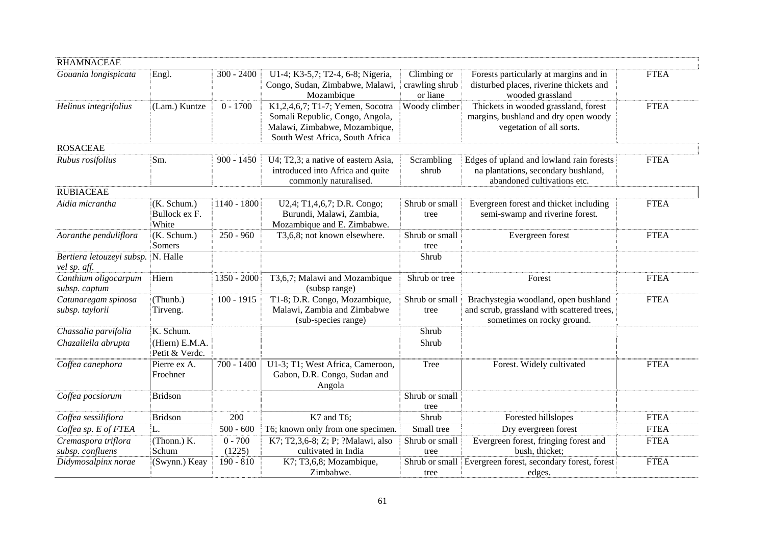| <b>RHAMNACEAE</b>                         |                                       |              |                                                                                                                                         |                                           |                                                                                                                  |             |
|-------------------------------------------|---------------------------------------|--------------|-----------------------------------------------------------------------------------------------------------------------------------------|-------------------------------------------|------------------------------------------------------------------------------------------------------------------|-------------|
| Gouania longispicata                      | Engl.                                 | $300 - 2400$ | U1-4; K3-5,7; T2-4, 6-8; Nigeria,<br>Congo, Sudan, Zimbabwe, Malawi,<br>Mozambique                                                      | Climbing or<br>crawling shrub<br>or liane | Forests particularly at margins and in<br>disturbed places, riverine thickets and<br>wooded grassland            | <b>FTEA</b> |
| Helinus integrifolius                     | (Lam.) Kuntze                         | $0 - 1700$   | K1,2,4,6,7; T1-7; Yemen, Socotra<br>Somali Republic, Congo, Angola,<br>Malawi, Zimbabwe, Mozambique,<br>South West Africa, South Africa | Woody climber                             | Thickets in wooded grassland, forest<br>margins, bushland and dry open woody<br>vegetation of all sorts.         | <b>FTEA</b> |
| <b>ROSACEAE</b>                           |                                       |              |                                                                                                                                         |                                           |                                                                                                                  |             |
| Rubus rosifolius                          | Sm.                                   | $900 - 1450$ | U4; T2,3; a native of eastern Asia,<br>introduced into Africa and quite<br>commonly naturalised.                                        | Scrambling<br>shrub                       | Edges of upland and lowland rain forests<br>na plantations, secondary bushland,<br>abandoned cultivations etc.   | <b>FTEA</b> |
| <b>RUBIACEAE</b>                          |                                       |              |                                                                                                                                         |                                           |                                                                                                                  |             |
| Aidia micrantha                           | (K. Schum.)<br>Bullock ex F.<br>White | 1140 - 1800  | U2,4; T1,4,6,7; D.R. Congo;<br>Burundi, Malawi, Zambia,<br>Mozambique and E. Zimbabwe.                                                  | Shrub or small<br>tree                    | Evergreen forest and thicket including<br>semi-swamp and riverine forest.                                        | <b>FTEA</b> |
| Aoranthe penduliflora                     | (K. Schum.)<br>Somers                 | $250 - 960$  | T3,6,8; not known elsewhere.                                                                                                            | Shrub or small<br>tree                    | Evergreen forest                                                                                                 | <b>FTEA</b> |
| Bertiera letouzeyi subsp.<br>vel sp. aff. | N. Halle                              |              |                                                                                                                                         | Shrub                                     |                                                                                                                  |             |
| Canthium oligocarpum<br>subsp. captum     | Hiern                                 | 1350 - 2000  | T3,6,7; Malawi and Mozambique<br>(subsp range)                                                                                          | Shrub or tree                             | Forest                                                                                                           | <b>FTEA</b> |
| Catunaregam spinosa<br>subsp. taylorii    | (Thunb.)<br>Tirveng.                  | $100 - 1915$ | T1-8; D.R. Congo, Mozambique,<br>Malawi, Zambia and Zimbabwe<br>(sub-species range)                                                     | Shrub or small<br>tree                    | Brachystegia woodland, open bushland<br>and scrub, grassland with scattered trees,<br>sometimes on rocky ground. | <b>FTEA</b> |
| Chassalia parvifolia                      | K. Schum.                             |              |                                                                                                                                         | Shrub                                     |                                                                                                                  |             |
| Chazaliella abrupta                       | (Hiern) E.M.A.<br>Petit & Verdc.      |              |                                                                                                                                         | Shrub                                     |                                                                                                                  |             |
| Coffea canephora                          | Pierre ex A.<br>Froehner              | $700 - 1400$ | U1-3; T1; West Africa, Cameroon,<br>Gabon, D.R. Congo, Sudan and<br>Angola                                                              | Tree                                      | Forest. Widely cultivated                                                                                        | <b>FTEA</b> |
| Coffea pocsiorum                          | Bridson                               |              |                                                                                                                                         | Shrub or small<br>tree                    |                                                                                                                  |             |
| Coffea sessiliflora                       | <b>Bridson</b>                        | 200          | K7 and T6;                                                                                                                              | Shrub                                     | Forested hillslopes                                                                                              | <b>FTEA</b> |
| Coffea sp. E of FTEA                      | L.                                    | $500 - 600$  | T6; known only from one specimen.                                                                                                       | Small tree                                | Dry evergreen forest                                                                                             | <b>FTEA</b> |
| Cremaspora triflora                       | (Thonn.) K.                           | $0 - 700$    | K7; T2,3,6-8; Z; P; ?Malawi, also                                                                                                       | Shrub or small                            | Evergreen forest, fringing forest and                                                                            | <b>FTEA</b> |
| subsp. confluens                          | Schum                                 | (1225)       | cultivated in India                                                                                                                     | tree                                      | bush, thicket;                                                                                                   |             |
| Didymosalpinx norae                       | (Swynn.) Keay                         | $190 - 810$  | K7; T3,6,8; Mozambique,<br>Zimbabwe.                                                                                                    | tree                                      | Shrub or small Evergreen forest, secondary forest, forest<br>edges.                                              | <b>FTEA</b> |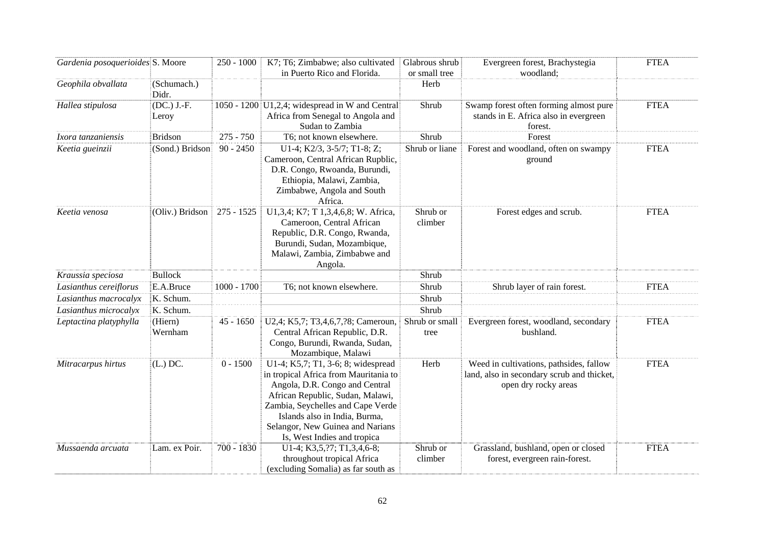| Gardenia posoquerioides S. Moore |                      | $250 - 1000$  | K7; T6; Zimbabwe; also cultivated                                                                                                                                                                                                                                                          | Glabrous shrub         | Evergreen forest, Brachystegia                                                                                | <b>FTEA</b> |
|----------------------------------|----------------------|---------------|--------------------------------------------------------------------------------------------------------------------------------------------------------------------------------------------------------------------------------------------------------------------------------------------|------------------------|---------------------------------------------------------------------------------------------------------------|-------------|
|                                  |                      |               | in Puerto Rico and Florida.                                                                                                                                                                                                                                                                | or small tree          | woodland;                                                                                                     |             |
| Geophila obvallata               | (Schumach.)<br>Didr. |               |                                                                                                                                                                                                                                                                                            | Herb                   |                                                                                                               |             |
| Hallea stipulosa                 | (DC.) J.-F.<br>Leroy |               | 1050 - 1200 $\vert$ U1,2,4; widespread in W and Central<br>Africa from Senegal to Angola and<br>Sudan to Zambia                                                                                                                                                                            | Shrub                  | Swamp forest often forming almost pure<br>stands in E. Africa also in evergreen<br>forest.                    | <b>FTEA</b> |
| Ixora tanzaniensis               | <b>Bridson</b>       | $275 - 750$   | T6; not known elsewhere.                                                                                                                                                                                                                                                                   | Shrub                  | Forest                                                                                                        |             |
| Keetia gueinzii                  | (Sond.) Bridson      | $90 - 2450$   | U1-4; K2/3, 3-5/7; T1-8; Z;<br>Cameroon, Central African Rupblic,<br>D.R. Congo, Rwoanda, Burundi,<br>Ethiopia, Malawi, Zambia,<br>Zimbabwe, Angola and South<br>Africa.                                                                                                                   | Shrub or liane         | Forest and woodland, often on swampy<br>ground                                                                | <b>FTEA</b> |
| Keetia venosa                    | (Oliv.) Bridson      | 275 - 1525    | U1,3,4; K7; T 1,3,4,6,8; W. Africa,<br>Cameroon, Central African<br>Republic, D.R. Congo, Rwanda,<br>Burundi, Sudan, Mozambique,<br>Malawi, Zambia, Zimbabwe and<br>Angola.                                                                                                                | Shrub or<br>climber    | Forest edges and scrub.                                                                                       | <b>FTEA</b> |
| Kraussia speciosa                | <b>Bullock</b>       |               |                                                                                                                                                                                                                                                                                            | Shrub                  |                                                                                                               |             |
| Lasianthus cereiflorus           | E.A.Bruce            | $1000 - 1700$ | T6; not known elsewhere.                                                                                                                                                                                                                                                                   | Shrub                  | Shrub layer of rain forest.                                                                                   | <b>FTEA</b> |
| Lasianthus macrocalyx            | K. Schum.            |               |                                                                                                                                                                                                                                                                                            | Shrub                  |                                                                                                               |             |
| Lasianthus microcalyx            | K. Schum.            |               |                                                                                                                                                                                                                                                                                            | Shrub                  |                                                                                                               |             |
| Leptactina platyphylla           | (Hiern)<br>Wernham   | $45 - 1650$   | U2,4; K5,7; T3,4,6,7,?8; Cameroun,<br>Central African Republic, D.R.<br>Congo, Burundi, Rwanda, Sudan,<br>Mozambique, Malawi                                                                                                                                                               | Shrub or small<br>tree | Evergreen forest, woodland, secondary<br>bushland.                                                            | <b>FTEA</b> |
| Mitracarpus hirtus               | $(L.)$ DC.           | $0 - 1500$    | U1-4; K5,7; T1, 3-6; 8; widespread<br>in tropical Africa from Mauritania to<br>Angola, D.R. Congo and Central<br>African Republic, Sudan, Malawi,<br>Zambia, Seychelles and Cape Verde<br>Islands also in India, Burma,<br>Selangor, New Guinea and Narians<br>Is, West Indies and tropica | Herb                   | Weed in cultivations, pathsides, fallow<br>land, also in secondary scrub and thicket,<br>open dry rocky areas | <b>FTEA</b> |
| Mussaenda arcuata                | Lam. ex Poir.        | $700 - 1830$  | U1-4; K3,5,?7; T1,3,4,6-8;<br>throughout tropical Africa<br>(excluding Somalia) as far south as                                                                                                                                                                                            | Shrub or<br>climber    | Grassland, bushland, open or closed<br>forest, evergreen rain-forest.                                         | <b>FTEA</b> |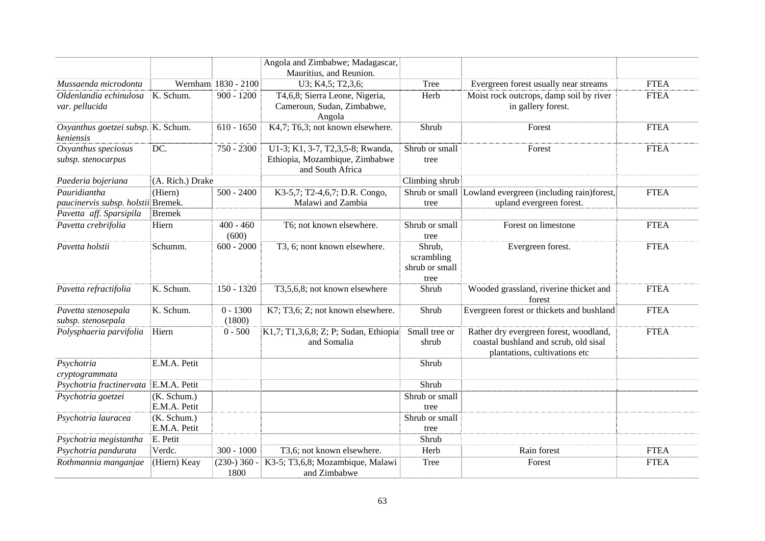|                                                 |                             |                      | Angola and Zimbabwe; Madagascar,<br>Mauritius, and Reunion.                            |                                                |                                                                                                                  |             |
|-------------------------------------------------|-----------------------------|----------------------|----------------------------------------------------------------------------------------|------------------------------------------------|------------------------------------------------------------------------------------------------------------------|-------------|
| Mussaenda microdonta                            |                             | Wernham 1830 - 2100  | U3; K4,5; T2,3,6;                                                                      | Tree                                           | Evergreen forest usually near streams                                                                            | <b>FTEA</b> |
| Oldenlandia echinulosa<br>var. pellucida        | K. Schum.                   | $900 - 1200$         | T4,6,8; Sierra Leone, Nigeria,<br>Cameroun, Sudan, Zimbabwe,<br>Angola                 | Herb                                           | Moist rock outcrops, damp soil by river<br>in gallery forest.                                                    | <b>FTEA</b> |
| Oxyanthus goetzei subsp. K. Schum.<br>keniensis |                             | $610 - 1650$         | K4,7; T6,3; not known elsewhere.                                                       | Shrub                                          | Forest                                                                                                           | <b>FTEA</b> |
| Oxyanthus speciosus<br>subsp. stenocarpus       | DC.                         | 750 - 2300           | U1-3; K1, 3-7, T2,3,5-8; Rwanda,<br>Ethiopia, Mozambique, Zimbabwe<br>and South Africa | Shrub or small<br>tree                         | Forest                                                                                                           | <b>FTEA</b> |
| Paederia bojeriana                              | (A. Rich.) Drake            |                      |                                                                                        | Climbing shrub                                 |                                                                                                                  |             |
| Pauridiantha                                    | (Hiern)                     | $500 - 2400$         | K3-5,7; T2-4,6,7; D.R. Congo,                                                          |                                                | Shrub or small Lowland evergreen (including rain)forest,                                                         | <b>FTEA</b> |
| paucinervis subsp. holstii Bremek.              |                             |                      | Malawi and Zambia                                                                      | tree                                           | upland evergreen forest.                                                                                         |             |
| Pavetta aff. Sparsipila                         | <b>Bremek</b>               |                      |                                                                                        |                                                |                                                                                                                  |             |
| Pavetta crebrifolia                             | Hiern                       | $400 - 460$<br>(600) | T6; not known elsewhere.                                                               | Shrub or small<br>tree                         | Forest on limestone                                                                                              | <b>FTEA</b> |
| Pavetta holstii                                 | Schumm.                     | $600 - 2000$         | T3, 6; nont known elsewhere.                                                           | Shrub,<br>scrambling<br>shrub or small<br>tree | Evergreen forest.                                                                                                | <b>FTEA</b> |
| Pavetta refractifolia                           | K. Schum.                   | $150 - 1320$         | T3,5,6,8; not known elsewhere                                                          | Shrub                                          | Wooded grassland, riverine thicket and<br>forest                                                                 | <b>FTEA</b> |
| Pavetta stenosepala<br>subsp. stenosepala       | K. Schum.                   | $0 - 1300$<br>(1800) | K7; T3,6; Z; not known elsewhere.                                                      | Shrub                                          | Evergreen forest or thickets and bushland                                                                        | <b>FTEA</b> |
| Polysphaeria parvifolia                         | Hiern                       | $0 - 500$            | K1,7; T1,3,6,8; Z; P; Sudan, Ethiopia<br>and Somalia                                   | Small tree or<br>shrub                         | Rather dry evergreen forest, woodland,<br>coastal bushland and scrub, old sisal<br>plantations, cultivations etc | <b>FTEA</b> |
| Psychotria<br>cryptogrammata                    | E.M.A. Petit                |                      |                                                                                        | Shrub                                          |                                                                                                                  |             |
| Psychotria fractinervata                        | E.M.A. Petit                |                      |                                                                                        | Shrub                                          |                                                                                                                  |             |
| Psychotria goetzei                              | (K. Schum.)                 |                      |                                                                                        | Shrub or small                                 |                                                                                                                  |             |
|                                                 | E.M.A. Petit                |                      |                                                                                        | tree                                           |                                                                                                                  |             |
| Psychotria lauracea                             | (K. Schum.)<br>E.M.A. Petit |                      |                                                                                        | Shrub or small<br>tree                         |                                                                                                                  |             |
| Psychotria megistantha                          | E. Petit                    |                      |                                                                                        | Shrub                                          |                                                                                                                  |             |
| Psychotria pandurata                            | Verdc.                      | $300 - 1000$         | T3,6; not known elsewhere.                                                             | Herb                                           | Rain forest                                                                                                      | <b>FTEA</b> |
| Rothmannia manganjae                            | (Hiern) Keay                | $(230-)360-$<br>1800 | K3-5; T3,6,8; Mozambique, Malawi<br>and Zimbabwe                                       | Tree                                           | Forest                                                                                                           | <b>FTEA</b> |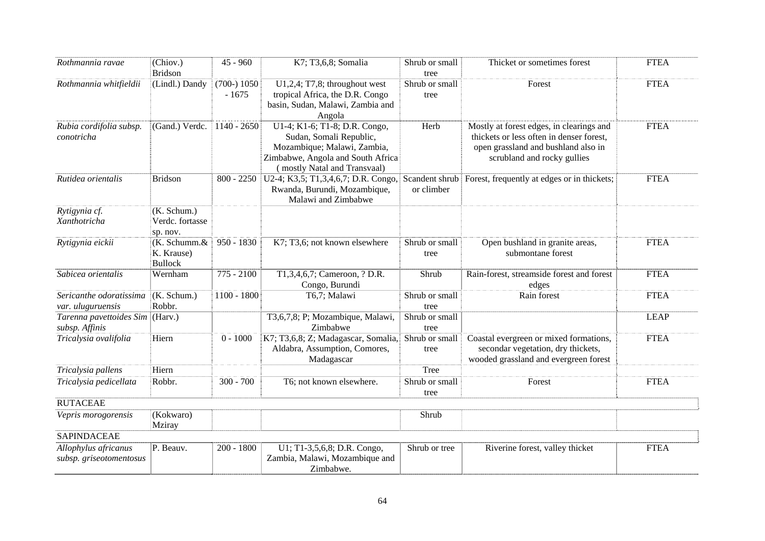| Rothmannia ravae                                | (Chiov.)<br><b>Bridson</b>                   | $45 - 960$               | K7; T3,6,8; Somalia                                                                                                                                          | Shrub or small<br>tree | Thicket or sometimes forest                                                                                                                                | <b>FTEA</b> |
|-------------------------------------------------|----------------------------------------------|--------------------------|--------------------------------------------------------------------------------------------------------------------------------------------------------------|------------------------|------------------------------------------------------------------------------------------------------------------------------------------------------------|-------------|
| Rothmannia whitfieldii                          | (Lindl.) Dandy                               | $(700-) 1050$<br>$-1675$ | $U1,2,4$ ; T7,8; throughout west<br>tropical Africa, the D.R. Congo<br>basin, Sudan, Malawi, Zambia and<br>Angola                                            | Shrub or small<br>tree | Forest                                                                                                                                                     | <b>FTEA</b> |
| Rubia cordifolia subsp.<br>conotricha           | (Gand.) Verdc.                               | $1140 - 2650$            | U1-4; K1-6; T1-8; D.R. Congo,<br>Sudan, Somali Republic,<br>Mozambique; Malawi, Zambia,<br>Zimbabwe, Angola and South Africa<br>(mostly Natal and Transvaal) | Herb                   | Mostly at forest edges, in clearings and<br>thickets or less often in denser forest,<br>open grassland and bushland also in<br>scrubland and rocky gullies | <b>FTEA</b> |
| Rutidea orientalis                              | <b>Bridson</b>                               | $800 - 2250$             | Rwanda, Burundi, Mozambique,<br>Malawi and Zimbabwe                                                                                                          | or climber             | U2-4; K3,5; T1,3,4,6,7; D.R. Congo, Scandent shrub Forest, frequently at edges or in thickets;                                                             | <b>FTEA</b> |
| Rytigynia cf.<br>Xanthotricha                   | (K. Schum.)<br>Verdc. fortasse<br>sp. nov.   |                          |                                                                                                                                                              |                        |                                                                                                                                                            |             |
| Rytigynia eickii                                | (K. Schumm.&<br>K. Krause)<br><b>Bullock</b> | $950 - 1830$             | K7; T3,6; not known elsewhere                                                                                                                                | Shrub or small<br>tree | Open bushland in granite areas,<br>submontane forest                                                                                                       | <b>FTEA</b> |
| Sabicea orientalis                              | Wernham                                      | $775 - 2100$             | T1,3,4,6,7; Cameroon, ? D.R.<br>Congo, Burundi                                                                                                               | Shrub                  | Rain-forest, streamside forest and forest<br>edges                                                                                                         | <b>FTEA</b> |
| Sericanthe odoratissima<br>var. uluguruensis    | (K. Schum.)<br>Robbr.                        | $1100 - 1800$            | T6,7; Malawi                                                                                                                                                 | Shrub or small<br>tree | Rain forest                                                                                                                                                | <b>FTEA</b> |
| Tarenna pavettoides Sim<br>subsp. Affinis       | $ $ (Harv.)                                  |                          | T3,6,7,8; P; Mozambique, Malawi,<br>Zimbabwe                                                                                                                 | Shrub or small<br>tree |                                                                                                                                                            | <b>LEAP</b> |
| Tricalysia ovalifolia                           | Hiern                                        | $0 - 1000$               | K7; T3,6,8; Z; Madagascar, Somalia,<br>Aldabra, Assumption, Comores,<br>Madagascar                                                                           | Shrub or small<br>tree | Coastal evergreen or mixed formations,<br>secondar vegetation, dry thickets,<br>wooded grassland and evergreen forest                                      | <b>FTEA</b> |
| Tricalysia pallens                              | Hiern                                        |                          |                                                                                                                                                              | Tree                   |                                                                                                                                                            |             |
| Tricalysia pedicellata                          | Robbr.                                       | $300 - 700$              | T6; not known elsewhere.                                                                                                                                     | Shrub or small<br>tree | Forest                                                                                                                                                     | <b>FTEA</b> |
| <b>RUTACEAE</b>                                 |                                              |                          |                                                                                                                                                              |                        |                                                                                                                                                            |             |
| Vepris morogorensis                             | (Kokwaro)<br>Mziray                          |                          |                                                                                                                                                              | Shrub                  |                                                                                                                                                            |             |
| <b>SAPINDACEAE</b>                              |                                              |                          |                                                                                                                                                              |                        |                                                                                                                                                            |             |
| Allophylus africanus<br>subsp. griseotomentosus | P. Beauv.                                    | $200 - 1800$             | U1; T1-3,5,6,8; D.R. Congo,<br>Zambia, Malawi, Mozambique and<br>Zimbabwe.                                                                                   | Shrub or tree          | Riverine forest, valley thicket                                                                                                                            | <b>FTEA</b> |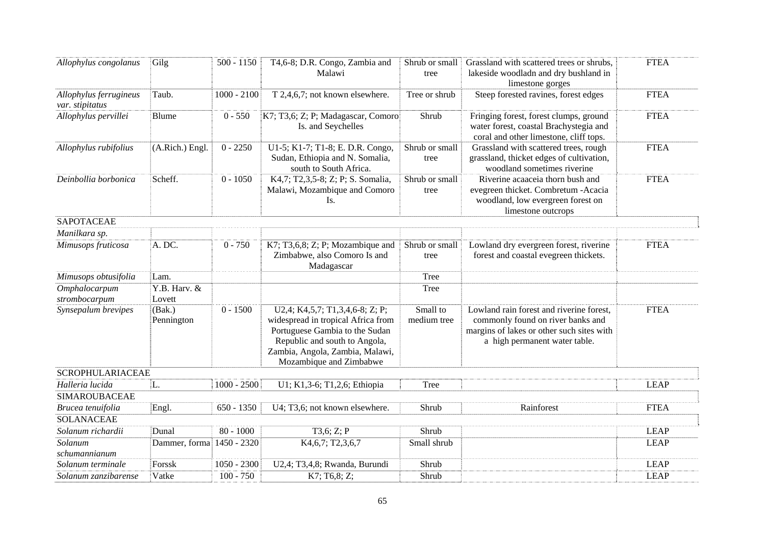| Allophylus congolanus                     | Gilg                   | $500 - 1150$  | T4,6-8; D.R. Congo, Zambia and                                                                                                                                                                         | Shrub or small          | Grassland with scattered trees or shrubs,                                                                                                                   | <b>FTEA</b> |
|-------------------------------------------|------------------------|---------------|--------------------------------------------------------------------------------------------------------------------------------------------------------------------------------------------------------|-------------------------|-------------------------------------------------------------------------------------------------------------------------------------------------------------|-------------|
|                                           |                        |               | Malawi                                                                                                                                                                                                 | tree                    | lakeside woodladn and dry bushland in                                                                                                                       |             |
|                                           |                        |               |                                                                                                                                                                                                        |                         | limestone gorges                                                                                                                                            |             |
| Allophylus ferrugineus<br>var. stipitatus | Taub.                  | $1000 - 2100$ | T 2,4,6,7; not known elsewhere.                                                                                                                                                                        | Tree or shrub           | Steep forested ravines, forest edges                                                                                                                        | <b>FTEA</b> |
| Allophylus pervillei                      | Blume                  | $0 - 550$     | K7; T3,6; Z; P; Madagascar, Comoro<br>Is. and Seychelles                                                                                                                                               | Shrub                   | Fringing forest, forest clumps, ground<br>water forest, coastal Brachystegia and<br>coral and other limestone, cliff tops.                                  | <b>FTEA</b> |
| Allophylus rubifolius                     | (A.Rich.) Engl.        | $0 - 2250$    | U1-5; K1-7; T1-8; E. D.R. Congo,<br>Sudan, Ethiopia and N. Somalia,<br>south to South Africa.                                                                                                          | Shrub or small<br>tree  | Grassland with scattered trees, rough<br>grassland, thicket edges of cultivation,<br>woodland sometimes riverine                                            | <b>FTEA</b> |
| Deinbollia borbonica                      | Scheff.                | $0 - 1050$    | K4,7; T2,3,5-8; Z; P; S. Somalia,<br>Malawi, Mozambique and Comoro<br>Is.                                                                                                                              | Shrub or small<br>tree  | Riverine acaaceia thorn bush and<br>evegreen thicket. Combretum - Acacia<br>woodland, low evergreen forest on<br>limestone outcrops                         | <b>FTEA</b> |
| <b>SAPOTACEAE</b>                         |                        |               |                                                                                                                                                                                                        |                         |                                                                                                                                                             |             |
| Manilkara sp.                             |                        |               |                                                                                                                                                                                                        |                         |                                                                                                                                                             |             |
| Mimusops fruticosa                        | A. DC.                 | $0 - 750$     | K7; T3,6,8; Z; P; Mozambique and<br>Zimbabwe, also Comoro Is and<br>Madagascar                                                                                                                         | Shrub or small<br>tree  | Lowland dry evergreen forest, riverine<br>forest and coastal evegreen thickets.                                                                             | <b>FTEA</b> |
| Mimusops obtusifolia                      | Lam.                   |               |                                                                                                                                                                                                        | Tree                    |                                                                                                                                                             |             |
| Omphalocarpum<br>strombocarpum            | Y.B. Harv. &<br>Lovett |               |                                                                                                                                                                                                        | Tree                    |                                                                                                                                                             |             |
| Synsepalum brevipes                       | (Bak.)<br>Pennington   | $0 - 1500$    | U2,4; K4,5,7; T1,3,4,6-8; Z; P;<br>widespread in tropical Africa from<br>Portuguese Gambia to the Sudan<br>Republic and south to Angola,<br>Zambia, Angola, Zambia, Malawi,<br>Mozambique and Zimbabwe | Small to<br>medium tree | Lowland rain forest and riverine forest,<br>commonly found on river banks and<br>margins of lakes or other such sites with<br>a high permanent water table. | <b>FTEA</b> |
| <b>SCROPHULARIACEAE</b>                   |                        |               |                                                                                                                                                                                                        |                         |                                                                                                                                                             |             |
| Halleria lucida                           | L.                     | $1000 - 2500$ | U1; K1,3-6; T1,2,6; Ethiopia                                                                                                                                                                           | <b>Tree</b>             |                                                                                                                                                             | <b>LEAP</b> |
| <b>SIMAROUBACEAE</b>                      |                        |               |                                                                                                                                                                                                        |                         |                                                                                                                                                             |             |
| Brucea tenuifolia                         | Engl.                  | $650 - 1350$  | U4; T3,6; not known elsewhere.                                                                                                                                                                         | Shrub                   | Rainforest                                                                                                                                                  | <b>FTEA</b> |
| <b>SOLANACEAE</b>                         |                        |               |                                                                                                                                                                                                        |                         |                                                                                                                                                             |             |
| Solanum richardii                         | Dunal                  | $80 - 1000$   | T3,6; Z; P                                                                                                                                                                                             | Shrub                   |                                                                                                                                                             | <b>LEAP</b> |
| Solanum<br>schumannianum                  | Dammer, forma          | 1450 - 2320   | K4, 6, 7; T2, 3, 6, 7                                                                                                                                                                                  | Small shrub             |                                                                                                                                                             | <b>LEAP</b> |
| Solanum terminale                         | Forssk                 | $1050 - 2300$ | U2,4; T3,4,8; Rwanda, Burundi                                                                                                                                                                          | Shrub                   |                                                                                                                                                             | <b>LEAP</b> |
| Solanum zanzibarense                      | Vatke                  | $100 - 750$   | K7; T6,8; Z;                                                                                                                                                                                           | Shrub                   |                                                                                                                                                             | <b>LEAP</b> |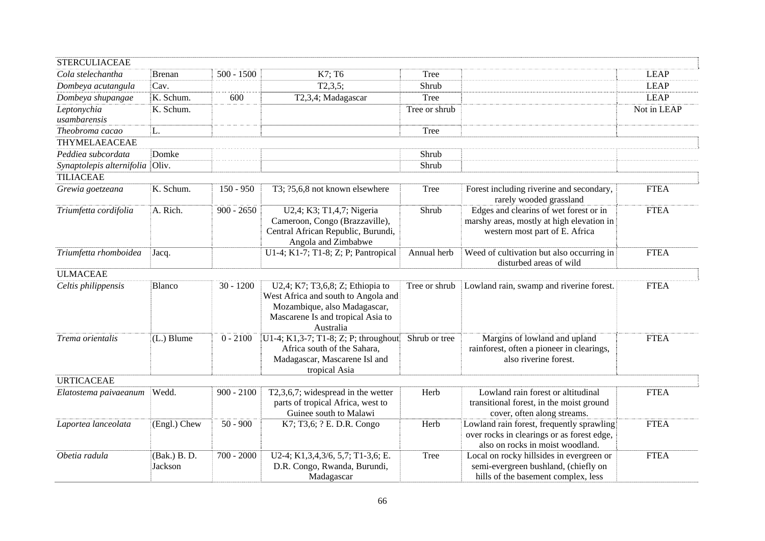| <b>STERCULIACEAE</b>            |                         |              |                                                                                                                                                           |               |                                                                                                                             |             |
|---------------------------------|-------------------------|--------------|-----------------------------------------------------------------------------------------------------------------------------------------------------------|---------------|-----------------------------------------------------------------------------------------------------------------------------|-------------|
| Cola stelechantha               | Brenan                  | $500 - 1500$ | K7; T6                                                                                                                                                    | Tree          |                                                                                                                             | <b>LEAP</b> |
| Dombeya acutangula              | Cav.                    |              | T2,3,5;                                                                                                                                                   | Shrub         |                                                                                                                             | <b>LEAP</b> |
| Dombeya shupangae               | K. Schum.               | 600          | T2,3,4; Madagascar                                                                                                                                        | Tree          |                                                                                                                             | <b>LEAP</b> |
| Leptonychia<br>usambarensis     | K. Schum.               |              |                                                                                                                                                           | Tree or shrub |                                                                                                                             | Not in LEAP |
| Theobroma cacao                 | L.                      |              |                                                                                                                                                           | Tree          |                                                                                                                             |             |
| THYMELAEACEAE                   |                         |              |                                                                                                                                                           |               |                                                                                                                             |             |
| Peddiea subcordata              | Domke                   |              |                                                                                                                                                           | Shrub         |                                                                                                                             |             |
| Synaptolepis alternifolia Oliv. |                         |              |                                                                                                                                                           | Shrub         |                                                                                                                             |             |
| <b>TILIACEAE</b>                |                         |              |                                                                                                                                                           |               |                                                                                                                             |             |
| Grewia goetzeana                | K. Schum.               | $150 - 950$  | T3; ?5,6,8 not known elsewhere                                                                                                                            | Tree          | Forest including riverine and secondary,<br>rarely wooded grassland                                                         | <b>FTEA</b> |
| Triumfetta cordifolia           | A. Rich.                | $900 - 2650$ | U2,4; K3; T1,4,7; Nigeria<br>Cameroon, Congo (Brazzaville),<br>Central African Republic, Burundi,<br>Angola and Zimbabwe                                  | Shrub         | Edges and clearins of wet forest or in<br>marshy areas, mostly at high elevation in<br>western most part of E. Africa       | <b>FTEA</b> |
| Triumfetta rhomboidea           | Jacq.                   |              | U1-4; K1-7; T1-8; Z; P; Pantropical                                                                                                                       | Annual herb   | Weed of cultivation but also occurring in<br>disturbed areas of wild                                                        | <b>FTEA</b> |
| <b>ULMACEAE</b>                 |                         |              |                                                                                                                                                           |               |                                                                                                                             |             |
| Celtis philippensis             | <b>Blanco</b>           | $30 - 1200$  | U2,4; K7; T3,6,8; Z; Ethiopia to<br>West Africa and south to Angola and<br>Mozambique, also Madagascar,<br>Mascarene Is and tropical Asia to<br>Australia | Tree or shrub | Lowland rain, swamp and riverine forest.                                                                                    | <b>FTEA</b> |
| Trema orientalis                | $(L.)$ Blume            | $0 - 2100$   | U1-4; K1,3-7; T1-8; Z; P; throughout<br>Africa south of the Sahara,<br>Madagascar, Mascarene Isl and<br>tropical Asia                                     | Shrub or tree | Margins of lowland and upland<br>rainforest, often a pioneer in clearings,<br>also riverine forest.                         | <b>FTEA</b> |
| <b>URTICACEAE</b>               |                         |              |                                                                                                                                                           |               |                                                                                                                             |             |
| Elatostema paivaeanum           | Wedd.                   | $900 - 2100$ | $T2,3,6,7$ ; widespread in the wetter<br>parts of tropical Africa, west to<br>Guinee south to Malawi                                                      | Herb          | Lowland rain forest or altitudinal<br>transitional forest, in the moist ground<br>cover, often along streams.               | <b>FTEA</b> |
| Laportea lanceolata             | (Engl.) Chew            | $50 - 900$   | K7; T3,6; ? E. D.R. Congo                                                                                                                                 | Herb          | Lowland rain forest, frequently sprawling<br>over rocks in clearings or as forest edge,<br>also on rocks in moist woodland. | <b>FTEA</b> |
| Obetia radula                   | (Bak.) B. D.<br>Jackson | $700 - 2000$ | U2-4; K1,3,4,3/6, 5,7; T1-3,6; E.<br>D.R. Congo, Rwanda, Burundi,<br>Madagascar                                                                           | <b>Tree</b>   | Local on rocky hillsides in evergreen or<br>semi-evergreen bushland, (chiefly on<br>hills of the basement complex, less     | <b>FTEA</b> |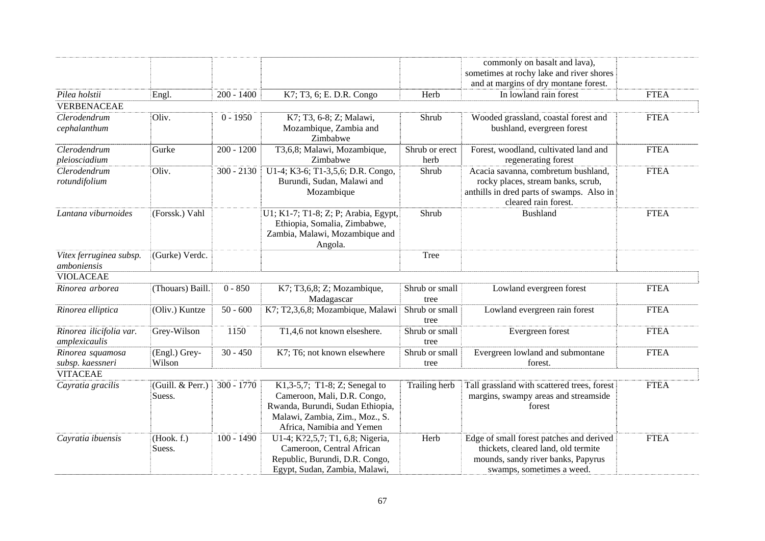|                         |                  |              |                                      |                | commonly on basalt and lava),               |             |
|-------------------------|------------------|--------------|--------------------------------------|----------------|---------------------------------------------|-------------|
|                         |                  |              |                                      |                | sometimes at rochy lake and river shores    |             |
|                         |                  |              |                                      |                | and at margins of dry montane forest.       |             |
| Pilea holstii           | Engl.            | $200 - 1400$ | K7; T3, 6; E. D.R. Congo             | Herb           | In lowland rain forest                      | <b>FTEA</b> |
| <b>VERBENACEAE</b>      |                  |              |                                      |                |                                             |             |
| Clerodendrum            | Oliv.            | $0 - 1950$   | K7; T3, 6-8; Z; Malawi,              | Shrub          | Wooded grassland, coastal forest and        | <b>FTEA</b> |
| cephalanthum            |                  |              | Mozambique, Zambia and               |                | bushland, evergreen forest                  |             |
|                         |                  |              | Zimbabwe                             |                |                                             |             |
| Clerodendrum            | Gurke            | $200 - 1200$ | T3,6,8; Malawi, Mozambique,          | Shrub or erect | Forest, woodland, cultivated land and       | <b>FTEA</b> |
| pleiosciadium           |                  |              | Zimbabwe                             | herb           | regenerating forest                         |             |
| Clerodendrum            | Oliv.            | $300 - 2130$ | U1-4; K3-6; T1-3,5,6; D.R. Congo,    | Shrub          | Acacia savanna, combretum bushland,         | <b>FTEA</b> |
| rotundifolium           |                  |              | Burundi, Sudan, Malawi and           |                | rocky places, stream banks, scrub,          |             |
|                         |                  |              | Mozambique                           |                | anthills in dred parts of swamps. Also in   |             |
|                         |                  |              |                                      |                | cleared rain forest.                        |             |
| Lantana viburnoides     | (Forssk.) Vahl   |              | U1; K1-7; T1-8; Z; P; Arabia, Egypt, | Shrub          | <b>Bushland</b>                             | <b>FTEA</b> |
|                         |                  |              | Ethiopia, Somalia, Zimbabwe,         |                |                                             |             |
|                         |                  |              | Zambia, Malawi, Mozambique and       |                |                                             |             |
|                         |                  |              | Angola.                              |                |                                             |             |
| Vitex ferruginea subsp. | (Gurke) Verdc.   |              |                                      | Tree           |                                             |             |
| amboniensis             |                  |              |                                      |                |                                             |             |
| <b>VIOLACEAE</b>        |                  |              |                                      |                |                                             |             |
| Rinorea arborea         | (Thouars) Baill. | $0 - 850$    | K7; T3,6,8; Z; Mozambique,           | Shrub or small | Lowland evergreen forest                    | <b>FTEA</b> |
|                         |                  |              | Madagascar                           | tree           |                                             |             |
| Rinorea elliptica       | (Oliv.) Kuntze   | $50 - 600$   | K7; T2,3,6,8; Mozambique, Malawi     | Shrub or small | Lowland evergreen rain forest               | <b>FTEA</b> |
|                         |                  |              |                                      | tree           |                                             |             |
| Rinorea ilicifolia var. | Grey-Wilson      | 1150         | T1,4,6 not known elseshere.          | Shrub or small | Evergreen forest                            | <b>FTEA</b> |
| amplexicaulis           |                  |              |                                      | tree           |                                             |             |
| Rinorea squamosa        | (Engl.) Grey-    | $30 - 450$   | K7; T6; not known elsewhere          | Shrub or small | Evergreen lowland and submontane            | <b>FTEA</b> |
| subsp. kaessneri        | Wilson           |              |                                      | tree           | forest.                                     |             |
| <b>VITACEAE</b>         |                  |              |                                      |                |                                             |             |
| Cayratia gracilis       | (Guill. & Perr.) | $300 - 1770$ | K1,3-5,7; T1-8; Z; Senegal to        | Trailing herb  | Tall grassland with scattered trees, forest | <b>FTEA</b> |
|                         | Suess.           |              | Cameroon, Mali, D.R. Congo,          |                | margins, swampy areas and streamside        |             |
|                         |                  |              | Rwanda, Burundi, Sudan Ethiopia,     |                | forest                                      |             |
|                         |                  |              | Malawi, Zambia, Zim., Moz., S.       |                |                                             |             |
|                         |                  |              | Africa, Namibia and Yemen            |                |                                             |             |
| Cayratia ibuensis       | (Hook. f.)       | $100 - 1490$ | U1-4; K?2,5,7; T1, 6,8; Nigeria,     | Herb           | Edge of small forest patches and derived    | <b>FTEA</b> |
|                         | Suess.           |              | Cameroon, Central African            |                | thickets, cleared land, old termite         |             |
|                         |                  |              | Republic, Burundi, D.R. Congo,       |                | mounds, sandy river banks, Papyrus          |             |
|                         |                  |              | Egypt, Sudan, Zambia, Malawi,        |                | swamps, sometimes a weed.                   |             |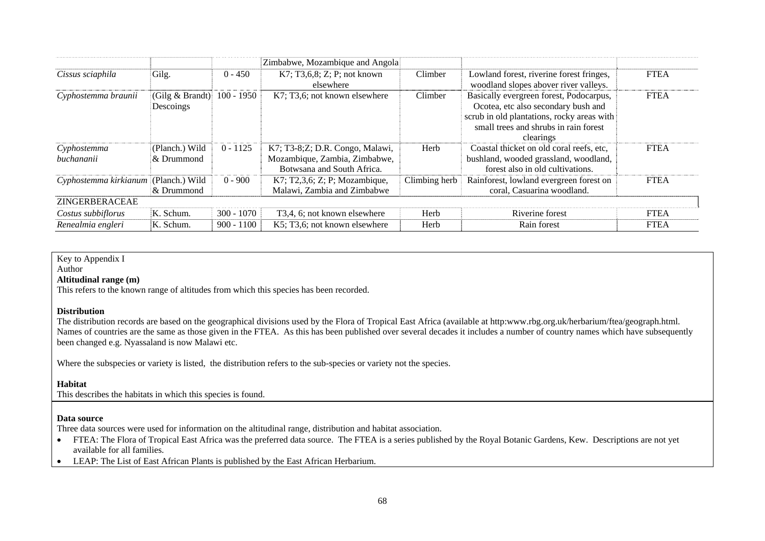|                                      |                                  |              | Zimbabwe, Mozambique and Angola                                                                |               |                                                                                                                                                                                    |             |
|--------------------------------------|----------------------------------|--------------|------------------------------------------------------------------------------------------------|---------------|------------------------------------------------------------------------------------------------------------------------------------------------------------------------------------|-------------|
| Cissus sciaphila                     | Gilg.                            | $0 - 450$    | K7; T3,6,8; Z; P; not known<br>elsewhere                                                       | Climber       | Lowland forest, riverine forest fringes,<br>woodland slopes abover river valleys.                                                                                                  | <b>FTEA</b> |
| Cyphostemma braunii                  | (Gilg $& Brandt)$ )<br>Descoings | $100 - 1950$ | K7; T3,6; not known elsewhere                                                                  | Climber       | Basically evergreen forest, Podocarpus,<br>Ocotea, etc also secondary bush and<br>scrub in old plantations, rocky areas with<br>small trees and shrubs in rain forest<br>clearings | <b>FTEA</b> |
| Cyphostemma<br>buchananii            | (Planch.) Wild<br>& Drummond     | $0 - 1125$   | K7; T3-8;Z; D.R. Congo, Malawi,<br>Mozambique, Zambia, Zimbabwe,<br>Botwsana and South Africa. | Herb          | Coastal thicket on old coral reefs, etc,<br>bushland, wooded grassland, woodland,<br>forest also in old cultivations.                                                              | <b>FTEA</b> |
| Cyphostemma kirkianum (Planch.) Wild | & Drummond                       | $0 - 900$    | K7; T2,3,6; Z; P; Mozambique,<br>Malawi, Zambia and Zimbabwe                                   | Climbing herb | Rainforest, lowland evergreen forest on<br>coral, Casuarina woodland.                                                                                                              | <b>FTEA</b> |
| ZINGERBERACEAE                       |                                  |              |                                                                                                |               |                                                                                                                                                                                    |             |
| Costus subbiflorus                   | K. Schum.                        | $300 - 1070$ | T <sub>3</sub> , 4, 6; not known elsewhere                                                     | Herb          | Riverine forest                                                                                                                                                                    | <b>FTEA</b> |
| Renealmia engleri                    | K. Schum.                        | $900 - 1100$ | K5; T3,6; not known elsewhere                                                                  | Herb          | Rain forest                                                                                                                                                                        | <b>FTEA</b> |

Key to Appendix I

#### Author

#### **Altitudinal range (m)**

This refers to the known range of altitudes from which this species has been recorded.

#### **Distribution**

The distribution records are based on the geographical divisions used by the Flora of Tropical East Africa (available at http:www.rbg.org.uk/herbarium/ftea/geograph.html. Names of countries are the same as those given in the FTEA. As this has been published over several decades it includes a number of country names which have subsequently been changed e.g. Nyassaland is now Malawi etc.

Where the subspecies or variety is listed, the distribution refers to the sub-species or variety not the species.

#### **Habitat**

This describes the habitats in which this species is found.

#### **Data source**

Three data sources were used for information on the altitudinal range, distribution and habitat association.

- $\bullet$  FTEA: The Flora of Tropical East Africa was the preferred data source. The FTEA is a series published by the Royal Botanic Gardens, Kew. Descriptions are not yet available for all families.
- $\bullet$ LEAP: The List of East African Plants is published by the East African Herbarium.